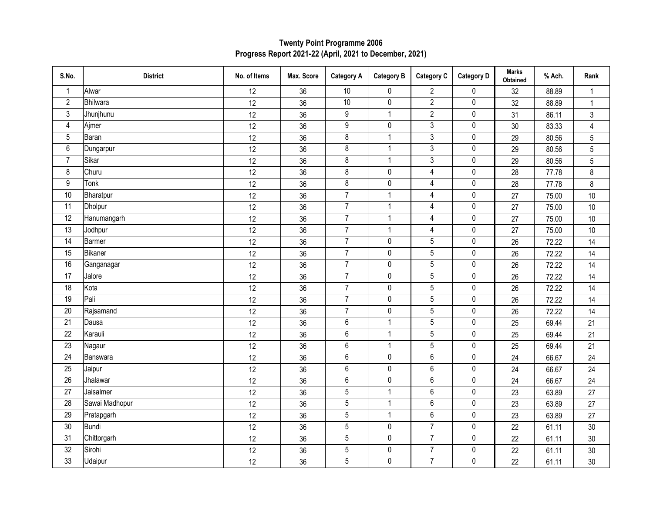| S.No.           | <b>District</b> | No. of Items    | Max. Score | <b>Category A</b>       | <b>Category B</b> | <b>Category C</b> | <b>Category D</b> | <b>Marks</b><br>Obtained | % Ach. | Rank           |
|-----------------|-----------------|-----------------|------------|-------------------------|-------------------|-------------------|-------------------|--------------------------|--------|----------------|
| $\mathbf{1}$    | Alwar           | 12              | 36         | 10                      | 0                 | $\overline{2}$    | $\pmb{0}$         | 32                       | 88.89  | $\mathbf{1}$   |
| $\overline{2}$  | Bhilwara        | 12              | 36         | 10                      | 0                 | $\overline{2}$    | $\pmb{0}$         | 32                       | 88.89  | $\mathbf{1}$   |
| 3               | Jhunjhunu       | $\overline{12}$ | 36         | 9                       | $\mathbf{1}$      | $\overline{2}$    | $\pmb{0}$         | 31                       | 86.11  | $\mathbf{3}$   |
| $\overline{4}$  | Ajmer           | 12              | 36         | 9                       | 0                 | $\mathfrak{Z}$    | $\pmb{0}$         | 30                       | 83.33  | $\overline{4}$ |
| $\overline{5}$  | Baran           | 12              | 36         | $\overline{\mathbf{8}}$ | $\mathbf{1}$      | $\overline{3}$    | $\pmb{0}$         | 29                       | 80.56  | $\overline{5}$ |
| $6\,$           | Dungarpur       | 12              | 36         | 8                       | $\mathbf{1}$      | $\mathfrak{Z}$    | $\pmb{0}$         | 29                       | 80.56  | $\overline{5}$ |
| $\overline{7}$  | Sikar           | 12              | 36         | 8                       | $\mathbf{1}$      | 3                 | $\pmb{0}$         | 29                       | 80.56  | 5              |
| 8               | Churu           | 12              | 36         | 8                       | $\mathbf 0$       | $\overline{4}$    | $\pmb{0}$         | 28                       | 77.78  | 8              |
| 9               | Tonk            | 12              | 36         | 8                       | 0                 | $\overline{4}$    | $\pmb{0}$         | 28                       | 77.78  | 8              |
| 10              | Bharatpur       | 12              | 36         | $\overline{7}$          | $\mathbf{1}$      | $\overline{4}$    | $\pmb{0}$         | 27                       | 75.00  | 10             |
| 11              | Dholpur         | 12              | 36         | $\overline{7}$          | $\mathbf{1}$      | $\overline{4}$    | $\pmb{0}$         | 27                       | 75.00  | 10             |
| 12              | Hanumangarh     | 12              | 36         | $\overline{7}$          | $\mathbf{1}$      | $\overline{4}$    | $\pmb{0}$         | 27                       | 75.00  | 10             |
| $\overline{13}$ | Jodhpur         | 12              | 36         | $\overline{7}$          | $\mathbf{1}$      | $\overline{4}$    | $\pmb{0}$         | 27                       | 75.00  | 10             |
| $\overline{14}$ | <b>Barmer</b>   | 12              | 36         | $\overline{7}$          | 0                 | $\overline{5}$    | $\pmb{0}$         | 26                       | 72.22  | 14             |
| 15              | Bikaner         | 12              | 36         | $\overline{7}$          | $\pmb{0}$         | $5\phantom{.0}$   | $\pmb{0}$         | 26                       | 72.22  | 14             |
| 16              | Ganganagar      | $\overline{12}$ | 36         | $\overline{7}$          | $\pmb{0}$         | $\overline{5}$    | $\pmb{0}$         | 26                       | 72.22  | 14             |
| 17              | Jalore          | 12              | 36         | $\overline{7}$          | $\pmb{0}$         | 5                 | $\pmb{0}$         | 26                       | 72.22  | 14             |
| $\overline{18}$ | Kota            | 12              | 36         | $\overline{7}$          | $\pmb{0}$         | $\overline{5}$    | $\pmb{0}$         | 26                       | 72.22  | 14             |
| 19              | Pali            | 12              | 36         | $\overline{7}$          | 0                 | $\overline{5}$    | 0                 | 26                       | 72.22  | 14             |
| 20              | Rajsamand       | 12              | 36         | $\overline{7}$          | $\pmb{0}$         | $5\overline{)}$   | $\pmb{0}$         | 26                       | 72.22  | 14             |
| 21              | Dausa           | 12              | 36         | 6                       | $\mathbf{1}$      | $5\phantom{.0}$   | 0                 | 25                       | 69.44  | 21             |
| 22              | Karauli         | 12              | 36         | 6                       | $\mathbf{1}$      | $5\overline{)}$   | 0                 | 25                       | 69.44  | 21             |
| $\overline{23}$ | Nagaur          | 12              | 36         | $\overline{6}$          | $\mathbf{1}$      | $\overline{5}$    | $\pmb{0}$         | 25                       | 69.44  | 21             |
| 24              | Banswara        | 12              | 36         | 6                       | $\pmb{0}$         | $\,6\,$           | $\pmb{0}$         | 24                       | 66.67  | 24             |
| $\overline{25}$ | Jaipur          | 12              | 36         | $\overline{6}$          | $\pmb{0}$         | 6                 | $\pmb{0}$         | 24                       | 66.67  | 24             |
| $\overline{26}$ | Jhalawar        | 12              | 36         | 6                       | 0                 | $\,6\,$           | $\pmb{0}$         | 24                       | 66.67  | 24             |
| $\overline{27}$ | Jaisalmer       | 12              | 36         | $\overline{5}$          | $\mathbf{1}$      | $\overline{6}$    | $\pmb{0}$         | 23                       | 63.89  | 27             |
| 28              | Sawai Madhopur  | 12              | 36         | $\overline{5}$          | $\mathbf{1}$      | 6                 | 0                 | 23                       | 63.89  | 27             |
| 29              | Pratapgarh      | 12              | 36         | 5                       | $\mathbf{1}$      | 6                 | 0                 | 23                       | 63.89  | 27             |
| 30              | Bundi           | 12              | 36         | $\overline{5}$          | 0                 | $\overline{7}$    | $\pmb{0}$         | 22                       | 61.11  | $30\,$         |
| 31              | Chittorgarh     | 12              | 36         | $\overline{5}$          | 0                 | $\overline{7}$    | $\pmb{0}$         | 22                       | 61.11  | 30             |
| 32              | Sirohi          | 12              | 36         | $\overline{5}$          | 0                 | $\overline{7}$    | $\pmb{0}$         | 22                       | 61.11  | $30\,$         |
| 33              | Udaipur         | 12              | 36         | $\overline{5}$          | 0                 | $\overline{7}$    | $\pmb{0}$         | 22                       | 61.11  | 30             |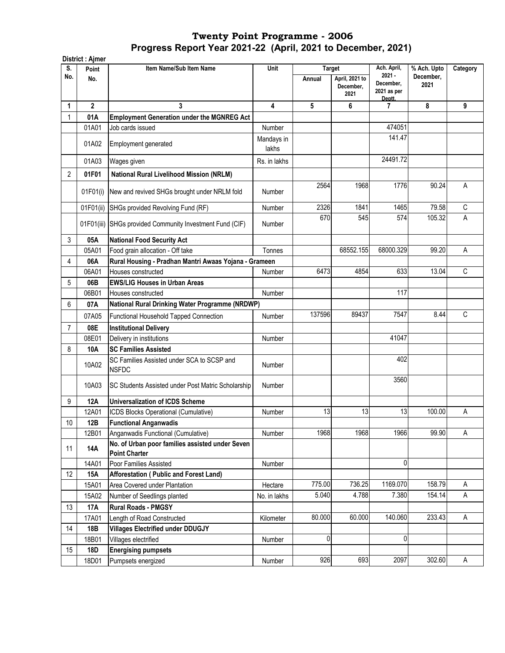|                | District : Ajmer |                                                                         |                     |               |                   |                                    |                          |                |
|----------------|------------------|-------------------------------------------------------------------------|---------------------|---------------|-------------------|------------------------------------|--------------------------|----------------|
| S.<br>No.      | Point            | Item Name/Sub Item Name                                                 | Unit                | <b>Target</b> | April, 2021 to    | Ach. April,<br>$2021 -$            | % Ach. Upto<br>December. | Category       |
|                | No.              |                                                                         |                     | Annual        | December,<br>2021 | December.<br>2021 as per<br>Deptt. | 2021                     |                |
| 1              | $\overline{2}$   | 3                                                                       | 4                   | 5             | 6                 | 7                                  | 8                        | 9              |
| 1              | 01A              | <b>Employment Generation under the MGNREG Act</b>                       |                     |               |                   |                                    |                          |                |
|                | 01A01            | Job cards issued                                                        | Number              |               |                   | 474051                             |                          |                |
|                | 01A02            | <b>Employment generated</b>                                             | Mandays in<br>lakhs |               |                   | 141.47                             |                          |                |
|                | 01A03            | Wages given                                                             | Rs. in lakhs        |               |                   | 24491.72                           |                          |                |
| 2              | 01F01            | <b>National Rural Livelihood Mission (NRLM)</b>                         |                     |               |                   |                                    |                          |                |
|                | 01F01(i)         | New and revived SHGs brought under NRLM fold                            | Number              | 2564          | 1968              | 1776                               | 90.24                    | $\overline{A}$ |
|                | 01F01(ii)        | SHGs provided Revolving Fund (RF)                                       | Number              | 2326          | 1841              | 1465                               | 79.58                    | $\mathsf C$    |
|                | 01F01(iii)       | SHGs provided Community Investment Fund (CIF)                           | Number              | 670           | 545               | 574                                | 105.32                   | A              |
| 3              | 05A              | <b>National Food Security Act</b>                                       |                     |               |                   |                                    |                          |                |
|                | 05A01            | Food grain allocation - Off take                                        | Tonnes              |               | 68552.155         | 68000.329                          | 99.20                    | A              |
| 4              | 06A              | Rural Housing - Pradhan Mantri Awaas Yojana - Grameen                   |                     |               |                   |                                    |                          |                |
|                | 06A01            | Houses constructed                                                      | Number              | 6473          | 4854              | 633                                | 13.04                    | C              |
| 5              | 06B              | <b>EWS/LIG Houses in Urban Areas</b>                                    |                     |               |                   |                                    |                          |                |
|                | 06B01            | Houses constructed                                                      | Number              |               |                   | 117                                |                          |                |
| 6              | 07A              | National Rural Drinking Water Programme (NRDWP)                         |                     |               |                   |                                    |                          |                |
|                | 07A05            | Functional Household Tapped Connection                                  | Number              | 137596        | 89437             | 7547                               | 8.44                     | $\mathsf C$    |
| $\overline{7}$ | 08E              | <b>Institutional Delivery</b>                                           |                     |               |                   |                                    |                          |                |
|                | 08E01            | Delivery in institutions                                                | Number              |               |                   | 41047                              |                          |                |
| 8              | 10A              | <b>SC Families Assisted</b>                                             |                     |               |                   |                                    |                          |                |
|                | 10A02            | SC Families Assisted under SCA to SCSP and<br><b>NSFDC</b>              | Number              |               |                   | 402                                |                          |                |
|                | 10A03            | SC Students Assisted under Post Matric Scholarship                      | Number              |               |                   | 3560                               |                          |                |
| 9              | <b>12A</b>       | <b>Universalization of ICDS Scheme</b>                                  |                     |               |                   |                                    |                          |                |
|                | 12A01            | ICDS Blocks Operational (Cumulative)                                    | Number              | 13            | 13                | 13                                 | 100.00                   | A              |
| $10$           | 12B              | <b>Functional Anganwadis</b>                                            |                     |               |                   |                                    |                          |                |
|                | 12B01            | Anganwadis Functional (Cumulative)                                      | Number              | 1968          | 1968              | 1966                               | 99.90                    | Α              |
| 11             | 14A              | No. of Urban poor families assisted under Seven<br><b>Point Charter</b> |                     |               |                   |                                    |                          |                |
|                | 14A01            | Poor Families Assisted                                                  | Number              |               |                   | 0                                  |                          |                |
| 12             | 15A              | Afforestation (Public and Forest Land)                                  |                     |               |                   |                                    |                          |                |
|                | 15A01            | Area Covered under Plantation                                           | Hectare             | 775.00        | 736.25            | 1169.070                           | 158.79                   | Α              |
|                | 15A02            | Number of Seedlings planted                                             | No. in lakhs        | 5.040         | 4.788             | 7.380                              | 154.14                   | A              |
| 13             | <b>17A</b>       | <b>Rural Roads - PMGSY</b>                                              |                     |               |                   |                                    |                          |                |
|                | 17A01            | Length of Road Constructed                                              | Kilometer           | 80.000        | 60.000            | 140.060                            | 233.43                   | Α              |
| 14             | 18B              | <b>Villages Electrified under DDUGJY</b>                                |                     |               |                   |                                    |                          |                |
|                | 18B01            | Villages electrified                                                    | Number              | 0             |                   | 0                                  |                          |                |
| 15             | 18D              | <b>Energising pumpsets</b>                                              |                     |               |                   |                                    |                          |                |
|                | 18D01            | Pumpsets energized                                                      | Number              | 926           | 693               | 2097                               | 302.60                   | A              |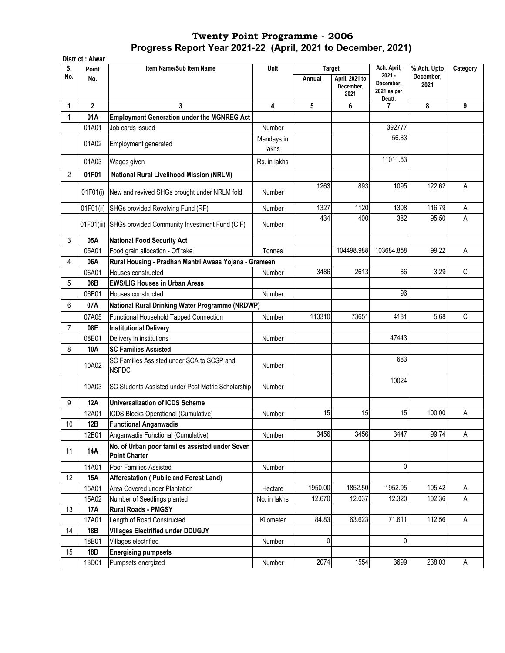|                | District: Alwar |                                                                         |                     |               |                   |                          |                          |          |
|----------------|-----------------|-------------------------------------------------------------------------|---------------------|---------------|-------------------|--------------------------|--------------------------|----------|
| S.<br>No.      | Point           | Item Name/Sub Item Name                                                 | Unit                | <b>Target</b> | April, 2021 to    | Ach. April,<br>$2021 -$  | % Ach. Upto<br>December, | Category |
|                | No.             |                                                                         |                     | Annual        | December,<br>2021 | December,<br>2021 as per | 2021                     |          |
| 1              | $\overline{2}$  | 3                                                                       | 4                   | 5             | 6                 | Deptt.<br>7              | 8                        | 9        |
| 1              | 01A             | <b>Employment Generation under the MGNREG Act</b>                       |                     |               |                   |                          |                          |          |
|                | 01A01           | Job cards issued                                                        | Number              |               |                   | 392777                   |                          |          |
|                | 01A02           | Employment generated                                                    | Mandays in<br>lakhs |               |                   | 56.83                    |                          |          |
|                | 01A03           | Wages given                                                             | Rs. in lakhs        |               |                   | 11011.63                 |                          |          |
| 2              | 01F01           | National Rural Livelihood Mission (NRLM)                                |                     |               |                   |                          |                          |          |
|                | 01F01(i)        | New and revived SHGs brought under NRLM fold                            | Number              | 1263          | 893               | 1095                     | 122.62                   | A        |
|                | 01F01(ii)       | SHGs provided Revolving Fund (RF)                                       | Number              | 1327          | 1120              | 1308                     | 116.79                   | Α        |
|                | 01F01(iii)      | SHGs provided Community Investment Fund (CIF)                           | Number              | 434           | 400               | 382                      | 95.50                    | A        |
| 3              | 05A             | <b>National Food Security Act</b>                                       |                     |               |                   |                          |                          |          |
|                | 05A01           | Food grain allocation - Off take                                        | Tonnes              |               | 104498.988        | 103684.858               | 99.22                    | A        |
| 4              | 06A             | Rural Housing - Pradhan Mantri Awaas Yojana - Grameen                   |                     |               |                   |                          |                          |          |
|                | 06A01           | Houses constructed                                                      | Number              | 3486          | 2613              | 86                       | 3.29                     | C        |
| 5              | 06B             | <b>EWS/LIG Houses in Urban Areas</b>                                    |                     |               |                   |                          |                          |          |
|                | 06B01           | Houses constructed                                                      | Number              |               |                   | 96                       |                          |          |
| 6              | 07A             | National Rural Drinking Water Programme (NRDWP)                         |                     |               |                   |                          |                          |          |
|                | 07A05           | Functional Household Tapped Connection                                  | Number              | 113310        | 73651             | 4181                     | 5.68                     | C        |
| $\overline{7}$ | 08E             | <b>Institutional Delivery</b>                                           |                     |               |                   |                          |                          |          |
|                | 08E01           | Delivery in institutions                                                | Number              |               |                   | 47443                    |                          |          |
| 8              | 10A             | <b>SC Families Assisted</b>                                             |                     |               |                   |                          |                          |          |
|                | 10A02           | SC Families Assisted under SCA to SCSP and<br><b>NSFDC</b>              | Number              |               |                   | 683                      |                          |          |
|                | 10A03           | SC Students Assisted under Post Matric Scholarship                      | Number              |               |                   | 10024                    |                          |          |
| 9              | <b>12A</b>      | <b>Universalization of ICDS Scheme</b>                                  |                     |               |                   |                          |                          |          |
|                | 12A01           | ICDS Blocks Operational (Cumulative)                                    | Number              | 15            | 15                | 15                       | 100.00                   | A        |
| 10             | 12B             | <b>Functional Anganwadis</b>                                            |                     |               |                   |                          |                          |          |
|                | 12B01           | Anganwadis Functional (Cumulative)                                      | Number              | 3456          | 3456              | 3447                     | 99.74                    | A        |
| 11             | <b>14A</b>      | No. of Urban poor families assisted under Seven<br><b>Point Charter</b> |                     |               |                   |                          |                          |          |
|                | 14A01           | Poor Families Assisted                                                  | Number              |               |                   | 0                        |                          |          |
| 12             | 15A             | Afforestation (Public and Forest Land)                                  |                     |               |                   |                          |                          |          |
|                | 15A01           | Area Covered under Plantation                                           | Hectare             | 1950.00       | 1852.50           | 1952.95                  | 105.42                   | Α        |
|                | 15A02           | Number of Seedlings planted                                             | No. in lakhs        | 12.670        | 12.037            | 12.320                   | 102.36                   | Α        |
| 13             | 17A             | <b>Rural Roads - PMGSY</b>                                              |                     |               |                   |                          |                          |          |
|                | 17A01           | Length of Road Constructed                                              | Kilometer           | 84.83         | 63.623            | 71.611                   | 112.56                   | Α        |
| 14             | 18B             | <b>Villages Electrified under DDUGJY</b>                                |                     |               |                   |                          |                          |          |
|                | 18B01           | Villages electrified                                                    | Number              | $\pmb{0}$     |                   | 0                        |                          |          |
| 15             | 18D             | <b>Energising pumpsets</b>                                              |                     |               |                   |                          |                          |          |
|                | 18D01           | Pumpsets energized                                                      | Number              | 2074          | 1554              | 3699                     | 238.03                   | A        |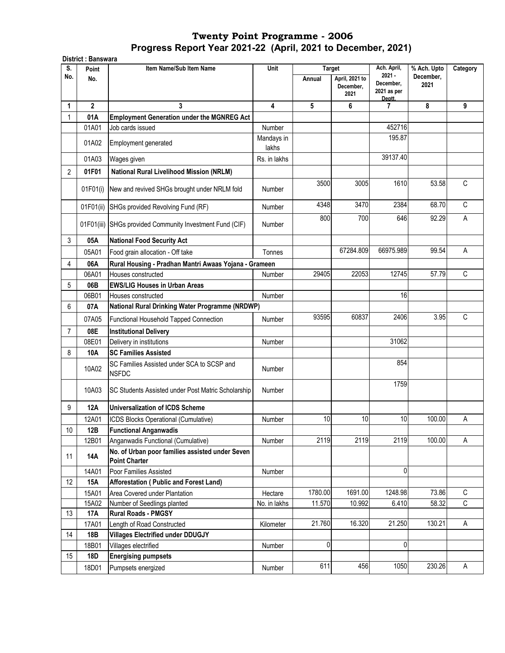|              | <b>District: Banswara</b> |                                                                         |                     |               |                                     |                                    |                          |             |
|--------------|---------------------------|-------------------------------------------------------------------------|---------------------|---------------|-------------------------------------|------------------------------------|--------------------------|-------------|
| S.<br>No.    | Point                     | Item Name/Sub Item Name                                                 | Unit                | <b>Target</b> |                                     | Ach. April,<br>$2021 -$            | % Ach. Upto<br>December, | Category    |
|              | No.                       |                                                                         |                     | Annual        | April, 2021 to<br>December,<br>2021 | December,<br>2021 as per<br>Deptt. | 2021                     |             |
| 1            | $\overline{2}$            | 3                                                                       | 4                   | 5             | 6                                   | 7                                  | 8                        | 9           |
| $\mathbf{1}$ | 01A                       | <b>Employment Generation under the MGNREG Act</b>                       |                     |               |                                     |                                    |                          |             |
|              | 01A01                     | Job cards issued                                                        | Number              |               |                                     | 452716                             |                          |             |
|              | 01A02                     | Employment generated                                                    | Mandays in<br>lakhs |               |                                     | 195.87                             |                          |             |
|              | 01A03                     | Wages given                                                             | Rs. in lakhs        |               |                                     | 39137.40                           |                          |             |
| 2            | 01F01                     | <b>National Rural Livelihood Mission (NRLM)</b>                         |                     |               |                                     |                                    |                          |             |
|              | 01F01(i)                  | New and revived SHGs brought under NRLM fold                            | Number              | 3500          | 3005                                | 1610                               | 53.58                    | C           |
|              | 01F01(ii)                 | SHGs provided Revolving Fund (RF)                                       | Number              | 4348          | 3470                                | 2384                               | 68.70                    | $\mathsf C$ |
|              | 01F01(iii)                | SHGs provided Community Investment Fund (CIF)                           | Number              | 800           | 700                                 | 646                                | 92.29                    | Α           |
| 3            | 05A                       | <b>National Food Security Act</b>                                       |                     |               |                                     |                                    |                          |             |
|              | 05A01                     | Food grain allocation - Off take                                        | Tonnes              |               | 67284.809                           | 66975.989                          | 99.54                    | A           |
| 4            | 06A                       | Rural Housing - Pradhan Mantri Awaas Yojana - Grameen                   |                     |               |                                     |                                    |                          |             |
|              | 06A01                     | Houses constructed                                                      | Number              | 29405         | 22053                               | 12745                              | 57.79                    | C           |
| 5            | 06B                       | <b>EWS/LIG Houses in Urban Areas</b>                                    |                     |               |                                     |                                    |                          |             |
|              | 06B01                     | Houses constructed                                                      | Number              |               |                                     | 16                                 |                          |             |
| 6            | 07A                       | National Rural Drinking Water Programme (NRDWP)                         |                     |               |                                     |                                    |                          |             |
|              | 07A05                     | Functional Household Tapped Connection                                  | Number              | 93595         | 60837                               | 2406                               | 3.95                     | C           |
| 7            | 08E                       | <b>Institutional Delivery</b>                                           |                     |               |                                     |                                    |                          |             |
|              | 08E01                     | Delivery in institutions                                                | Number              |               |                                     | 31062                              |                          |             |
| 8            | 10A                       | <b>SC Families Assisted</b>                                             |                     |               |                                     |                                    |                          |             |
|              | 10A02                     | SC Families Assisted under SCA to SCSP and<br><b>NSFDC</b>              | Number              |               |                                     | 854                                |                          |             |
|              | 10A03                     | SC Students Assisted under Post Matric Scholarship                      | Number              |               |                                     | 1759                               |                          |             |
| 9            | 12A                       | <b>Universalization of ICDS Scheme</b>                                  |                     |               |                                     |                                    |                          |             |
|              | 12A01                     | ICDS Blocks Operational (Cumulative)                                    | Number              | 10            | 10                                  | 10                                 | 100.00                   | Α           |
| 10           | 12B                       | <b>Functional Anganwadis</b>                                            |                     |               |                                     |                                    |                          |             |
|              | 12B01                     | Anganwadis Functional (Cumulative)                                      | Number              | 2119          | 2119                                | 2119                               | 100.00                   | Α           |
| 11           | <b>14A</b>                | No. of Urban poor families assisted under Seven<br><b>Point Charter</b> |                     |               |                                     |                                    |                          |             |
|              | 14A01                     | Poor Families Assisted                                                  | Number              |               |                                     | 0                                  |                          |             |
| 12           | <b>15A</b>                | Afforestation (Public and Forest Land)                                  |                     |               |                                     |                                    |                          |             |
|              | 15A01                     | Area Covered under Plantation                                           | Hectare             | 1780.00       | 1691.00                             | 1248.98                            | 73.86                    | C           |
|              | 15A02                     | Number of Seedlings planted                                             | No. in lakhs        | 11.570        | 10.992                              | 6.410                              | 58.32                    | C           |
| 13           | 17A                       | <b>Rural Roads - PMGSY</b>                                              |                     |               |                                     |                                    |                          |             |
|              | 17A01                     | Length of Road Constructed                                              | Kilometer           | 21.760        | 16.320                              | 21.250                             | 130.21                   | Α           |
| 14           | 18B                       | <b>Villages Electrified under DDUGJY</b>                                |                     |               |                                     |                                    |                          |             |
|              | 18B01                     | Villages electrified                                                    | Number              | 0             |                                     | $\overline{0}$                     |                          |             |
| 15           | <b>18D</b>                | <b>Energising pumpsets</b>                                              |                     |               |                                     |                                    |                          |             |
|              | 18D01                     | Pumpsets energized                                                      | Number              | 611           | 456                                 | 1050                               | 230.26                   | A           |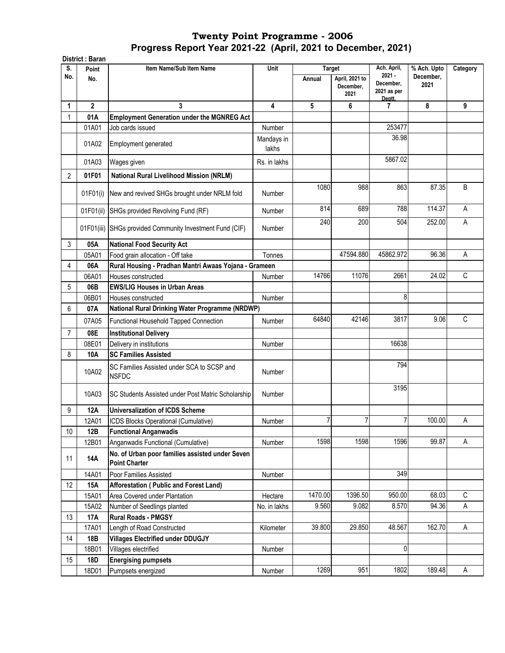|                | District: Baran |                                                                         |                     |                         |                                     |                                                     |                                  |          |
|----------------|-----------------|-------------------------------------------------------------------------|---------------------|-------------------------|-------------------------------------|-----------------------------------------------------|----------------------------------|----------|
| S.<br>No.      | Point<br>No.    | Item Name/Sub Item Name                                                 | Unit                | <b>Target</b><br>Annual | April, 2021 to<br>December,<br>2021 | Ach. April,<br>$2021 -$<br>December,<br>2021 as per | % Ach. Upto<br>December,<br>2021 | Category |
| 1              | $\overline{2}$  | 3                                                                       | 4                   | 5                       | 6                                   | Deptt.<br>7                                         | 8                                | 9        |
| 1              | 01A             | <b>Employment Generation under the MGNREG Act</b>                       |                     |                         |                                     |                                                     |                                  |          |
|                | 01A01           | Job cards issued                                                        | Number              |                         |                                     | 253477                                              |                                  |          |
|                | 01A02           | Employment generated                                                    | Mandays in<br>lakhs |                         |                                     | 36.98                                               |                                  |          |
|                | 01A03           | Wages given                                                             | Rs. in lakhs        |                         |                                     | 5867.02                                             |                                  |          |
| $\overline{c}$ | 01F01           | <b>National Rural Livelihood Mission (NRLM)</b>                         |                     |                         |                                     |                                                     |                                  |          |
|                | 01F01(i)        | New and revived SHGs brought under NRLM fold                            | Number              | 1080                    | 988                                 | 863                                                 | 87.35                            | B        |
|                | 01F01(ii)       | SHGs provided Revolving Fund (RF)                                       | Number              | 814                     | 689                                 | 788                                                 | 114.37                           | A        |
|                | 01F01(iii)      | SHGs provided Community Investment Fund (CIF)                           | Number              | 240                     | 200                                 | 504                                                 | 252.00                           | A        |
| 3              | 05A             | <b>National Food Security Act</b>                                       |                     |                         |                                     |                                                     |                                  |          |
|                | 05A01           | Food grain allocation - Off take                                        | Tonnes              |                         | 47594.880                           | 45862.972                                           | 96.36                            | A        |
| 4              | 06A             | Rural Housing - Pradhan Mantri Awaas Yojana - Grameen                   |                     |                         |                                     |                                                     |                                  |          |
|                | 06A01           | Houses constructed                                                      | Number              | 14766                   | 11076                               | 2661                                                | 24.02                            | C        |
| 5              | 06B             | <b>EWS/LIG Houses in Urban Areas</b>                                    |                     |                         |                                     |                                                     |                                  |          |
|                | 06B01           | Houses constructed                                                      | Number              |                         |                                     | 8                                                   |                                  |          |
| 6              | 07A             | National Rural Drinking Water Programme (NRDWP)                         |                     |                         |                                     |                                                     |                                  |          |
|                | 07A05           | Functional Household Tapped Connection                                  | Number              | 64840                   | 42146                               | 3817                                                | 9.06                             | C        |
| $\overline{7}$ | 08E             | <b>Institutional Delivery</b>                                           |                     |                         |                                     |                                                     |                                  |          |
|                | 08E01           | Delivery in institutions                                                | Number              |                         |                                     | 16638                                               |                                  |          |
| 8              | 10A             | <b>SC Families Assisted</b>                                             |                     |                         |                                     |                                                     |                                  |          |
|                | 10A02           | SC Families Assisted under SCA to SCSP and<br><b>NSFDC</b>              | Number              |                         |                                     | 794                                                 |                                  |          |
|                | 10A03           | SC Students Assisted under Post Matric Scholarship                      | Number              |                         |                                     | 3195                                                |                                  |          |
| 9              | <b>12A</b>      | <b>Universalization of ICDS Scheme</b>                                  |                     |                         |                                     |                                                     |                                  |          |
|                | 12A01           | ICDS Blocks Operational (Cumulative)                                    | Number              | 7                       | 7                                   | 7                                                   | 100.00                           | A        |
| 10             | 12B             | <b>Functional Anganwadis</b>                                            |                     |                         |                                     |                                                     |                                  |          |
|                | 12B01           | Anganwadis Functional (Cumulative)                                      | Number              | 1598                    | 1598                                | 1596                                                | 99.87                            | A        |
| 11             | 14A             | No. of Urban poor families assisted under Seven<br><b>Point Charter</b> |                     |                         |                                     |                                                     |                                  |          |
|                | 14A01           | Poor Families Assisted                                                  | Number              |                         |                                     | 349                                                 |                                  |          |
| 12             | 15A             | Afforestation (Public and Forest Land)                                  |                     |                         |                                     |                                                     |                                  |          |
|                | 15A01           | Area Covered under Plantation                                           | Hectare             | 1470.00                 | 1396.50                             | 950.00                                              | 68.03                            | C        |
|                | 15A02           | Number of Seedlings planted                                             | No. in lakhs        | 9.560                   | 9.082                               | 8.570                                               | 94.36                            | A        |
| 13             | 17A             | <b>Rural Roads - PMGSY</b>                                              |                     |                         |                                     |                                                     |                                  |          |
|                | 17A01           | Length of Road Constructed                                              | Kilometer           | 39.800                  | 29.850                              | 48.567                                              | 162.70                           | Α        |
| 14             | 18B             | <b>Villages Electrified under DDUGJY</b>                                |                     |                         |                                     |                                                     |                                  |          |
|                | 18B01           | Villages electrified                                                    | Number              |                         |                                     | 0                                                   |                                  |          |
| 15             | <b>18D</b>      | <b>Energising pumpsets</b>                                              |                     |                         |                                     |                                                     |                                  |          |
|                | 18D01           | Pumpsets energized                                                      | Number              | 1269                    | 951                                 | 1802                                                | 189.48                           | A        |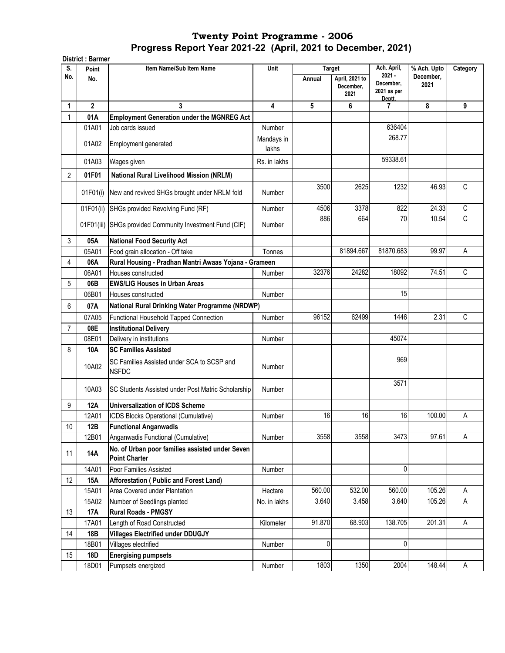|                | <b>District: Barmer</b> |                                                                         |                     |               |                                     |                                                |                   |             |
|----------------|-------------------------|-------------------------------------------------------------------------|---------------------|---------------|-------------------------------------|------------------------------------------------|-------------------|-------------|
| S.             | Point                   | Item Name/Sub Item Name                                                 | Unit                | <b>Target</b> |                                     | Ach. April,                                    | % Ach. Upto       | Category    |
| No.            | No.                     |                                                                         |                     | Annual        | April, 2021 to<br>December,<br>2021 | $2021 -$<br>December,<br>2021 as per<br>Deptt. | December,<br>2021 |             |
| 1              | $\overline{2}$          | 3                                                                       | 4                   | 5             | 6                                   | 7                                              | 8                 | 9           |
| 1              | 01A                     | <b>Employment Generation under the MGNREG Act</b>                       |                     |               |                                     |                                                |                   |             |
|                | 01A01                   | Job cards issued                                                        | Number              |               |                                     | 636404                                         |                   |             |
|                | 01A02                   | Employment generated                                                    | Mandays in<br>lakhs |               |                                     | 268.77                                         |                   |             |
|                | 01A03                   | Wages given                                                             | Rs. in lakhs        |               |                                     | 59338.61                                       |                   |             |
| $\overline{2}$ | 01F01                   | <b>National Rural Livelihood Mission (NRLM)</b>                         |                     |               |                                     |                                                |                   |             |
|                | 01F01(i)                | New and revived SHGs brought under NRLM fold                            | Number              | 3500          | 2625                                | 1232                                           | 46.93             | C           |
|                | 01F01(ii)               | SHGs provided Revolving Fund (RF)                                       | Number              | 4506          | 3378                                | 822                                            | 24.33             | C           |
|                | 01F01(iii)              | SHGs provided Community Investment Fund (CIF)                           | Number              | 886           | 664                                 | 70                                             | 10.54             | C           |
| 3              | 05A                     | <b>National Food Security Act</b>                                       |                     |               |                                     |                                                |                   |             |
|                | 05A01                   | Food grain allocation - Off take                                        | Tonnes              |               | 81894.667                           | 81870.683                                      | 99.97             | A           |
| 4              | 06A                     | Rural Housing - Pradhan Mantri Awaas Yojana - Grameen                   |                     |               |                                     |                                                |                   |             |
|                | 06A01                   | Houses constructed                                                      | Number              | 32376         | 24282                               | 18092                                          | 74.51             | $\mathbb C$ |
| 5              | 06B                     | <b>EWS/LIG Houses in Urban Areas</b>                                    |                     |               |                                     |                                                |                   |             |
|                | 06B01                   | Houses constructed                                                      | Number              |               |                                     | 15                                             |                   |             |
| 6              | 07A                     | National Rural Drinking Water Programme (NRDWP)                         |                     |               |                                     |                                                |                   |             |
|                | 07A05                   | Functional Household Tapped Connection                                  | Number              | 96152         | 62499                               | 1446                                           | 2.31              | C           |
| $\overline{7}$ | 08E                     | <b>Institutional Delivery</b>                                           |                     |               |                                     |                                                |                   |             |
|                | 08E01                   | Delivery in institutions                                                | Number              |               |                                     | 45074                                          |                   |             |
| 8              | 10A                     | <b>SC Families Assisted</b>                                             |                     |               |                                     |                                                |                   |             |
|                | 10A02                   | SC Families Assisted under SCA to SCSP and<br><b>NSFDC</b>              | Number              |               |                                     | 969                                            |                   |             |
|                | 10A03                   | SC Students Assisted under Post Matric Scholarship                      | Number              |               |                                     | 3571                                           |                   |             |
| 9              | 12A                     | <b>Universalization of ICDS Scheme</b>                                  |                     |               |                                     |                                                |                   |             |
|                | 12A01                   | ICDS Blocks Operational (Cumulative)                                    | Number              | 16            | 16                                  | 16                                             | 100.00            | Α           |
| 10             | 12B                     | <b>Functional Anganwadis</b>                                            |                     |               |                                     |                                                |                   |             |
|                | 12B01                   | Anganwadis Functional (Cumulative)                                      | Number              | 3558          | 3558                                | 3473                                           | 97.61             | A           |
| 11             | 14A                     | No. of Urban poor families assisted under Seven<br><b>Point Charter</b> |                     |               |                                     |                                                |                   |             |
|                | 14A01                   | Poor Families Assisted                                                  | Number              |               |                                     | $\mathbf 0$                                    |                   |             |
| 12             | 15A                     | Afforestation (Public and Forest Land)                                  |                     |               |                                     |                                                |                   |             |
|                | 15A01                   | Area Covered under Plantation                                           | Hectare             | 560.00        | 532.00                              | 560.00                                         | 105.26            | Α           |
|                | 15A02                   | Number of Seedlings planted                                             | No. in lakhs        | 3.640         | 3.458                               | 3.640                                          | 105.26            | A           |
| 13             | 17A                     | <b>Rural Roads - PMGSY</b>                                              |                     |               |                                     |                                                |                   |             |
|                | 17A01                   | Length of Road Constructed                                              | Kilometer           | 91.870        | 68.903                              | 138.705                                        | 201.31            | Α           |
| 14             | 18B                     | <b>Villages Electrified under DDUGJY</b>                                |                     |               |                                     |                                                |                   |             |
|                | 18B01                   | Villages electrified                                                    | Number              | 0             |                                     | 0                                              |                   |             |
| 15             | 18D                     | <b>Energising pumpsets</b>                                              |                     |               |                                     |                                                |                   |             |
|                | 18D01                   | Pumpsets energized                                                      | Number              | 1803          | 1350                                | 2004                                           | 148.44            | A           |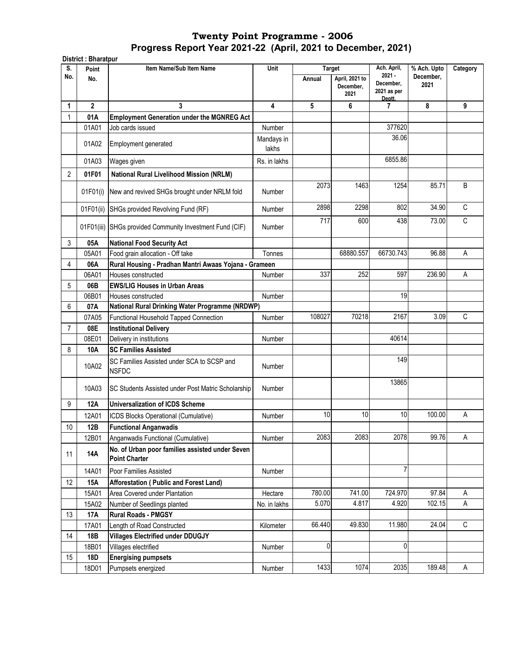**District : Bharatpur Point Item Name/Sub Item Name No. Annual April, 2021 to December, 2021 1 2 3 4 5 6 7 8 9** 1 **01A Employment Generation under the MGNREG Act**  01A01 Job cards issued Number Number 377620 01A02 Employment generated Mandays in lakhs 36.06 01A03 |Wages given | Rs. in lakhs | | | 6855.86 2 **01F01 National Rural Livelihood Mission (NRLM)** 01F01(i) New and revived SHGs brought under NRLM fold Number 2073| 1463| 1254| 85.71| B 01F01(ii) SHGs provided Revolving Fund (RF)  $\vert$  Number  $\vert$  2898 2298 802 34.90 C 01F01(iii) SHGs provided Community Investment Fund (CIF) Number 717 600 438 73.00 C 3 **05A National Food Security Act** 058.01 | Food grain allocation - Off take Tonnes | Tonnes | Tonnes | 68880.557 66730.743 96.88 A 4 **06A Rural Housing - Pradhan Mantri Awaas Yojana - Grameen**  06A01 Houses constructed The Constructed Number 337 252 597 236.90 A 5 **06B EWS/LIG Houses in Urban Areas**  06B01 Houses constructed and the Number 19 Number 19 Number 19 Number 19 Number 19 Number 19 Number 19 Number 19 6 **07A** 07A05 Functional Household Tapped Connection | Number | 108027 70218 2167 2167 3.09 C 7 **08E Institutional Delivery**  08E01 Delivery in institutions Number | Number | Number | 40614 8 **10A SC Families Assisted**  10A02 SC Families Assisted under SCA to SCSP and<br>NSFDC NSFDC Number Number Number 149 10A03 SC Students Assisted under Post Matric Scholarship Number 13865 9 **12A Universalization of ICDS Scheme**  12A01 |ICDS Blocks Operational (Cumulative) | Number | 10 10 10 10 10 100.00 A 10 **12B Functional Anganwadis**  12B01 Anganwadis Functional (Cumulative) Number 2083 2083 2078 99.76 A <sup>11</sup> **14A No. of Urban poor families assisted under Seven Point Charter**  14A01 Poor Families Assisted Number 1 Number 1 Number 1 Number 1 Number 1 Number 1 Number 1 Number 1 Number 1 12 **15A Afforestation ( Public and Forest Land)**  15A01 Area Covered under Plantation **Hectare | 780.00 741.00 724.970 97.84 A** 15A02 Number of Seedlings planted **No. in lakhs | Mo. in lakhs | 15.070** 4.817 4.920 102.15 A 13 **17A Rural Roads - PMGSY**  17A01 Length of Road Constructed The Rilometer | 66.440 49.830 11.980 24.04 C 14 **18B Villages Electrified under DDUGJY** 18B01 Villages electrified Number 0 0 15 **18D Energising pumpsets**  18D01 Pumpsets energized **Number 1433** 1074 2035 189.48 A **National Rural Drinking Water Programme (NRDWP) S. No.** Unit Target Ach. April, **2021 - December, 2021 as per Deptt. % Ach. Upto December, 2021 Category**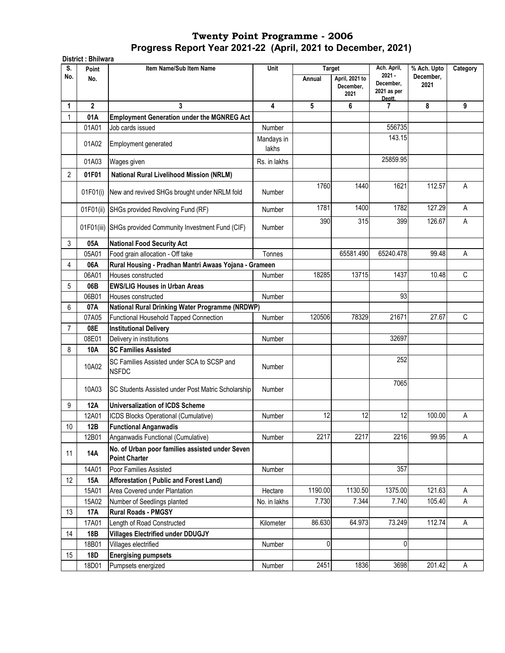|                 | District: Bhilwara |                                                                         |                     |               |                                     |                                                |                   |          |  |  |
|-----------------|--------------------|-------------------------------------------------------------------------|---------------------|---------------|-------------------------------------|------------------------------------------------|-------------------|----------|--|--|
| S.              | Point              | Item Name/Sub Item Name                                                 | <b>Unit</b>         | <b>Target</b> |                                     | Ach. April,                                    | % Ach. Upto       | Category |  |  |
| No.             | No.                |                                                                         |                     | Annual        | April, 2021 to<br>December,<br>2021 | $2021 -$<br>December,<br>2021 as per<br>Deptt. | December,<br>2021 |          |  |  |
| 1               | $\mathbf{2}$       | 3                                                                       | 4                   | 5             | 6                                   | 7                                              | 8                 | 9        |  |  |
| 1               | 01A                | <b>Employment Generation under the MGNREG Act</b>                       |                     |               |                                     |                                                |                   |          |  |  |
|                 | 01A01              | Job cards issued                                                        | Number              |               |                                     | 556735                                         |                   |          |  |  |
|                 | 01A02              | Employment generated                                                    | Mandays in<br>lakhs |               |                                     | 143.15                                         |                   |          |  |  |
|                 | 01A03              | Wages given                                                             | Rs. in lakhs        |               |                                     | 25859.95                                       |                   |          |  |  |
| 2               | 01F01              | <b>National Rural Livelihood Mission (NRLM)</b>                         |                     |               |                                     |                                                |                   |          |  |  |
|                 | 01F01(i)           | New and revived SHGs brought under NRLM fold                            | Number              | 1760          | 1440                                | 1621                                           | 112.57            | A        |  |  |
|                 | 01F01(ii)          | SHGs provided Revolving Fund (RF)                                       | Number              | 1781          | 1400                                | 1782                                           | 127.29            | А        |  |  |
|                 |                    | 01F01(iii) SHGs provided Community Investment Fund (CIF)                | Number              | 390           | 315                                 | 399                                            | 126.67            | A        |  |  |
| 3               | 05A                | <b>National Food Security Act</b>                                       |                     |               |                                     |                                                |                   |          |  |  |
|                 | 05A01              | Food grain allocation - Off take                                        | Tonnes              |               | 65581.490                           | 65240.478                                      | 99.48             | A        |  |  |
| 4               | 06A                | Rural Housing - Pradhan Mantri Awaas Yojana - Grameen                   |                     |               |                                     |                                                |                   |          |  |  |
|                 | 06A01              | Houses constructed                                                      | Number              | 18285         | 13715                               | 1437                                           | 10.48             | C        |  |  |
| 5               | 06B                | <b>EWS/LIG Houses in Urban Areas</b>                                    |                     |               |                                     |                                                |                   |          |  |  |
|                 | 06B01              | Houses constructed                                                      | Number              |               |                                     | 93                                             |                   |          |  |  |
| 6               | 07A                | National Rural Drinking Water Programme (NRDWP)                         |                     |               |                                     |                                                |                   |          |  |  |
|                 | 07A05              | Functional Household Tapped Connection                                  | Number              | 120506        | 78329                               | 21671                                          | 27.67             | C        |  |  |
| 7               | 08E                | <b>Institutional Delivery</b>                                           |                     |               |                                     |                                                |                   |          |  |  |
|                 | 08E01              | Delivery in institutions                                                | Number              |               |                                     | 32697                                          |                   |          |  |  |
| 8               | <b>10A</b>         | <b>SC Families Assisted</b>                                             |                     |               |                                     |                                                |                   |          |  |  |
|                 | 10A02              | SC Families Assisted under SCA to SCSP and<br><b>NSFDC</b>              | Number              |               |                                     | 252                                            |                   |          |  |  |
|                 | 10A03              | <b>SC Students Assisted under Post Matric Scholarship</b>               | Number              |               |                                     | 7065                                           |                   |          |  |  |
| 9               | <b>12A</b>         | <b>Universalization of ICDS Scheme</b>                                  |                     |               |                                     |                                                |                   |          |  |  |
|                 | 12A01              | ICDS Blocks Operational (Cumulative)                                    | Number              | 12            | 12                                  | 12                                             | 100.00            | Α        |  |  |
| 10 <sup>°</sup> | 12B                | <b>Functional Anganwadis</b>                                            |                     |               |                                     |                                                |                   |          |  |  |
|                 | 12B01              | Anganwadis Functional (Cumulative)                                      | Number              | 2217          | 2217                                | 2216                                           | 99.95             | Α        |  |  |
| 11              | <b>14A</b>         | No. of Urban poor families assisted under Seven<br><b>Point Charter</b> |                     |               |                                     |                                                |                   |          |  |  |
|                 | 14A01              | Poor Families Assisted                                                  | Number              |               |                                     | 357                                            |                   |          |  |  |
| 12              | <b>15A</b>         | Afforestation (Public and Forest Land)                                  |                     |               |                                     |                                                |                   |          |  |  |
|                 | 15A01              | Area Covered under Plantation                                           | Hectare             | 1190.00       | 1130.50                             | 1375.00                                        | 121.63            | Α        |  |  |
|                 | 15A02              | Number of Seedlings planted                                             | No. in lakhs        | 7.730         | 7.344                               | 7.740                                          | 105.40            | Α        |  |  |
| 13              | <b>17A</b>         | <b>Rural Roads - PMGSY</b>                                              |                     |               |                                     |                                                |                   |          |  |  |
|                 | 17A01              | Length of Road Constructed                                              | Kilometer           | 86.630        | 64.973                              | 73.249                                         | 112.74            | A        |  |  |
| 14              | 18B                | <b>Villages Electrified under DDUGJY</b>                                |                     |               |                                     |                                                |                   |          |  |  |
|                 | 18B01              | Villages electrified                                                    | Number              | $\pmb{0}$     |                                     | 0                                              |                   |          |  |  |
| 15              | 18D                | <b>Energising pumpsets</b>                                              |                     |               |                                     |                                                |                   |          |  |  |
|                 | 18D01              | Pumpsets energized                                                      | Number              | 2451          | 1836                                | 3698                                           | 201.42            | Α        |  |  |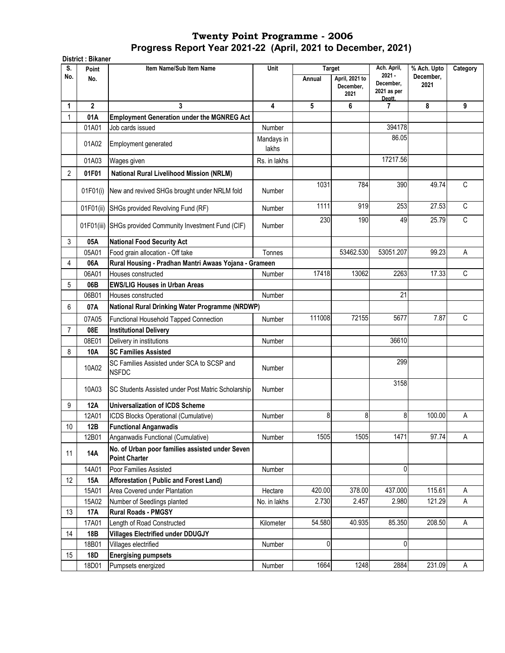|                 | District: Bikaner |                                                                         |                     |               |                                     |                                    |                   |              |
|-----------------|-------------------|-------------------------------------------------------------------------|---------------------|---------------|-------------------------------------|------------------------------------|-------------------|--------------|
| S.              | Point             | Item Name/Sub Item Name                                                 | Unit                | <b>Target</b> |                                     | Ach. April,<br>$2021 -$            | % Ach. Upto       | Category     |
| No.             | No.               |                                                                         |                     | Annual        | April, 2021 to<br>December,<br>2021 | December,<br>2021 as per<br>Deptt. | December.<br>2021 |              |
| 1               | $\overline{2}$    | 3                                                                       | 4                   | 5             | 6                                   | $\mathbf{7}$                       | 8                 | 9            |
| 1               | 01A               | <b>Employment Generation under the MGNREG Act</b>                       |                     |               |                                     |                                    |                   |              |
|                 | 01A01             | Job cards issued                                                        | Number              |               |                                     | 394178                             |                   |              |
|                 | 01A02             | Employment generated                                                    | Mandays in<br>lakhs |               |                                     | 86.05                              |                   |              |
|                 | 01A03             | Wages given                                                             | Rs. in lakhs        |               |                                     | 17217.56                           |                   |              |
| 2               | 01F01             | <b>National Rural Livelihood Mission (NRLM)</b>                         |                     |               |                                     |                                    |                   |              |
|                 | 01F01(i)          | New and revived SHGs brought under NRLM fold                            | Number              | 1031          | 784                                 | 390                                | 49.74             | C            |
|                 | 01F01(ii)         | SHGs provided Revolving Fund (RF)                                       | Number              | 1111          | 919                                 | 253                                | 27.53             | $\mathsf{C}$ |
|                 | 01F01(iii)        | SHGs provided Community Investment Fund (CIF)                           | Number              | 230           | 190                                 | 49                                 | 25.79             | $\mathsf C$  |
| 3               | 05A               | <b>National Food Security Act</b>                                       |                     |               |                                     |                                    |                   |              |
|                 | 05A01             | Food grain allocation - Off take                                        | Tonnes              |               | 53462.530                           | 53051.207                          | 99.23             | A            |
| 4               | 06A               | Rural Housing - Pradhan Mantri Awaas Yojana - Grameen                   |                     |               |                                     |                                    |                   |              |
|                 | 06A01             | Houses constructed                                                      | Number              | 17418         | 13062                               | 2263                               | 17.33             | C            |
| 5               | 06B               | <b>EWS/LIG Houses in Urban Areas</b>                                    |                     |               |                                     |                                    |                   |              |
|                 | 06B01             | Houses constructed                                                      | Number              |               |                                     | 21                                 |                   |              |
| 6               | 07A               | National Rural Drinking Water Programme (NRDWP)                         |                     |               |                                     |                                    |                   |              |
|                 | 07A05             | Functional Household Tapped Connection                                  | Number              | 111008        | 72155                               | 5677                               | 7.87              | $\mathsf C$  |
| $\overline{7}$  | 08E               | <b>Institutional Delivery</b>                                           |                     |               |                                     |                                    |                   |              |
|                 | 08E01             | Delivery in institutions                                                | Number              |               |                                     | 36610                              |                   |              |
| 8               | 10A               | <b>SC Families Assisted</b>                                             |                     |               |                                     |                                    |                   |              |
|                 | 10A02             | SC Families Assisted under SCA to SCSP and<br><b>NSFDC</b>              | Number              |               |                                     | 299                                |                   |              |
|                 | 10A03             | SC Students Assisted under Post Matric Scholarship                      | Number              |               |                                     | 3158                               |                   |              |
| 9               | <b>12A</b>        | <b>Universalization of ICDS Scheme</b>                                  |                     |               |                                     |                                    |                   |              |
|                 | 12A01             | ICDS Blocks Operational (Cumulative)                                    | Number              | 8             | 8                                   | 8                                  | 100.00            | Α            |
| 10 <sup>°</sup> | 12B               | <b>Functional Anganwadis</b>                                            |                     |               |                                     |                                    |                   |              |
|                 | 12B01             | Anganwadis Functional (Cumulative)                                      | Number              | 1505          | 1505                                | 1471                               | 97.74             | Α            |
| 11              | <b>14A</b>        | No. of Urban poor families assisted under Seven<br><b>Point Charter</b> |                     |               |                                     |                                    |                   |              |
|                 | 14A01             | Poor Families Assisted                                                  | Number              |               |                                     | 0                                  |                   |              |
| 12              | 15A               | Afforestation (Public and Forest Land)                                  |                     |               |                                     |                                    |                   |              |
|                 | 15A01             | Area Covered under Plantation                                           | Hectare             | 420.00        | 378.00                              | 437.000                            | 115.61            | Α            |
|                 | 15A02             | Number of Seedlings planted                                             | No. in lakhs        | 2.730         | 2.457                               | 2.980                              | 121.29            | Α            |
| 13              | <b>17A</b>        | <b>Rural Roads - PMGSY</b>                                              |                     |               |                                     |                                    |                   |              |
|                 | 17A01             | Length of Road Constructed                                              | Kilometer           | 54.580        | 40.935                              | 85.350                             | 208.50            | Α            |
| 14              | 18B               | <b>Villages Electrified under DDUGJY</b>                                |                     |               |                                     |                                    |                   |              |
|                 | 18B01             | Villages electrified                                                    | Number              | $\pmb{0}$     |                                     | 0                                  |                   |              |
| 15              | 18D               | <b>Energising pumpsets</b>                                              |                     |               |                                     |                                    |                   |              |
|                 | 18D01             | Pumpsets energized                                                      | Number              | 1664          | 1248                                | 2884                               | 231.09            | Α            |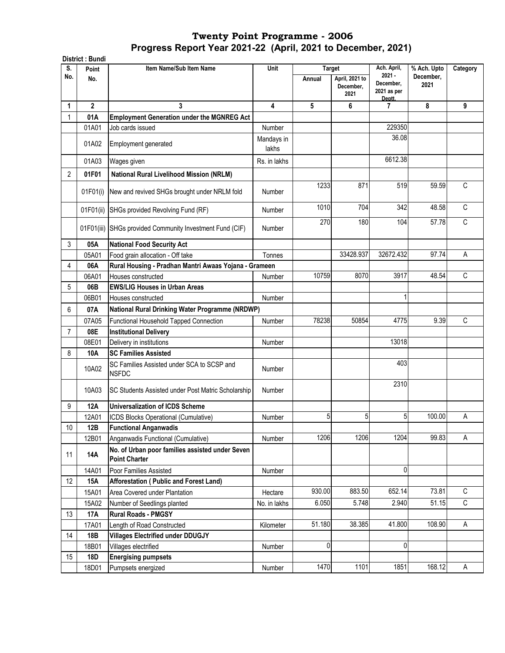|           | District: Bundi |                                                                         |                     |                  |                                     |                                                               |                                  |              |
|-----------|-----------------|-------------------------------------------------------------------------|---------------------|------------------|-------------------------------------|---------------------------------------------------------------|----------------------------------|--------------|
| S.<br>No. | Point<br>No.    | Item Name/Sub Item Name                                                 | Unit                | Target<br>Annual | April, 2021 to<br>December,<br>2021 | Ach. April,<br>$2021 -$<br>December,<br>2021 as per<br>Deptt. | % Ach. Upto<br>December,<br>2021 | Category     |
| 1         | $\overline{2}$  | 3                                                                       | 4                   | 5                | 6                                   | 7                                                             | 8                                | 9            |
| 1         | 01A             | <b>Employment Generation under the MGNREG Act</b>                       |                     |                  |                                     |                                                               |                                  |              |
|           | 01A01           | Job cards issued                                                        | Number              |                  |                                     | 229350                                                        |                                  |              |
|           | 01A02           | <b>Employment generated</b>                                             | Mandays in<br>lakhs |                  |                                     | 36.08                                                         |                                  |              |
|           | 01A03           | Wages given                                                             | Rs. in lakhs        |                  |                                     | 6612.38                                                       |                                  |              |
| 2         | 01F01           | <b>National Rural Livelihood Mission (NRLM)</b>                         |                     |                  |                                     |                                                               |                                  |              |
|           | 01F01(i)        | New and revived SHGs brought under NRLM fold                            | Number              | 1233             | 871                                 | 519                                                           | 59.59                            | $\mathsf{C}$ |
|           | 01F01(ii)       | SHGs provided Revolving Fund (RF)                                       | Number              | 1010             | 704                                 | 342                                                           | 48.58                            | C            |
|           |                 | 01F01(iii) SHGs provided Community Investment Fund (CIF)                | Number              | 270              | 180                                 | 104                                                           | 57.78                            | C            |
| 3         | 05A             | <b>National Food Security Act</b>                                       |                     |                  |                                     |                                                               |                                  |              |
|           | 05A01           | Food grain allocation - Off take                                        | Tonnes              |                  | 33428.937                           | 32672.432                                                     | 97.74                            | A            |
| 4         | 06A             | Rural Housing - Pradhan Mantri Awaas Yojana - Grameen                   |                     |                  |                                     |                                                               |                                  |              |
|           | 06A01           | Houses constructed                                                      | Number              | 10759            | 8070                                | 3917                                                          | 48.54                            | $\mathsf C$  |
| 5         | 06B             | <b>EWS/LIG Houses in Urban Areas</b>                                    |                     |                  |                                     |                                                               |                                  |              |
|           | 06B01           | Houses constructed                                                      | Number              |                  |                                     | 1                                                             |                                  |              |
| 6         | 07A             | National Rural Drinking Water Programme (NRDWP)                         |                     |                  |                                     |                                                               |                                  |              |
|           | 07A05           | Functional Household Tapped Connection                                  | Number              | 78238            | 50854                               | 4775                                                          | 9.39                             | C            |
| 7         | 08E             | <b>Institutional Delivery</b>                                           |                     |                  |                                     |                                                               |                                  |              |
|           | 08E01           | Delivery in institutions                                                | Number              |                  |                                     | 13018                                                         |                                  |              |
| 8         | 10A             | <b>SC Families Assisted</b>                                             |                     |                  |                                     |                                                               |                                  |              |
|           | 10A02           | SC Families Assisted under SCA to SCSP and<br><b>NSFDC</b>              | Number              |                  |                                     | 403                                                           |                                  |              |
|           | 10A03           | SC Students Assisted under Post Matric Scholarship                      | Number              |                  |                                     | 2310                                                          |                                  |              |
| 9         | <b>12A</b>      | <b>Universalization of ICDS Scheme</b>                                  |                     |                  |                                     |                                                               |                                  |              |
|           | 12A01           | ICDS Blocks Operational (Cumulative)                                    | Number              | 5                | 5                                   | 5                                                             | 100.00                           | Α            |
| 10        | 12B             | <b>Functional Anganwadis</b>                                            |                     |                  |                                     |                                                               |                                  |              |
|           | 12B01           | Anganwadis Functional (Cumulative)                                      | Number              | 1206             | 1206                                | 1204                                                          | 99.83                            | A            |
| 11        | 14A             | No. of Urban poor families assisted under Seven<br><b>Point Charter</b> |                     |                  |                                     |                                                               |                                  |              |
|           | 14A01           | Poor Families Assisted                                                  | Number              |                  |                                     | 0                                                             |                                  |              |
| 12        | <b>15A</b>      | Afforestation (Public and Forest Land)                                  |                     |                  |                                     |                                                               |                                  |              |
|           | 15A01           | Area Covered under Plantation                                           | Hectare             | 930.00           | 883.50                              | 652.14                                                        | 73.81                            | $\mathsf{C}$ |
|           | 15A02           | Number of Seedlings planted                                             | No. in lakhs        | 6.050            | 5.748                               | 2.940                                                         | 51.15                            | C            |
| 13        | 17A             | <b>Rural Roads - PMGSY</b>                                              |                     |                  |                                     |                                                               |                                  |              |
|           | 17A01           | Length of Road Constructed                                              | Kilometer           | 51.180           | 38.385                              | 41.800                                                        | 108.90                           | Α            |
| 14        | 18B             | <b>Villages Electrified under DDUGJY</b>                                |                     |                  |                                     |                                                               |                                  |              |
|           | 18B01           | Villages electrified                                                    | Number              | $\mathbf{0}$     |                                     | $\mathbf{0}$                                                  |                                  |              |
| 15        | 18D             | <b>Energising pumpsets</b>                                              |                     |                  |                                     |                                                               |                                  |              |
|           | 18D01           | Pumpsets energized                                                      | Number              | 1470             | 1101                                | 1851                                                          | 168.12                           | A            |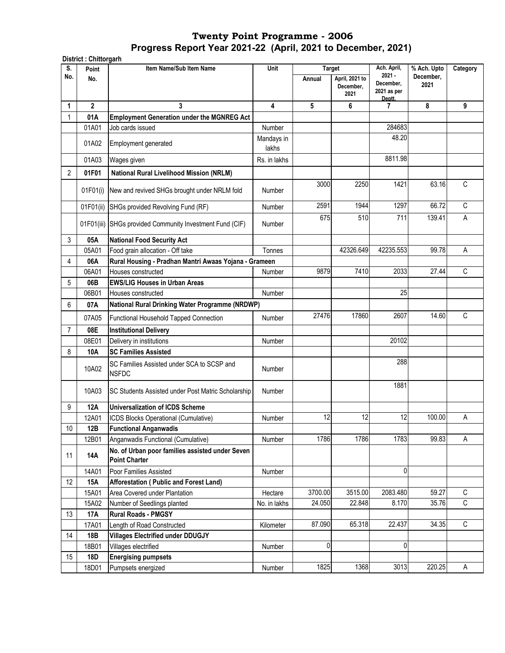**District : Chittorgarh**

| S.             | Point          | Item Name/Sub Item Name                                                 | Unit                | <b>Target</b> |                                     | Ach. April,                                    | % Ach. Upto       | Category    |
|----------------|----------------|-------------------------------------------------------------------------|---------------------|---------------|-------------------------------------|------------------------------------------------|-------------------|-------------|
| No.            | No.            |                                                                         |                     | Annual        | April, 2021 to<br>December,<br>2021 | $2021 -$<br>December,<br>2021 as per<br>Deptt. | December,<br>2021 |             |
| 1              | $\overline{2}$ | 3                                                                       | 4                   | 5             | 6                                   | 7                                              | 8                 | 9           |
|                | 01A            | <b>Employment Generation under the MGNREG Act</b>                       |                     |               |                                     |                                                |                   |             |
|                | 01A01          | Job cards issued                                                        | Number              |               |                                     | 284683                                         |                   |             |
|                | 01A02          | Employment generated                                                    | Mandays in<br>lakhs |               |                                     | 48.20                                          |                   |             |
|                | 01A03          | Wages given                                                             | Rs. in lakhs        |               |                                     | 8811.98                                        |                   |             |
| $\overline{2}$ | 01F01          | <b>National Rural Livelihood Mission (NRLM)</b>                         |                     |               |                                     |                                                |                   |             |
|                | 01F01(i)       | New and revived SHGs brought under NRLM fold                            | Number              | 3000          | 2250                                | 1421                                           | 63.16             | C           |
|                | 01F01(ii)      | SHGs provided Revolving Fund (RF)                                       | Number              | 2591          | 1944                                | 1297                                           | 66.72             | $\mathsf C$ |
|                |                | 01F01(iii) SHGs provided Community Investment Fund (CIF)                | Number              | 675           | 510                                 | 711                                            | 139.41            | А           |
| 3              | 05A            | <b>National Food Security Act</b>                                       |                     |               |                                     |                                                |                   |             |
|                | 05A01          | Food grain allocation - Off take                                        | Tonnes              |               | 42326.649                           | 42235.553                                      | 99.78             | Α           |
| 4              | 06A            | Rural Housing - Pradhan Mantri Awaas Yojana - Grameen                   |                     |               |                                     |                                                |                   |             |
|                | 06A01          | Houses constructed                                                      | Number              | 9879          | 7410                                | 2033                                           | 27.44             | C           |
| 5              | 06B            | <b>EWS/LIG Houses in Urban Areas</b>                                    |                     |               |                                     |                                                |                   |             |
|                | 06B01          | Houses constructed                                                      | Number              |               |                                     | 25                                             |                   |             |
| 6              | 07A            | National Rural Drinking Water Programme (NRDWP)                         |                     |               |                                     |                                                |                   |             |
|                | 07A05          | Functional Household Tapped Connection                                  | Number              | 27476         | 17860                               | 2607                                           | 14.60             | $\mathsf C$ |
| 7              | 08E            | <b>Institutional Delivery</b>                                           |                     |               |                                     |                                                |                   |             |
|                | 08E01          | Delivery in institutions                                                | Number              |               |                                     | 20102                                          |                   |             |
| 8              | 10A            | <b>SC Families Assisted</b>                                             |                     |               |                                     |                                                |                   |             |
|                | 10A02          | SC Families Assisted under SCA to SCSP and<br><b>NSFDC</b>              | Number              |               |                                     | 288                                            |                   |             |
|                | 10A03          | SC Students Assisted under Post Matric Scholarship                      | Number              |               |                                     | 1881                                           |                   |             |
| 9              | <b>12A</b>     | <b>Universalization of ICDS Scheme</b>                                  |                     |               |                                     |                                                |                   |             |
|                | 12A01          | ICDS Blocks Operational (Cumulative)                                    | Number              | 12            | 12                                  | 12                                             | 100.00            | А           |
| 10             | 12B            | <b>Functional Anganwadis</b>                                            |                     |               |                                     |                                                |                   |             |
|                | 12B01          | Anganwadis Functional (Cumulative)                                      | Number              | 1786          | 1786                                | 1783                                           | 99.83             | А           |
| 11             | 14A            | No. of Urban poor families assisted under Seven<br><b>Point Charter</b> |                     |               |                                     |                                                |                   |             |
|                | 14A01          | Poor Families Assisted                                                  | Number              |               |                                     | 0                                              |                   |             |
| 12             | <b>15A</b>     | Afforestation (Public and Forest Land)                                  |                     |               |                                     |                                                |                   |             |
|                | 15A01          | Area Covered under Plantation                                           | Hectare             | 3700.00       | 3515.00                             | 2083.480                                       | 59.27             | С           |
|                | 15A02          | Number of Seedlings planted                                             | No. in lakhs        | 24.050        | 22.848                              | 8.170                                          | 35.76             | С           |
| 13             | <b>17A</b>     | <b>Rural Roads - PMGSY</b>                                              |                     |               |                                     |                                                |                   |             |
|                | 17A01          | Length of Road Constructed                                              | Kilometer           | 87.090        | 65.318                              | 22.437                                         | 34.35             | $\mathsf C$ |
| 14             | 18B            | <b>Villages Electrified under DDUGJY</b>                                |                     |               |                                     |                                                |                   |             |
|                | 18B01          | Villages electrified                                                    | Number              | 0             |                                     | 0                                              |                   |             |
| 15             | 18D            | <b>Energising pumpsets</b>                                              |                     |               |                                     |                                                |                   |             |
|                | 18D01          | Pumpsets energized                                                      | Number              | 1825          | 1368                                | 3013                                           | 220.25            | Α           |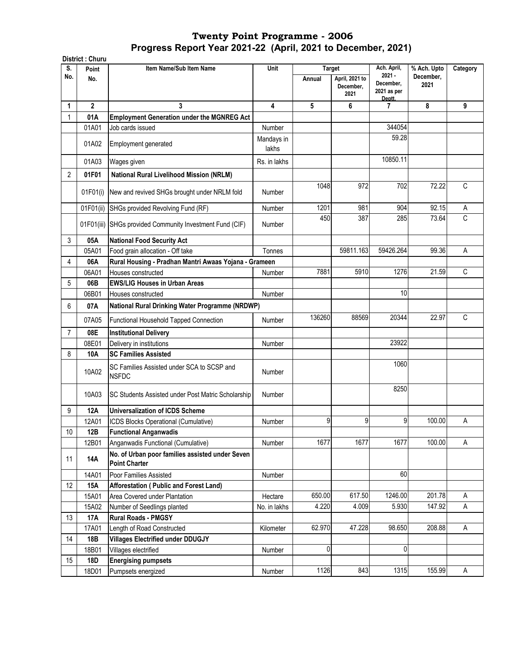|                | District: Churu |                                                                         |                     |                         |                                     |                                                               |                                  |              |
|----------------|-----------------|-------------------------------------------------------------------------|---------------------|-------------------------|-------------------------------------|---------------------------------------------------------------|----------------------------------|--------------|
| S.<br>No.      | Point<br>No.    | Item Name/Sub Item Name                                                 | Unit                | <b>Target</b><br>Annual | April, 2021 to<br>December,<br>2021 | Ach. April,<br>$2021 -$<br>December,<br>2021 as per<br>Deptt. | % Ach. Upto<br>December,<br>2021 | Category     |
| 1              | $\overline{2}$  | 3                                                                       | 4                   | 5                       | 6                                   | 7                                                             | 8                                | 9            |
| 1              | 01A             | <b>Employment Generation under the MGNREG Act</b>                       |                     |                         |                                     |                                                               |                                  |              |
|                | 01A01           | Job cards issued                                                        | Number              |                         |                                     | 344054                                                        |                                  |              |
|                | 01A02           | <b>Employment generated</b>                                             | Mandays in<br>lakhs |                         |                                     | 59.28                                                         |                                  |              |
|                | 01A03           | Wages given                                                             | Rs. in lakhs        |                         |                                     | 10850.11                                                      |                                  |              |
| $\overline{2}$ | 01F01           | <b>National Rural Livelihood Mission (NRLM)</b>                         |                     |                         |                                     |                                                               |                                  |              |
|                | 01F01(i)        | New and revived SHGs brought under NRLM fold                            | Number              | 1048                    | 972                                 | 702                                                           | 72.22                            | $\mathsf{C}$ |
|                | 01F01(ii)       | SHGs provided Revolving Fund (RF)                                       | Number              | 1201                    | 981                                 | 904                                                           | 92.15                            | Α            |
|                | 01F01(iii)      | SHGs provided Community Investment Fund (CIF)                           | Number              | 450                     | 387                                 | 285                                                           | 73.64                            | C            |
| 3              | 05A             | <b>National Food Security Act</b>                                       |                     |                         |                                     |                                                               |                                  |              |
|                | 05A01           | Food grain allocation - Off take                                        | Tonnes              |                         | 59811.163                           | 59426.264                                                     | 99.36                            | A            |
| 4              | 06A             | Rural Housing - Pradhan Mantri Awaas Yojana - Grameen                   |                     |                         |                                     |                                                               |                                  |              |
|                | 06A01           | Houses constructed                                                      | Number              | 7881                    | 5910                                | 1276                                                          | 21.59                            | C            |
| 5              | 06B             | <b>EWS/LIG Houses in Urban Areas</b>                                    |                     |                         |                                     |                                                               |                                  |              |
|                | 06B01           | Houses constructed                                                      | Number              |                         |                                     | 10                                                            |                                  |              |
| 6              | 07A             | National Rural Drinking Water Programme (NRDWP)                         |                     |                         |                                     |                                                               |                                  |              |
|                | 07A05           | Functional Household Tapped Connection                                  | Number              | 136260                  | 88569                               | 20344                                                         | 22.97                            | C            |
| $\overline{7}$ | 08E             | <b>Institutional Delivery</b>                                           |                     |                         |                                     |                                                               |                                  |              |
|                | 08E01           | Delivery in institutions                                                | Number              |                         |                                     | 23922                                                         |                                  |              |
| 8              | 10A             | <b>SC Families Assisted</b>                                             |                     |                         |                                     |                                                               |                                  |              |
|                | 10A02           | SC Families Assisted under SCA to SCSP and<br><b>NSFDC</b>              | Number              |                         |                                     | 1060                                                          |                                  |              |
|                | 10A03           | SC Students Assisted under Post Matric Scholarship                      | Number              |                         |                                     | 8250                                                          |                                  |              |
| 9              | <b>12A</b>      | <b>Universalization of ICDS Scheme</b>                                  |                     |                         |                                     |                                                               |                                  |              |
|                | 12A01           | ICDS Blocks Operational (Cumulative)                                    | Number              | 9                       | 9                                   | 9                                                             | 100.00                           | Α            |
| 10             | 12B             | <b>Functional Anganwadis</b>                                            |                     |                         |                                     |                                                               |                                  |              |
|                | 12B01           | Anganwadis Functional (Cumulative)                                      | Number              | 1677                    | 1677                                | 1677                                                          | 100.00                           | Α            |
| 11             | 14A             | No. of Urban poor families assisted under Seven<br><b>Point Charter</b> |                     |                         |                                     |                                                               |                                  |              |
|                | 14A01           | Poor Families Assisted                                                  | Number              |                         |                                     | 60                                                            |                                  |              |
| 12             | <b>15A</b>      | <b>Afforestation ( Public and Forest Land)</b>                          |                     |                         |                                     |                                                               |                                  |              |
|                | 15A01           | Area Covered under Plantation                                           | Hectare             | 650.00                  | 617.50                              | 1246.00                                                       | 201.78                           | Α            |
|                | 15A02           | Number of Seedlings planted                                             | No. in lakhs        | 4.220                   | 4.009                               | 5.930                                                         | 147.92                           | Α            |
| 13             | 17A             | <b>Rural Roads - PMGSY</b>                                              |                     |                         |                                     |                                                               |                                  |              |
|                | 17A01           | Length of Road Constructed                                              | Kilometer           | 62.970                  | 47.228                              | 98.650                                                        | 208.88                           | A            |
| 14             | 18B             | <b>Villages Electrified under DDUGJY</b>                                |                     |                         |                                     |                                                               |                                  |              |
|                | 18B01           | Villages electrified                                                    | Number              | 0                       |                                     | 0                                                             |                                  |              |
| 15             | 18D             | <b>Energising pumpsets</b>                                              |                     |                         |                                     |                                                               |                                  |              |
|                | 18D01           | Pumpsets energized                                                      | Number              | 1126                    | 843                                 | 1315                                                          | 155.99                           | A            |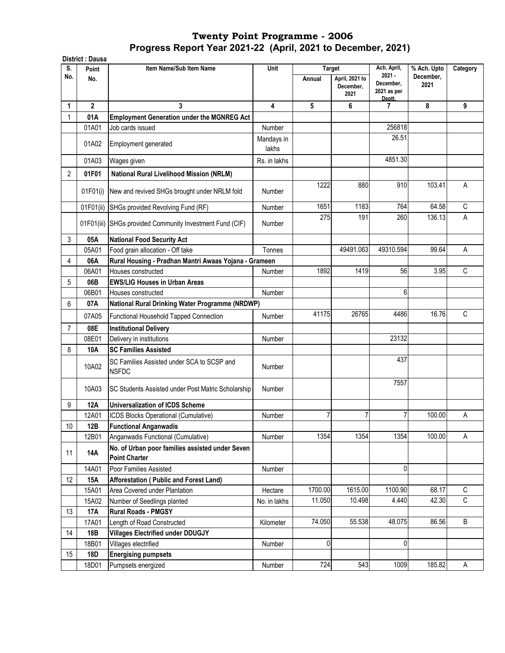| S.             | <b>District: Dausa</b> | Item Name/Sub Item Name                                                 | Unit                | <b>Target</b> |                                     | Ach. April,                                    | % Ach. Upto       | Category    |
|----------------|------------------------|-------------------------------------------------------------------------|---------------------|---------------|-------------------------------------|------------------------------------------------|-------------------|-------------|
| No.            | Point<br>No.           |                                                                         |                     | Annual        | April, 2021 to<br>December,<br>2021 | $2021 -$<br>December,<br>2021 as per<br>Deptt. | December,<br>2021 |             |
| 1              | $\mathbf{2}$           | 3                                                                       | 4                   | 5             | 6                                   | $\overline{7}$                                 | 8                 | 9           |
| $\mathbf{1}$   | 01A                    | <b>Employment Generation under the MGNREG Act</b>                       |                     |               |                                     |                                                |                   |             |
|                | 01A01                  | Job cards issued                                                        | Number              |               |                                     | 256818                                         |                   |             |
|                | 01A02                  | Employment generated                                                    | Mandays in<br>lakhs |               |                                     | 26.51                                          |                   |             |
|                | 01A03                  | Wages given                                                             | Rs. in lakhs        |               |                                     | 4851.30                                        |                   |             |
| $\overline{2}$ | 01F01                  | National Rural Livelihood Mission (NRLM)                                |                     |               |                                     |                                                |                   |             |
|                | 01F01(i)               | New and revived SHGs brought under NRLM fold                            | <b>Number</b>       | 1222          | 880                                 | 910                                            | 103.41            | A           |
|                | 01F01(ii)              | SHGs provided Revolving Fund (RF)                                       | Number              | 1651          | 1183                                | 764                                            | 64.58             | C           |
|                |                        | 01F01(iii) SHGs provided Community Investment Fund (CIF)                | <b>Number</b>       | 275           | 191                                 | 260                                            | 136.13            | Α           |
| 3              | 05A                    | <b>National Food Security Act</b>                                       |                     |               |                                     |                                                |                   |             |
|                | 05A01                  | Food grain allocation - Off take                                        | Tonnes              |               | 49491.063                           | 49310.594                                      | 99.64             | А           |
| 4              | 06A                    | Rural Housing - Pradhan Mantri Awaas Yojana - Grameen                   |                     |               |                                     |                                                |                   |             |
|                | 06A01                  | Houses constructed                                                      | Number              | 1892          | 1419                                | 56                                             | 3.95              | C           |
| 5              | 06B                    | <b>EWS/LIG Houses in Urban Areas</b>                                    |                     |               |                                     |                                                |                   |             |
|                | 06B01                  | Houses constructed                                                      | Number              |               |                                     | 6                                              |                   |             |
| 6              | 07A                    | National Rural Drinking Water Programme (NRDWP)                         |                     |               |                                     |                                                |                   |             |
|                | 07A05                  | Functional Household Tapped Connection                                  | Number              | 41175         | 26765                               | 4486                                           | 16.76             | C           |
| $\overline{7}$ | 08E                    | <b>Institutional Delivery</b>                                           |                     |               |                                     |                                                |                   |             |
|                | 08E01                  | Delivery in institutions                                                | Number              |               |                                     | 23132                                          |                   |             |
| 8              | 10A                    | <b>SC Families Assisted</b>                                             |                     |               |                                     |                                                |                   |             |
|                | 10A02                  | SC Families Assisted under SCA to SCSP and<br><b>NSFDC</b>              | Number              |               |                                     | 437                                            |                   |             |
|                | 10A03                  | SC Students Assisted under Post Matric Scholarship                      | <b>Number</b>       |               |                                     | 7557                                           |                   |             |
| 9              | 12A                    | <b>Universalization of ICDS Scheme</b>                                  |                     |               |                                     |                                                |                   |             |
|                | 12A01                  | ICDS Blocks Operational (Cumulative)                                    | Number              | 7             | 7                                   |                                                | 100.00            | A           |
| 10             | 12B                    | <b>Functional Anganwadis</b>                                            |                     |               |                                     |                                                |                   |             |
|                | 12B01                  | Anganwadis Functional (Cumulative)                                      | Number              | 1354          | 1354                                | 1354                                           | 100.00            | A           |
| 11             | <b>14A</b>             | No. of Urban poor families assisted under Seven<br><b>Point Charter</b> |                     |               |                                     |                                                |                   |             |
|                | 14A01                  | Poor Families Assisted                                                  | Number              |               |                                     | 0                                              |                   |             |
| 12             | <b>15A</b>             | <b>Afforestation ( Public and Forest Land)</b>                          |                     |               |                                     |                                                |                   |             |
|                | 15A01                  | Area Covered under Plantation                                           | Hectare             | 1700.00       | 1615.00                             | 1100.90                                        | 68.17             | $\mathsf C$ |
|                | 15A02                  | Number of Seedlings planted                                             | No. in lakhs        | 11.050        | 10.498                              | 4.440                                          | 42.30             | C           |
| 13             | <b>17A</b>             | Rural Roads - PMGSY                                                     |                     |               |                                     |                                                |                   |             |
|                | 17A01                  | Length of Road Constructed                                              | Kilometer           | 74.050        | 55.538                              | 48.075                                         | 86.56             | В           |
| 14             | 18B                    | <b>Villages Electrified under DDUGJY</b>                                |                     |               |                                     |                                                |                   |             |
|                | 18B01                  | Villages electrified                                                    | Number              | 0             |                                     | 0                                              |                   |             |
| 15             | 18D                    | <b>Energising pumpsets</b>                                              |                     |               |                                     |                                                |                   |             |
|                | 18D01                  | Pumpsets energized                                                      | Number              | 724           | 543                                 | 1009                                           | 185.82            | A           |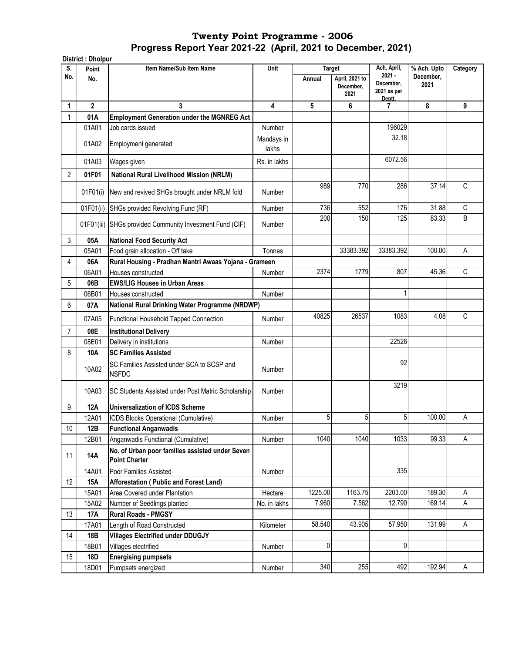|     | <b>District: Dholpur</b> |                                                                         |                     |               |                                     |                                                |                   |             |
|-----|--------------------------|-------------------------------------------------------------------------|---------------------|---------------|-------------------------------------|------------------------------------------------|-------------------|-------------|
| S.  | Point                    | Item Name/Sub Item Name                                                 | <b>Unit</b>         | <b>Target</b> |                                     | Ach. April,                                    | % Ach. Upto       | Category    |
| No. | No.                      |                                                                         |                     | Annual        | April, 2021 to<br>December,<br>2021 | $2021 -$<br>December,<br>2021 as per<br>Deptt. | December,<br>2021 |             |
| 1   | $\overline{2}$           | 3                                                                       | 4                   | 5             | 6                                   | 7                                              | 8                 | 9           |
| 1   | 01A                      | <b>Employment Generation under the MGNREG Act</b>                       |                     |               |                                     |                                                |                   |             |
|     | 01A01                    | Job cards issued                                                        | Number              |               |                                     | 196029                                         |                   |             |
|     | 01A02                    | Employment generated                                                    | Mandays in<br>lakhs |               |                                     | 32.18                                          |                   |             |
|     | 01A03                    | Wages given                                                             | Rs. in lakhs        |               |                                     | 6072.56                                        |                   |             |
| 2   | 01F01                    | National Rural Livelihood Mission (NRLM)                                |                     |               |                                     |                                                |                   |             |
|     | 01F01(i)                 | New and revived SHGs brought under NRLM fold                            | Number              | 989           | 770                                 | 286                                            | 37.14             | $\mathsf C$ |
|     | 01F01(ii)                | SHGs provided Revolving Fund (RF)                                       | Number              | 736           | 552                                 | 176                                            | 31.88             | С           |
|     | 01F01(iii)               | SHGs provided Community Investment Fund (CIF)                           | Number              | 200           | 150                                 | 125                                            | 83.33             | B           |
| 3   | 05A                      | <b>National Food Security Act</b>                                       |                     |               |                                     |                                                |                   |             |
|     | 05A01                    | Food grain allocation - Off take                                        | Tonnes              |               | 33383.392                           | 33383.392                                      | 100.00            | A           |
| 4   | 06A                      | Rural Housing - Pradhan Mantri Awaas Yojana - Grameen                   |                     |               |                                     |                                                |                   |             |
|     | 06A01                    | Houses constructed                                                      | Number              | 2374          | 1779                                | 807                                            | 45.36             | C           |
| 5   | 06B                      | <b>EWS/LIG Houses in Urban Areas</b>                                    |                     |               |                                     |                                                |                   |             |
|     | 06B01                    | Houses constructed                                                      | Number              |               |                                     | 1                                              |                   |             |
| 6   | 07A                      | National Rural Drinking Water Programme (NRDWP)                         |                     |               |                                     |                                                |                   |             |
|     | 07A05                    | Functional Household Tapped Connection                                  | Number              | 40825         | 26537                               | 1083                                           | 4.08              | C           |
| 7   | 08E                      | <b>Institutional Delivery</b>                                           |                     |               |                                     |                                                |                   |             |
|     | 08E01                    | Delivery in institutions                                                | Number              |               |                                     | 22526                                          |                   |             |
| 8   | 10A                      | <b>SC Families Assisted</b>                                             |                     |               |                                     |                                                |                   |             |
|     | 10A02                    | SC Families Assisted under SCA to SCSP and<br><b>NSFDC</b>              | Number              |               |                                     | 92                                             |                   |             |
|     | 10A03                    | SC Students Assisted under Post Matric Scholarship                      | Number              |               |                                     | 3219                                           |                   |             |
| 9   | 12A                      | <b>Universalization of ICDS Scheme</b>                                  |                     |               |                                     |                                                |                   |             |
|     | 12A01                    | ICDS Blocks Operational (Cumulative)                                    | Number              | 5             | 5                                   | 5                                              | 100.00            | A           |
| 10  | 12B                      | <b>Functional Anganwadis</b>                                            |                     |               |                                     |                                                |                   |             |
|     | 12B01                    | Anganwadis Functional (Cumulative)                                      | Number              | 1040          | 1040                                | 1033                                           | 99.33             | A           |
| 11  | 14A                      | No. of Urban poor families assisted under Seven<br><b>Point Charter</b> |                     |               |                                     |                                                |                   |             |
|     | 14A01                    | Poor Families Assisted                                                  | Number              |               |                                     | 335                                            |                   |             |
| 12  | 15A                      | Afforestation (Public and Forest Land)                                  |                     |               |                                     |                                                |                   |             |
|     | 15A01                    | Area Covered under Plantation                                           | Hectare             | 1225.00       | 1163.75                             | 2203.00                                        | 189.30            | Α           |
|     | 15A02                    | Number of Seedlings planted                                             | No. in lakhs        | 7.960         | 7.562                               | 12.790                                         | 169.14            | $\mathsf A$ |
| 13  | 17A                      | <b>Rural Roads - PMGSY</b>                                              |                     |               |                                     |                                                |                   |             |
|     | 17A01                    | Length of Road Constructed                                              | Kilometer           | 58.540        | 43.905                              | 57.950                                         | 131.99            | Α           |
| 14  | 18B                      | <b>Villages Electrified under DDUGJY</b>                                |                     |               |                                     |                                                |                   |             |
|     | 18B01                    | Villages electrified                                                    | Number              | 0             |                                     | $\mathbf 0$                                    |                   |             |
| 15  | 18D                      | <b>Energising pumpsets</b>                                              |                     |               |                                     |                                                |                   |             |
|     | 18D01                    | Pumpsets energized                                                      | Number              | 340           | 255                                 | 492                                            | 192.94            | A           |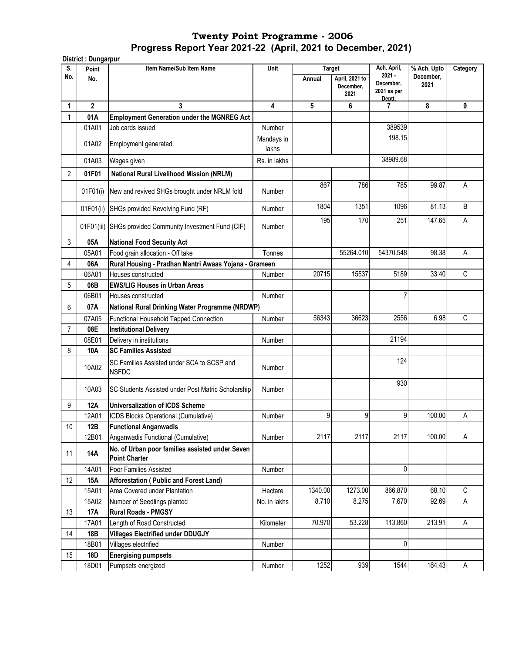**District : Dungarpur Point Item Name/Sub Item Name No. Annual April, 2021 to December, 2021 1 2 3 4 5 6 7 8 9** 1 **01A Employment Generation under the MGNREG Act**  01A01 Job cards issued Number Number 389539 01A02 Employment generated Mandays in lakhs 198.15 01A03 Wages given | Rs. in lakhs | | 38989.68 2 **01F01 National Rural Livelihood Mission (NRLM)** 01F01(i) New and revived SHGs brought under NRLM fold Number 867 786 785 99.87 A 01F01(ii) SHGs provided Revolving Fund (RF)  $\vert$  Number | 1804 1351 1096 81.13 B 01F01(iii) SHGs provided Community Investment Fund (CIF) Number 195 170 251 147.65 A 3 **05A National Food Security Act** 05A01 | Food grain allocation - Off take Tonnes | Tonnes | 55264.010 54370.548 98.38 A 4 **06A Rural Housing - Pradhan Mantri Awaas Yojana - Grameen**  06A01 Houses constructed **Number 15537** 5189 33.40 C 5 **06B EWS/LIG Houses in Urban Areas**  06B01 Houses constructed and a series of the Number 1 Number 1 Australia 1 Mumber 1 Australia 1 Mumber 1 Australia 6 **07A** 07A05 Functional Household Tapped Connection | Number | 56343 36623 2556 6.98 C 7 **08E Institutional Delivery**  08E01 Delivery in institutions and the Community Number 21194 8 **10A SC Families Assisted**  10A02 SC Families Assisted under SCA to SCSP and<br>Number 124 10A03 SC Students Assisted under Post Matric Scholarship Number 930 9 **12A Universalization of ICDS Scheme**  12A01 **ICDS Blocks Operational (Cumulative)** Number 9 9 9 9 100.00 A 10 **12B Functional Anganwadis**  12B01 Anganwadis Functional (Cumulative) Number 2117 2117 2117 100.00 A <sup>11</sup> **14A No. of Urban poor families assisted under Seven Point Charter**  14A01 Poor Families Assisted Number 0 12 **15A Afforestation ( Public and Forest Land)**  15A01 Area Covered under Plantation 
<br>
Hectare | 1340.00 1273.00 866.870 68.10 C 15A02 Number of Seedlings planted | No. in lakhs | 8.710 8.275 7.670 92.69 A 13 **17A Rural Roads - PMGSY**  17A01 Length of Road Constructed **Kilometer | 70.970** 53.228 113.860 213.91 A 14 **18B Villages Electrified under DDUGJY** 18B01 Villages electrified and the Number Number 1 and 18B01 Villages electrified 0 15 **18D Energising pumpsets**  18D01 Pumpsets energized Number | Number | 1252 939 1544 164.43 A **National Rural Drinking Water Programme (NRDWP) S. No.** Unit Target Ach. April, **2021 - December, 2021 as per Deptt. % Ach. Upto December, 2021 Category**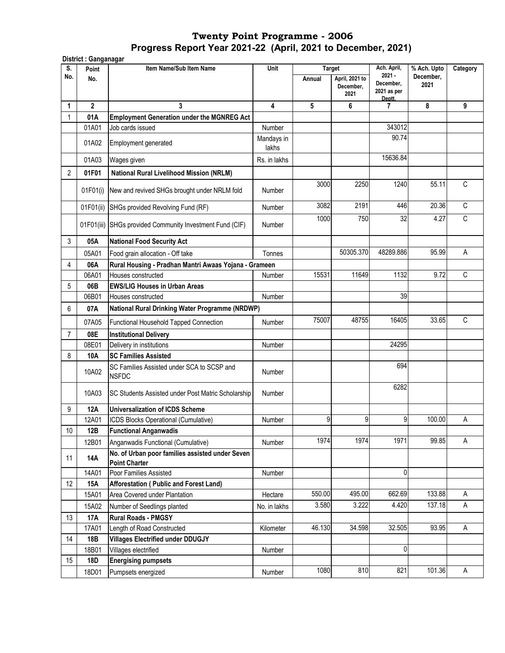|                | District: Ganganagar |                                                                         |                     |                         |                   |                                    |                          |             |
|----------------|----------------------|-------------------------------------------------------------------------|---------------------|-------------------------|-------------------|------------------------------------|--------------------------|-------------|
| S.<br>No.      | Point<br>No.         | Item Name/Sub Item Name                                                 | Unit                | <b>Target</b><br>Annual | April, 2021 to    | Ach. April,<br>$2021 -$            | % Ach. Upto<br>December, | Category    |
|                |                      |                                                                         |                     |                         | December,<br>2021 | December,<br>2021 as per<br>Deptt. | 2021                     |             |
| 1              | $\overline{2}$       | 3                                                                       | 4                   | 5                       | 6                 | 7                                  | 8                        | 9           |
| 1              | 01A                  | <b>Employment Generation under the MGNREG Act</b>                       |                     |                         |                   |                                    |                          |             |
|                | 01A01                | Job cards issued                                                        | Number              |                         |                   | 343012                             |                          |             |
|                | 01A02                | Employment generated                                                    | Mandays in<br>lakhs |                         |                   | 90.74                              |                          |             |
|                | 01A03                | Wages given                                                             | Rs. in lakhs        |                         |                   | 15636.84                           |                          |             |
| $\overline{2}$ | 01F01                | <b>National Rural Livelihood Mission (NRLM)</b>                         |                     |                         |                   |                                    |                          |             |
|                |                      |                                                                         |                     | 3000                    | 2250              | 1240                               | 55.11                    | C           |
|                | 01F01(i)             | New and revived SHGs brought under NRLM fold                            | Number              |                         |                   |                                    |                          |             |
|                | 01F01(ii)            | SHGs provided Revolving Fund (RF)                                       | Number              | 3082                    | 2191              | 446                                | 20.36                    | C           |
|                | 01F01(iii)           | SHGs provided Community Investment Fund (CIF)                           | Number              | 1000                    | 750               | 32                                 | 4.27                     | $\mathbb C$ |
| 3              | 05A                  | <b>National Food Security Act</b>                                       |                     |                         |                   |                                    |                          |             |
|                | 05A01                | Food grain allocation - Off take                                        | Tonnes              |                         | 50305.370         | 48289.886                          | 95.99                    | A           |
| 4              | 06A                  | Rural Housing - Pradhan Mantri Awaas Yojana - Grameen                   |                     |                         |                   |                                    |                          |             |
|                | 06A01                | Houses constructed                                                      | Number              | 15531                   | 11649             | 1132                               | 9.72                     | C           |
| 5              | 06B                  | <b>EWS/LIG Houses in Urban Areas</b>                                    |                     |                         |                   |                                    |                          |             |
|                | 06B01                | Houses constructed                                                      | Number              |                         |                   | 39                                 |                          |             |
| 6              | 07A                  | National Rural Drinking Water Programme (NRDWP)                         |                     |                         |                   |                                    |                          |             |
|                | 07A05                | Functional Household Tapped Connection                                  | Number              | 75007                   | 48755             | 16405                              | 33.65                    | C           |
| $\overline{7}$ | 08E                  | <b>Institutional Delivery</b>                                           |                     |                         |                   |                                    |                          |             |
|                | 08E01                | Delivery in institutions                                                | Number              |                         |                   | 24295                              |                          |             |
| 8              | 10A                  | <b>SC Families Assisted</b>                                             |                     |                         |                   |                                    |                          |             |
|                | 10A02                | SC Families Assisted under SCA to SCSP and<br><b>NSFDC</b>              | Number              |                         |                   | 694                                |                          |             |
|                | 10A03                | SC Students Assisted under Post Matric Scholarship                      | Number              |                         |                   | 6282                               |                          |             |
| 9              | 12A                  | <b>Universalization of ICDS Scheme</b>                                  |                     |                         |                   |                                    |                          |             |
|                | 12A01                | ICDS Blocks Operational (Cumulative)                                    | Number              | 9                       | $\overline{9}$    | 9                                  | 100.00                   | Α           |
| 10             | 12B                  | <b>Functional Anganwadis</b>                                            |                     |                         |                   |                                    |                          |             |
|                | 12B01                | Anganwadis Functional (Cumulative)                                      | Number              | 1974                    | 1974              | 1971                               | 99.85                    | A           |
| 11             | 14A                  | No. of Urban poor families assisted under Seven<br><b>Point Charter</b> |                     |                         |                   |                                    |                          |             |
|                | 14A01                | Poor Families Assisted                                                  | Number              |                         |                   | 0                                  |                          |             |
| 12             | <b>15A</b>           | Afforestation (Public and Forest Land)                                  |                     |                         |                   |                                    |                          |             |
|                | 15A01                | Area Covered under Plantation                                           | Hectare             | 550.00                  | 495.00            | 662.69                             | 133.88                   | A           |
|                | 15A02                | Number of Seedlings planted                                             | No. in lakhs        | 3.580                   | 3.222             | 4.420                              | 137.18                   | Α           |
| 13             | <b>17A</b>           | <b>Rural Roads - PMGSY</b>                                              |                     |                         |                   |                                    |                          |             |
|                | 17A01                | Length of Road Constructed                                              | Kilometer           | 46.130                  | 34.598            | 32.505                             | 93.95                    | Α           |
| 14             | 18B                  | <b>Villages Electrified under DDUGJY</b>                                |                     |                         |                   |                                    |                          |             |
|                | 18B01                | Villages electrified                                                    | Number              |                         |                   | 0                                  |                          |             |
| 15             | 18D                  | <b>Energising pumpsets</b>                                              |                     | 1080                    | 810               | 821                                | 101.36                   | A           |
|                | 18D01                | Pumpsets energized                                                      | Number              |                         |                   |                                    |                          |             |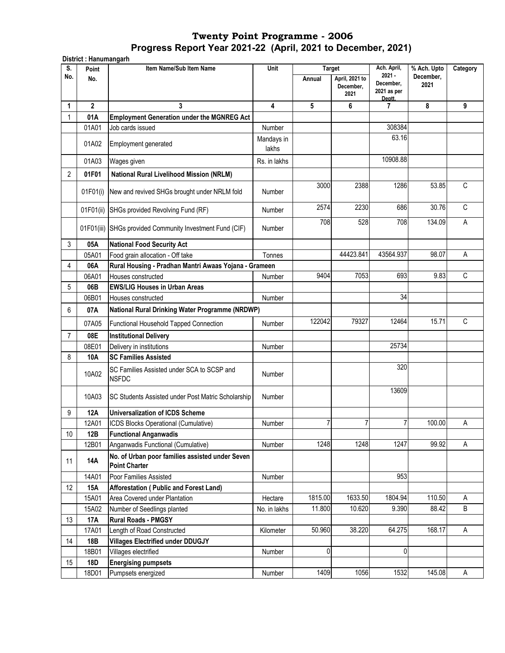**District : Hanumangarh**

| S.             | Point          | Item Name/Sub Item Name                                                 | Unit                | <b>Target</b> |                                     | Ach. April,                                    | % Ach. Upto       | Category     |
|----------------|----------------|-------------------------------------------------------------------------|---------------------|---------------|-------------------------------------|------------------------------------------------|-------------------|--------------|
| No.            | No.            |                                                                         |                     | Annual        | April, 2021 to<br>December,<br>2021 | $2021 -$<br>December.<br>2021 as per<br>Deptt. | December,<br>2021 |              |
| 1              | $\overline{2}$ | 3                                                                       | 4                   | 5             | 6                                   | 7                                              | 8                 | 9            |
|                | 01A            | <b>Employment Generation under the MGNREG Act</b>                       |                     |               |                                     |                                                |                   |              |
|                | 01A01          | Job cards issued                                                        | Number              |               |                                     | 308384                                         |                   |              |
|                | 01A02          | Employment generated                                                    | Mandays in<br>lakhs |               |                                     | 63.16                                          |                   |              |
|                | 01A03          | Wages given                                                             | Rs. in lakhs        |               |                                     | 10908.88                                       |                   |              |
| $\overline{2}$ | 01F01          | <b>National Rural Livelihood Mission (NRLM)</b>                         |                     |               |                                     |                                                |                   |              |
|                |                |                                                                         |                     | 3000          | 2388                                | 1286                                           | 53.85             | $\mathsf{C}$ |
|                | 01F01(i)       | New and revived SHGs brought under NRLM fold                            | Number              |               |                                     |                                                |                   |              |
|                | 01F01(ii)      | SHGs provided Revolving Fund (RF)                                       | Number              | 2574          | 2230                                | 686                                            | 30.76             | $\mathsf{C}$ |
|                | 01F01(iii)     | SHGs provided Community Investment Fund (CIF)                           | Number              | 708           | 528                                 | 708                                            | 134.09            | A            |
| 3              | 05A            | <b>National Food Security Act</b>                                       |                     |               |                                     |                                                |                   |              |
|                | 05A01          | Food grain allocation - Off take                                        | Tonnes              |               | 44423.841                           | 43564.937                                      | 98.07             | А            |
| 4              | 06A            | Rural Housing - Pradhan Mantri Awaas Yojana - Grameen                   |                     |               |                                     |                                                |                   |              |
|                | 06A01          | Houses constructed                                                      | Number              | 9404          | 7053                                | 693                                            | 9.83              | $\mathsf{C}$ |
| 5              | 06B            | <b>EWS/LIG Houses in Urban Areas</b>                                    |                     |               |                                     |                                                |                   |              |
|                | 06B01          | Houses constructed                                                      | Number              |               |                                     | 34                                             |                   |              |
| 6              | 07A            | National Rural Drinking Water Programme (NRDWP)                         |                     |               |                                     |                                                |                   |              |
|                | 07A05          | Functional Household Tapped Connection                                  | Number              | 122042        | 79327                               | 12464                                          | 15.71             | $\mathsf{C}$ |
| $\overline{7}$ | 08E            | <b>Institutional Delivery</b>                                           |                     |               |                                     |                                                |                   |              |
|                | 08E01          | Delivery in institutions                                                | Number              |               |                                     | 25734                                          |                   |              |
| 8              | 10A            | <b>SC Families Assisted</b>                                             |                     |               |                                     |                                                |                   |              |
|                | 10A02          | SC Families Assisted under SCA to SCSP and<br><b>NSFDC</b>              | Number              |               |                                     | 320                                            |                   |              |
|                | 10A03          | SC Students Assisted under Post Matric Scholarship                      | Number              |               |                                     | 13609                                          |                   |              |
| 9              | 12A            | <b>Universalization of ICDS Scheme</b>                                  |                     |               |                                     |                                                |                   |              |
|                | 12A01          | ICDS Blocks Operational (Cumulative)                                    | Number              | 7             |                                     | 7                                              | 100.00            | Α            |
| 10             | 12B            | <b>Functional Anganwadis</b>                                            |                     |               |                                     |                                                |                   |              |
|                | 12B01          | Anganwadis Functional (Cumulative)                                      | Number              | 1248          | 1248                                | 1247                                           | 99.92             | Α            |
| 11             | <b>14A</b>     | No. of Urban poor families assisted under Seven<br><b>Point Charter</b> |                     |               |                                     |                                                |                   |              |
|                | 14A01          | Poor Families Assisted                                                  | Number              |               |                                     | 953                                            |                   |              |
| 12             | <b>15A</b>     | Afforestation (Public and Forest Land)                                  |                     |               |                                     |                                                |                   |              |
|                | 15A01          | Area Covered under Plantation                                           | Hectare             | 1815.00       | 1633.50                             | 1804.94                                        | 110.50            | Α            |
|                | 15A02          | Number of Seedlings planted                                             | No. in lakhs        | 11.800        | 10.620                              | 9.390                                          | 88.42             | В            |
| 13             | <b>17A</b>     | <b>Rural Roads - PMGSY</b>                                              |                     |               |                                     |                                                |                   |              |
|                | 17A01          | Length of Road Constructed                                              | Kilometer           | 50.960        | 38.220                              | 64.275                                         | 168.17            | $\mathsf A$  |
| 14             | 18B            | <b>Villages Electrified under DDUGJY</b>                                |                     |               |                                     |                                                |                   |              |
|                | 18B01          | Villages electrified                                                    | Number              | 0             |                                     | 0                                              |                   |              |
| 15             | <b>18D</b>     | <b>Energising pumpsets</b>                                              |                     |               |                                     |                                                |                   |              |
|                | 18D01          | Pumpsets energized                                                      | Number              | 1409          | 1056                                | 1532                                           | 145.08            | Α            |
|                |                |                                                                         |                     |               |                                     |                                                |                   |              |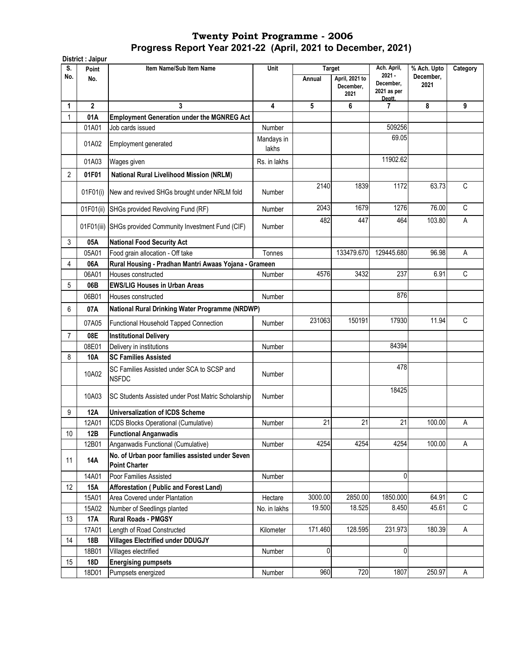|                | District : Jaipur |                                                                         |                     |                         |                                     |                                                               |                                  |              |
|----------------|-------------------|-------------------------------------------------------------------------|---------------------|-------------------------|-------------------------------------|---------------------------------------------------------------|----------------------------------|--------------|
| S.<br>No.      | Point<br>No.      | Item Name/Sub Item Name                                                 | Unit                | <b>Target</b><br>Annual | April, 2021 to<br>December,<br>2021 | Ach. April,<br>$2021 -$<br>December,<br>2021 as per<br>Deptt. | % Ach. Upto<br>December,<br>2021 | Category     |
| 1              | $\overline{2}$    | 3                                                                       | 4                   | 5                       | 6                                   | 7                                                             | 8                                | 9            |
| 1              | 01A               | <b>Employment Generation under the MGNREG Act</b>                       |                     |                         |                                     |                                                               |                                  |              |
|                | 01A01             | Job cards issued                                                        | Number              |                         |                                     | 509256                                                        |                                  |              |
|                | 01A02             | Employment generated                                                    | Mandays in<br>lakhs |                         |                                     | 69.05                                                         |                                  |              |
|                | 01A03             | Wages given                                                             | Rs. in lakhs        |                         |                                     | 11902.62                                                      |                                  |              |
| $\overline{2}$ | 01F01             | <b>National Rural Livelihood Mission (NRLM)</b>                         |                     |                         |                                     |                                                               |                                  |              |
|                | 01F01(i)          | New and revived SHGs brought under NRLM fold                            | Number              | 2140                    | 1839                                | 1172                                                          | 63.73                            | $\mathsf{C}$ |
|                | 01F01(ii)         | SHGs provided Revolving Fund (RF)                                       | Number              | 2043                    | 1679                                | 1276                                                          | 76.00                            | C            |
|                | 01F01(iii)        | SHGs provided Community Investment Fund (CIF)                           | Number              | 482                     | 447                                 | 464                                                           | 103.80                           | A            |
| 3              | 05A               | <b>National Food Security Act</b>                                       |                     |                         |                                     |                                                               |                                  |              |
|                | 05A01             | Food grain allocation - Off take                                        | Tonnes              |                         | 133479.670                          | 129445.680                                                    | 96.98                            | A            |
| 4              | 06A               | Rural Housing - Pradhan Mantri Awaas Yojana - Grameen                   |                     |                         |                                     |                                                               |                                  |              |
|                | 06A01             | Houses constructed                                                      | Number              | 4576                    | 3432                                | 237                                                           | 6.91                             | $\mathsf{C}$ |
| 5              | 06B               | <b>EWS/LIG Houses in Urban Areas</b>                                    |                     |                         |                                     |                                                               |                                  |              |
|                | 06B01             | Houses constructed                                                      | Number              |                         |                                     | 876                                                           |                                  |              |
| 6              | 07A               | National Rural Drinking Water Programme (NRDWP)                         |                     |                         |                                     |                                                               |                                  |              |
|                | 07A05             | Functional Household Tapped Connection                                  | Number              | 231063                  | 150191                              | 17930                                                         | 11.94                            | $\mathsf C$  |
| $\overline{7}$ | 08E               | <b>Institutional Delivery</b>                                           |                     |                         |                                     |                                                               |                                  |              |
|                | 08E01             | Delivery in institutions                                                | Number              |                         |                                     | 84394                                                         |                                  |              |
| 8              | 10A               | <b>SC Families Assisted</b>                                             |                     |                         |                                     |                                                               |                                  |              |
|                | 10A02             | SC Families Assisted under SCA to SCSP and<br><b>NSFDC</b>              | Number              |                         |                                     | 478                                                           |                                  |              |
|                | 10A03             | SC Students Assisted under Post Matric Scholarship                      | Number              |                         |                                     | 18425                                                         |                                  |              |
| 9              | 12A               | <b>Universalization of ICDS Scheme</b>                                  |                     |                         |                                     |                                                               |                                  |              |
|                | 12A01             | ICDS Blocks Operational (Cumulative)                                    | Number              | 21                      | 21                                  | 21                                                            | 100.00                           | А            |
| 10             | 12B               | <b>Functional Anganwadis</b>                                            |                     |                         |                                     |                                                               |                                  |              |
|                | 12B01             | Anganwadis Functional (Cumulative)                                      | Number              | 4254                    | 4254                                | 4254                                                          | 100.00                           | Α            |
| 11             | 14A               | No. of Urban poor families assisted under Seven<br><b>Point Charter</b> |                     |                         |                                     |                                                               |                                  |              |
|                | 14A01             | Poor Families Assisted                                                  | Number              |                         |                                     | 0                                                             |                                  |              |
| 12             | <b>15A</b>        | Afforestation (Public and Forest Land)                                  |                     |                         |                                     |                                                               |                                  |              |
|                | 15A01             | Area Covered under Plantation                                           | Hectare             | 3000.00                 | 2850.00                             | 1850.000                                                      | 64.91                            | C            |
|                | 15A02             | Number of Seedlings planted                                             | No. in lakhs        | 19.500                  | 18.525                              | 8.450                                                         | 45.61                            | C            |
| 13             | 17A               | <b>Rural Roads - PMGSY</b>                                              |                     |                         |                                     |                                                               |                                  |              |
|                | 17A01             | Length of Road Constructed                                              | Kilometer           | 171.460                 | 128.595                             | 231.973                                                       | 180.39                           | Α            |
| 14             | 18B               | <b>Villages Electrified under DDUGJY</b>                                |                     |                         |                                     |                                                               |                                  |              |
|                | 18B01             | Villages electrified                                                    | Number              | 0                       |                                     | 0                                                             |                                  |              |
| 15             | 18D               | <b>Energising pumpsets</b>                                              |                     |                         |                                     |                                                               |                                  |              |
|                | 18D01             | Pumpsets energized                                                      | Number              | 960                     | 720                                 | 1807                                                          | 250.97                           | A            |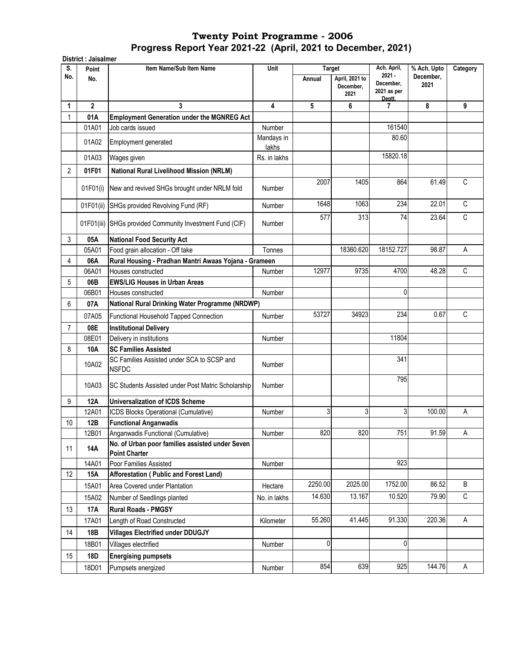| S.             | District : Jaisalmer | Item Name/Sub Item Name                                                               | Unit                | <b>Target</b> |                                     | Ach. April,                                    | % Ach. Upto       | Category |
|----------------|----------------------|---------------------------------------------------------------------------------------|---------------------|---------------|-------------------------------------|------------------------------------------------|-------------------|----------|
| No.            | Point<br>No.         |                                                                                       |                     | Annual        | April, 2021 to<br>December,<br>2021 | $2021 -$<br>December,<br>2021 as per<br>Deptt. | December,<br>2021 |          |
| 1              | $\mathbf 2$          | 3                                                                                     | 4                   | 5             | 6                                   | 7                                              | 8                 | 9        |
| $\mathbf{1}$   | 01A                  | <b>Employment Generation under the MGNREG Act</b>                                     |                     |               |                                     |                                                |                   |          |
|                | 01A01                | Job cards issued                                                                      | Number              |               |                                     | 161540                                         |                   |          |
|                | 01A02                | Employment generated                                                                  | Mandays in<br>lakhs |               |                                     | 80.60                                          |                   |          |
|                | 01A03                | Wages given                                                                           | Rs. in lakhs        |               |                                     | 15820.18                                       |                   |          |
| $\overline{2}$ | 01F01                | <b>National Rural Livelihood Mission (NRLM)</b>                                       |                     |               |                                     |                                                |                   |          |
|                | 01F01(i)             | New and revived SHGs brought under NRLM fold                                          | Number              | 2007          | 1405                                | 864                                            | 61.49             | C        |
|                | 01F01(ii)            | SHGs provided Revolving Fund (RF)                                                     | Number              | 1648          | 1063                                | 234                                            | 22.01             | C        |
|                |                      | 01F01(iii) SHGs provided Community Investment Fund (CIF)                              | Number              | 577           | 313                                 | 74                                             | 23.64             | C        |
| 3              | 05A                  | <b>National Food Security Act</b>                                                     |                     |               |                                     |                                                |                   |          |
|                | 05A01                | Food grain allocation - Off take                                                      | Tonnes              |               | 18360.620                           | 18152.727                                      | 98.87             | Α        |
| 4              | 06A                  | Rural Housing - Pradhan Mantri Awaas Yojana - Grameen                                 |                     |               |                                     |                                                |                   |          |
|                | 06A01                | Houses constructed                                                                    | Number              | 12977         | 9735                                | 4700                                           | 48.28             | C        |
| 5              | 06B                  | <b>EWS/LIG Houses in Urban Areas</b>                                                  |                     |               |                                     |                                                |                   |          |
|                | 06B01                | Houses constructed                                                                    | Number              |               |                                     | 0                                              |                   |          |
| 6              | 07A                  | National Rural Drinking Water Programme (NRDWP)                                       |                     |               |                                     |                                                |                   |          |
|                | 07A05                | Functional Household Tapped Connection                                                | Number              | 53727         | 34923                               | 234                                            | 0.67              | C        |
| $\overline{7}$ | 08E                  | <b>Institutional Delivery</b>                                                         |                     |               |                                     |                                                |                   |          |
|                | 08E01                | Delivery in institutions                                                              | Number              |               |                                     | 11804                                          |                   |          |
| 8              | 10A                  | <b>SC Families Assisted</b>                                                           |                     |               |                                     |                                                |                   |          |
|                | 10A02                | SC Families Assisted under SCA to SCSP and<br><b>NSFDC</b>                            | Number              |               |                                     | 341                                            |                   |          |
|                | 10A03                | <b>ISC Students Assisted under Post Matric Scholarship</b>                            | Number              |               |                                     | 795                                            |                   |          |
| 9              | <b>12A</b>           | <b>Universalization of ICDS Scheme</b>                                                |                     |               |                                     |                                                |                   |          |
|                | 12A01                | ICDS Blocks Operational (Cumulative)                                                  | Number              | 3             | 3                                   | 3                                              | 100.00            | Α        |
| 10             | 12B                  | <b>Functional Anganwadis</b>                                                          |                     |               |                                     |                                                |                   |          |
|                | 12B01                | Anganwadis Functional (Cumulative)<br>No. of Urban poor families assisted under Seven | Number              | 820           | 820                                 | 751                                            | 91.59             | А        |
| 11             | 14A                  | <b>Point Charter</b>                                                                  |                     |               |                                     |                                                |                   |          |
|                | 14A01                | Poor Families Assisted                                                                | Number              |               |                                     | 923                                            |                   |          |
| 12             | 15A                  | Afforestation (Public and Forest Land)                                                |                     |               |                                     |                                                |                   |          |
|                | 15A01                | Area Covered under Plantation                                                         | Hectare             | 2250.00       | 2025.00                             | 1752.00                                        | 86.52             | В        |
|                | 15A02                | Number of Seedlings planted                                                           | No. in lakhs        | 14.630        | 13.167                              | 10.520                                         | 79.90             | C        |
| 13             | 17A                  | <b>Rural Roads - PMGSY</b>                                                            |                     |               |                                     |                                                |                   |          |
|                | 17A01                | Length of Road Constructed                                                            | Kilometer           | 55.260        | 41.445                              | 91.330                                         | 220.36            | Α        |
| 14             | 18B                  | <b>Villages Electrified under DDUGJY</b>                                              |                     |               |                                     |                                                |                   |          |
|                | 18B01                | Villages electrified                                                                  | Number              | 0             |                                     | 0                                              |                   |          |
| 15             | <b>18D</b>           | <b>Energising pumpsets</b>                                                            |                     |               |                                     |                                                |                   |          |
|                | 18D01                | Pumpsets energized                                                                    | Number              | 854           | 639                                 | 925                                            | 144.76            | A        |
|                |                      |                                                                                       |                     |               |                                     |                                                |                   |          |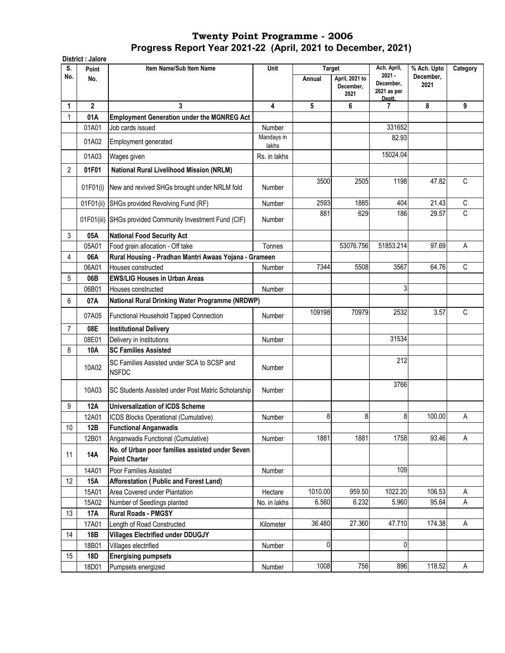|                | District : Jalore |                                                                         |                     |                         |                   |                                    |                          |                |
|----------------|-------------------|-------------------------------------------------------------------------|---------------------|-------------------------|-------------------|------------------------------------|--------------------------|----------------|
| S.<br>No.      | Point<br>No.      | Item Name/Sub Item Name                                                 | Unit                | <b>Target</b><br>Annual | April, 2021 to    | Ach. April,<br>$2021 -$            | % Ach. Upto<br>December, | Category       |
|                |                   |                                                                         |                     |                         | December,<br>2021 | December,<br>2021 as per<br>Deptt. | 2021                     |                |
| 1              | $\overline{2}$    | 3                                                                       | 4                   | 5                       | 6                 | 7                                  | 8                        | 9              |
| 1              | 01A               | <b>Employment Generation under the MGNREG Act</b>                       |                     |                         |                   |                                    |                          |                |
|                | 01A01             | Job cards issued                                                        | Number              |                         |                   | 331652                             |                          |                |
|                | 01A02             | Employment generated                                                    | Mandays in<br>lakhs |                         |                   | 82.93                              |                          |                |
|                | 01A03             | Wages given                                                             | Rs. in lakhs        |                         |                   | 15024.04                           |                          |                |
| $\overline{2}$ | 01F01             | <b>National Rural Livelihood Mission (NRLM)</b>                         |                     |                         |                   |                                    |                          |                |
|                | 01F01(i)          | New and revived SHGs brought under NRLM fold                            | Number              | 3500                    | 2505              | 1198                               | 47.82                    | C              |
|                |                   |                                                                         |                     |                         |                   |                                    |                          |                |
|                | 01F01(ii)         | SHGs provided Revolving Fund (RF)                                       | Number              | 2593                    | 1885              | 404                                | 21.43                    | C              |
|                | 01F01(iii)        | SHGs provided Community Investment Fund (CIF)                           | Number              | 881                     | 629               | 186                                | 29.57                    | $\overline{C}$ |
| 3              | 05A               | <b>National Food Security Act</b>                                       |                     |                         |                   |                                    |                          |                |
|                | 05A01             | Food grain allocation - Off take                                        | Tonnes              |                         | 53076.756         | 51853.214                          | 97.69                    | A              |
| 4              | 06A               | Rural Housing - Pradhan Mantri Awaas Yojana - Grameen                   |                     |                         |                   |                                    |                          |                |
|                | 06A01             | Houses constructed                                                      | Number              | 7344                    | 5508              | 3567                               | 64.76                    | C              |
| 5              | 06B               | <b>EWS/LIG Houses in Urban Areas</b>                                    |                     |                         |                   |                                    |                          |                |
|                | 06B01             | Houses constructed                                                      | Number              |                         |                   | 3                                  |                          |                |
| 6              | 07A               | National Rural Drinking Water Programme (NRDWP)                         |                     |                         |                   |                                    |                          |                |
|                | 07A05             | Functional Household Tapped Connection                                  | Number              | 109198                  | 70979             | 2532                               | 3.57                     | C              |
| 7              | 08E               | <b>Institutional Delivery</b>                                           |                     |                         |                   |                                    |                          |                |
|                | 08E01             | Delivery in institutions                                                | Number              |                         |                   | 31534                              |                          |                |
| 8              | 10A               | <b>SC Families Assisted</b>                                             |                     |                         |                   |                                    |                          |                |
|                | 10A02             | SC Families Assisted under SCA to SCSP and<br><b>NSFDC</b>              | Number              |                         |                   | 212                                |                          |                |
|                | 10A03             | SC Students Assisted under Post Matric Scholarship                      | Number              |                         |                   | 3766                               |                          |                |
| 9              | 12A               | <b>Universalization of ICDS Scheme</b>                                  |                     |                         |                   |                                    |                          |                |
|                | 12A01             | ICDS Blocks Operational (Cumulative)                                    | Number              | 8                       | 8                 | 8                                  | 100.00                   | Α              |
| 10             | 12B               | <b>Functional Anganwadis</b>                                            |                     |                         |                   |                                    |                          |                |
|                | 12B01             | Anganwadis Functional (Cumulative)                                      | Number              | 1881                    | 1881              | 1758                               | 93.46                    | A              |
| 11             | 14A               | No. of Urban poor families assisted under Seven<br><b>Point Charter</b> |                     |                         |                   |                                    |                          |                |
|                | 14A01             | Poor Families Assisted                                                  | Number              |                         |                   | 109                                |                          |                |
| 12             | <b>15A</b>        | Afforestation (Public and Forest Land)                                  |                     |                         |                   |                                    |                          |                |
|                | 15A01             | Area Covered under Plantation                                           | Hectare             | 1010.00                 | 959.50            | 1022.20                            | 106.53                   | Α              |
|                | 15A02             | Number of Seedlings planted                                             | No. in lakhs        | 6.560                   | 6.232             | 5.960                              | 95.64                    | A              |
| 13             | 17A               | <b>Rural Roads - PMGSY</b>                                              |                     |                         |                   |                                    |                          |                |
|                | 17A01             | Length of Road Constructed                                              | Kilometer           | 36.480                  | 27.360            | 47.710                             | 174.38                   | A              |
| 14             | 18B               | <b>Villages Electrified under DDUGJY</b>                                |                     |                         |                   |                                    |                          |                |
|                | 18B01             | Villages electrified                                                    | Number              | $\pmb{0}$               |                   | 0                                  |                          |                |
| 15             | 18D               | <b>Energising pumpsets</b>                                              |                     |                         |                   |                                    |                          |                |
|                | 18D01             | Pumpsets energized                                                      | Number              | 1008                    | 756               | 896                                | 118.52                   | A              |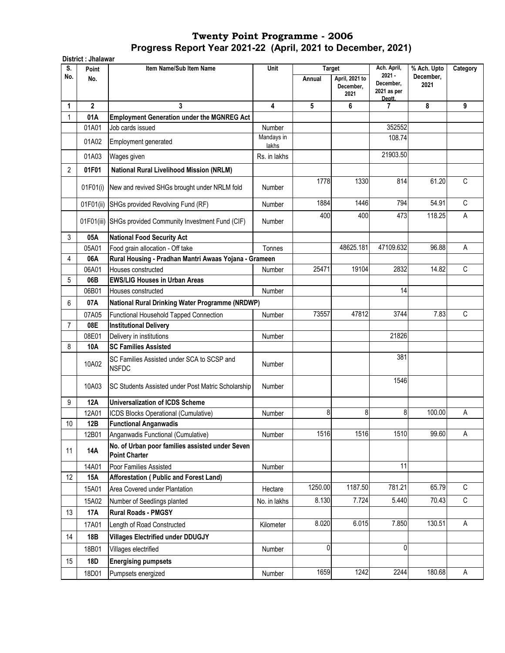|                | District : Jhalawar |                                                                         |                     |               |                                     |                                    |                          |             |  |  |
|----------------|---------------------|-------------------------------------------------------------------------|---------------------|---------------|-------------------------------------|------------------------------------|--------------------------|-------------|--|--|
| S.             | Point               | Item Name/Sub Item Name                                                 | <b>Unit</b>         | <b>Target</b> |                                     | Ach. April,<br>$2021 -$            | % Ach. Upto<br>December, | Category    |  |  |
| No.            | No.                 |                                                                         |                     | Annual        | April, 2021 to<br>December,<br>2021 | December,<br>2021 as per<br>Deptt. | 2021                     |             |  |  |
| 1              | $\overline{2}$      | 3                                                                       | 4                   | 5             | 6                                   | 7                                  | 8                        | 9           |  |  |
| 1              | 01A                 | <b>Employment Generation under the MGNREG Act</b>                       |                     |               |                                     |                                    |                          |             |  |  |
|                | 01A01               | Job cards issued                                                        | Number              |               |                                     | 352552                             |                          |             |  |  |
|                | 01A02               | Employment generated                                                    | Mandays in<br>lakhs |               |                                     | 108.74                             |                          |             |  |  |
|                | 01A03               | Wages given                                                             | Rs. in lakhs        |               |                                     | 21903.50                           |                          |             |  |  |
| 2              | 01F01               | <b>National Rural Livelihood Mission (NRLM)</b>                         |                     |               |                                     |                                    |                          |             |  |  |
|                | 01F01(i)            | New and revived SHGs brought under NRLM fold                            | Number              | 1778          | 1330                                | 814                                | 61.20                    | C           |  |  |
|                | 01F01(ii)           | SHGs provided Revolving Fund (RF)                                       | Number              | 1884          | 1446                                | 794                                | 54.91                    | C           |  |  |
|                | 01F01(iii)          | SHGs provided Community Investment Fund (CIF)                           | Number              | 400           | 400                                 | 473                                | 118.25                   | A           |  |  |
| 3              | 05A                 | <b>National Food Security Act</b>                                       |                     |               |                                     |                                    |                          |             |  |  |
|                | 05A01               | Food grain allocation - Off take                                        | Tonnes              |               | 48625.181                           | 47109.632                          | 96.88                    | Α           |  |  |
| 4              | 06A                 | Rural Housing - Pradhan Mantri Awaas Yojana - Grameen                   |                     |               |                                     |                                    |                          |             |  |  |
|                | 06A01               | Houses constructed                                                      | Number              | 25471         | 19104                               | 2832                               | 14.82                    | C           |  |  |
| 5              | 06B                 | <b>EWS/LIG Houses in Urban Areas</b>                                    |                     |               |                                     |                                    |                          |             |  |  |
|                | 06B01               | Houses constructed                                                      | Number              |               |                                     | 14                                 |                          |             |  |  |
| 6              | 07A                 | National Rural Drinking Water Programme (NRDWP)                         |                     |               |                                     |                                    |                          |             |  |  |
|                | 07A05               | Functional Household Tapped Connection                                  | Number              | 73557         | 47812                               | 3744                               | 7.83                     | C           |  |  |
| $\overline{7}$ | 08E                 | <b>Institutional Delivery</b>                                           |                     |               |                                     |                                    |                          |             |  |  |
|                | 08E01               | Delivery in institutions                                                | Number              |               |                                     | 21826                              |                          |             |  |  |
| 8              | 10A                 | <b>SC Families Assisted</b>                                             |                     |               |                                     | 381                                |                          |             |  |  |
|                | 10A02               | SC Families Assisted under SCA to SCSP and<br><b>NSFDC</b>              | Number              |               |                                     |                                    |                          |             |  |  |
|                | 10A03               | SC Students Assisted under Post Matric Scholarship                      | Number              |               |                                     | 1546                               |                          |             |  |  |
| 9              | <b>12A</b>          | <b>Universalization of ICDS Scheme</b>                                  |                     |               |                                     |                                    |                          |             |  |  |
|                | 12A01               | ICDS Blocks Operational (Cumulative)                                    | Number              | 8             | 8                                   | 8                                  | 100.00                   | Α           |  |  |
| $10$           | 12B                 | <b>Functional Anganwadis</b>                                            |                     |               |                                     |                                    |                          |             |  |  |
|                | 12B01               | Anganwadis Functional (Cumulative)                                      | Number              | 1516          | 1516                                | 1510                               | 99.60                    | Α           |  |  |
| 11             | <b>14A</b>          | No. of Urban poor families assisted under Seven<br><b>Point Charter</b> |                     |               |                                     |                                    |                          |             |  |  |
|                | 14A01               | Poor Families Assisted                                                  | Number              |               |                                     | 11                                 |                          |             |  |  |
| 12             | <b>15A</b>          | Afforestation (Public and Forest Land)                                  |                     |               |                                     |                                    |                          |             |  |  |
|                | 15A01               | Area Covered under Plantation                                           | Hectare             | 1250.00       | 1187.50                             | 781.21                             | 65.79                    | C           |  |  |
|                | 15A02               | Number of Seedlings planted                                             | No. in lakhs        | 8.130         | 7.724                               | 5.440                              | 70.43                    | $\mathbb C$ |  |  |
| 13             | 17A                 | <b>Rural Roads - PMGSY</b>                                              |                     |               |                                     |                                    |                          |             |  |  |
|                | 17A01               | Length of Road Constructed                                              | Kilometer           | 8.020         | 6.015                               | 7.850                              | 130.51                   | $\mathsf A$ |  |  |
| 14             | 18B                 | <b>Villages Electrified under DDUGJY</b>                                |                     |               |                                     |                                    |                          |             |  |  |
|                | 18B01               | Villages electrified                                                    | Number              | 0             |                                     | $\mathbf{0}$                       |                          |             |  |  |
| 15             | 18D                 | <b>Energising pumpsets</b>                                              |                     |               |                                     |                                    |                          |             |  |  |
|                | 18D01               | Pumpsets energized                                                      | Number              | 1659          | 1242                                | 2244                               | 180.68                   | $\sf A$     |  |  |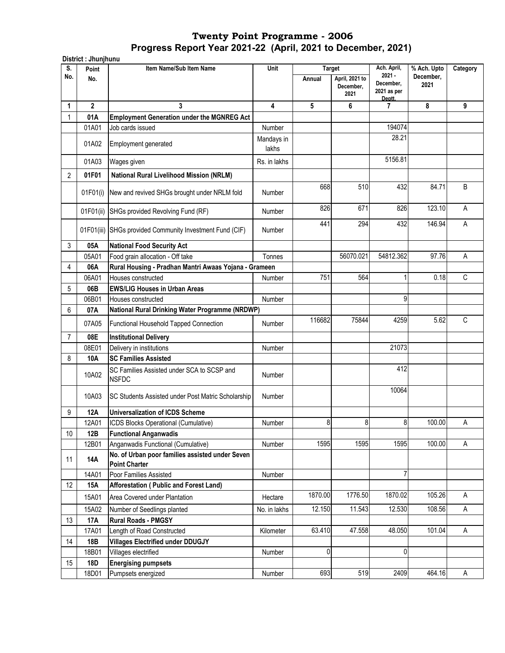**District : Jhunjhunu Point Item Name/Sub Item Name No. Annual April, 2021 to December, 2021 1 2 3 4 5 6 7 8 9** 1 **01A Employment Generation under the MGNREG Act**  01A01 Job cards issued Number Number 194074 01A02 Employment generated Mandays in lakhs 28.21 01A03 Wages given Rs. in lakhs 5156.81 2 **01F01 National Rural Livelihood Mission (NRLM)** 01F01(i) New and revived SHGs brought under NRLM fold Number 668 510 432 84.71 B 01F01(ii) SHGs provided Revolving Fund (RF) Mumber 826 671 826 671 826 123.10 A 01F01(iii) SHGs provided Community Investment Fund (CIF) Number 441 294 432 146.94 A 3 **05A National Food Security Act** 05A01 Food grain allocation - Off take Tonnes | Tonnes | 56070.021 54812.362 97.76 A 4 **06A Rural Housing - Pradhan Mantri Awaas Yojana - Grameen**  06A01 Houses constructed To Number 1 751 564 1 0.18 C 5 **06B EWS/LIG Houses in Urban Areas**  06B01 Houses constructed and the Number Number and Number 1 (1990) 9 6 **07A** 07A05 Functional Household Tapped Connection | Number | 116682 75844 4259 4259 5.62 C 7 **08E Institutional Delivery**  08E01 Delivery in institutions and the Company of Number 21073 8 **10A SC Families Assisted**  10A02 SC Families Assisted under SCA to SCSP and<br>NSEDC NSFDC Number Resisted and Discrete Secret and Number 412 10A03 SC Students Assisted under Post Matric Scholarship Number 10064 9 **12A Universalization of ICDS Scheme**  12A01 ICDS Blocks Operational (Cumulative) Number | 8 8 8 100.00 A 10 **12B Functional Anganwadis**  12B01 Anganwadis Functional (Cumulative) Number 1595 1595 1595 100.00 A <sup>11</sup> **14A No. of Urban poor families assisted under Seven Point Charter**  14A01 Poor Families Assisted Number 1 Number 1 Number 1 Number 1 Number 1 Number 1 Number 1 Number 1 Number 1 12 **15A Afforestation ( Public and Forest Land)**  15A01 Area Covered under Plantation **Hectare 1870.00** 1776.50 1870.02 105.26 A 15A02 Number of Seedlings planted No. in lakhs 12.150 11.543 12.530 108.56 A 13 **17A Rural Roads - PMGSY**  17A01 Length of Road Constructed **Kilometer** Kilometer 63.410 47.558 48.050 101.04 A 14 **18B Villages Electrified under DDUGJY** 18B01 Villages electrified Number 0 0 15 **18D Energising pumpsets**  18D01 Pumpsets energized **Number 1893** 519 2409 464.16 A **National Rural Drinking Water Programme (NRDWP) S. No.** Unit Target Ach. April, **2021 - December, 2021 as per Deptt. % Ach. Upto December, 2021 Category**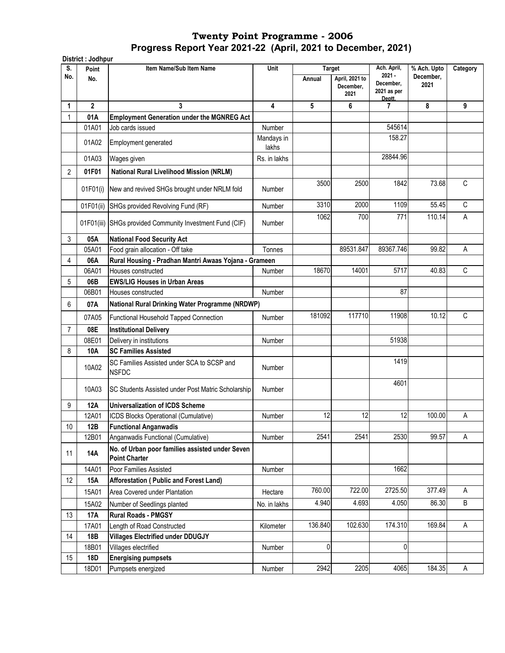|                | District : Jodhpur |                                                                         |                     |               |                                     |                                    |                          |             |
|----------------|--------------------|-------------------------------------------------------------------------|---------------------|---------------|-------------------------------------|------------------------------------|--------------------------|-------------|
| S.<br>No.      | Point              | Item Name/Sub Item Name                                                 | Unit                | <b>Target</b> |                                     | Ach. April,<br>$2021 -$            | % Ach. Upto<br>December, | Category    |
|                | No.                |                                                                         |                     | Annual        | April, 2021 to<br>December,<br>2021 | December,<br>2021 as per<br>Deptt. | 2021                     |             |
| 1              | $\overline{2}$     | 3                                                                       | 4                   | 5             | 6                                   | 7                                  | 8                        | 9           |
| 1              | 01A                | <b>Employment Generation under the MGNREG Act</b>                       |                     |               |                                     |                                    |                          |             |
|                | 01A01              | Job cards issued                                                        | Number              |               |                                     | 545614                             |                          |             |
|                | 01A02              | Employment generated                                                    | Mandays in<br>lakhs |               |                                     | 158.27                             |                          |             |
|                | 01A03              | Wages given                                                             | Rs. in lakhs        |               |                                     | 28844.96                           |                          |             |
| 2              | 01F01              | <b>National Rural Livelihood Mission (NRLM)</b>                         |                     |               |                                     |                                    |                          |             |
|                |                    |                                                                         |                     | 3500          | 2500                                | 1842                               | 73.68                    | С           |
|                | 01F01(i)           | New and revived SHGs brought under NRLM fold                            | Number              |               |                                     |                                    |                          |             |
|                | 01F01(ii)          | SHGs provided Revolving Fund (RF)                                       | Number              | 3310          | 2000                                | 1109                               | 55.45                    | C           |
|                | 01F01(iii)         | SHGs provided Community Investment Fund (CIF)                           | Number              | 1062          | 700                                 | 771                                | 110.14                   | А           |
| 3              | 05A                | <b>National Food Security Act</b>                                       |                     |               |                                     |                                    |                          |             |
|                | 05A01              | Food grain allocation - Off take                                        | Tonnes              |               | 89531.847                           | 89367.746                          | 99.82                    | Α           |
| 4              | 06A                | Rural Housing - Pradhan Mantri Awaas Yojana - Grameen                   |                     |               |                                     |                                    |                          |             |
|                | 06A01              | Houses constructed                                                      | Number              | 18670         | 14001                               | 5717                               | 40.83                    | C           |
| 5              | 06B                | <b>EWS/LIG Houses in Urban Areas</b>                                    |                     |               |                                     |                                    |                          |             |
|                | 06B01              | Houses constructed                                                      | Number              |               |                                     | 87                                 |                          |             |
| 6              | 07A                | National Rural Drinking Water Programme (NRDWP)                         |                     |               |                                     |                                    |                          |             |
|                | 07A05              | Functional Household Tapped Connection                                  | Number              | 181092        | 117710                              | 11908                              | 10.12                    | $\mathsf C$ |
| $\overline{7}$ | 08E                | <b>Institutional Delivery</b>                                           |                     |               |                                     |                                    |                          |             |
|                | 08E01              | Delivery in institutions                                                | Number              |               |                                     | 51938                              |                          |             |
| 8              | 10A                | <b>SC Families Assisted</b>                                             |                     |               |                                     |                                    |                          |             |
|                | 10A02              | SC Families Assisted under SCA to SCSP and<br><b>NSFDC</b>              | Number              |               |                                     | 1419                               |                          |             |
|                | 10A03              | SC Students Assisted under Post Matric Scholarship                      | Number              |               |                                     | 4601                               |                          |             |
| 9              | 12A                | <b>Universalization of ICDS Scheme</b>                                  |                     |               |                                     |                                    |                          |             |
|                | 12A01              | ICDS Blocks Operational (Cumulative)                                    | Number              | 12            | 12                                  | 12                                 | 100.00                   | Α           |
| 10             | 12B                | <b>Functional Anganwadis</b>                                            |                     |               |                                     |                                    |                          |             |
|                | 12B01              | Anganwadis Functional (Cumulative)                                      | Number              | 2541          | 2541                                | 2530                               | 99.57                    | A           |
| 11             | 14A                | No. of Urban poor families assisted under Seven<br><b>Point Charter</b> |                     |               |                                     |                                    |                          |             |
|                | 14A01              | Poor Families Assisted                                                  | Number              |               |                                     | 1662                               |                          |             |
| 12             | 15A                | Afforestation (Public and Forest Land)                                  |                     |               |                                     |                                    |                          |             |
|                | 15A01              | Area Covered under Plantation                                           | Hectare             | 760.00        | 722.00                              | 2725.50                            | 377.49                   | Α           |
|                | 15A02              | Number of Seedlings planted                                             | No. in lakhs        | 4.940         | 4.693                               | 4.050                              | 86.30                    | $\sf B$     |
| 13             | 17A                | <b>Rural Roads - PMGSY</b>                                              |                     |               |                                     |                                    |                          |             |
|                | 17A01              | Length of Road Constructed                                              | Kilometer           | 136.840       | 102.630                             | 174.310                            | 169.84                   | A           |
| 14             | 18B                | <b>Villages Electrified under DDUGJY</b>                                |                     |               |                                     |                                    |                          |             |
|                | 18B01              | Villages electrified                                                    | Number              | $\mathbf{0}$  |                                     | $\overline{0}$                     |                          |             |
| 15             | 18D                | <b>Energising pumpsets</b>                                              |                     |               |                                     |                                    |                          |             |
|                | 18D01              | Pumpsets energized                                                      | Number              | 2942          | 2205                                | 4065                               | 184.35                   | A           |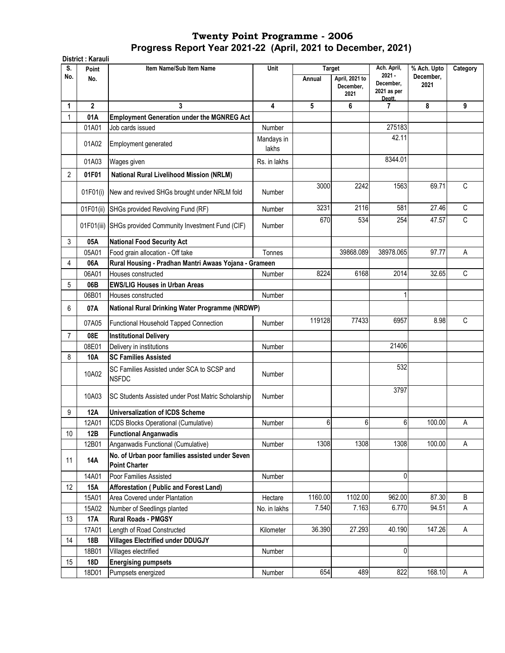|                | District: Karauli |                                                                         |                     |                  |                                     |                                                               |                                  |             |
|----------------|-------------------|-------------------------------------------------------------------------|---------------------|------------------|-------------------------------------|---------------------------------------------------------------|----------------------------------|-------------|
| S.<br>No.      | Point<br>No.      | Item Name/Sub Item Name                                                 | Unit                | Target<br>Annual | April, 2021 to<br>December,<br>2021 | Ach. April,<br>$2021 -$<br>December,<br>2021 as per<br>Deptt. | % Ach. Upto<br>December,<br>2021 | Category    |
| 1              | $\overline{2}$    | 3                                                                       | 4                   | 5                | 6                                   | 7                                                             | 8                                | 9           |
| 1              | 01A               | <b>Employment Generation under the MGNREG Act</b>                       |                     |                  |                                     |                                                               |                                  |             |
|                | 01A01             | Job cards issued                                                        | Number              |                  |                                     | 275183                                                        |                                  |             |
|                | 01A02             | <b>Employment generated</b>                                             | Mandays in<br>lakhs |                  |                                     | 42.11                                                         |                                  |             |
|                | 01A03             | Wages given                                                             | Rs. in lakhs        |                  |                                     | 8344.01                                                       |                                  |             |
| 2              | 01F01             | <b>National Rural Livelihood Mission (NRLM)</b>                         |                     |                  |                                     |                                                               |                                  |             |
|                | 01F01(i)          | New and revived SHGs brought under NRLM fold                            | Number              | 3000             | 2242                                | 1563                                                          | 69.71                            | C           |
|                | 01F01(ii)         | SHGs provided Revolving Fund (RF)                                       | Number              | 3231             | 2116                                | 581                                                           | 27.46                            | С           |
|                |                   | 01F01(iii) SHGs provided Community Investment Fund (CIF)                | Number              | 670              | 534                                 | 254                                                           | 47.57                            | C           |
| 3              | 05A               | <b>National Food Security Act</b>                                       |                     |                  |                                     |                                                               |                                  |             |
|                | 05A01             | Food grain allocation - Off take                                        | Tonnes              |                  | 39868.089                           | 38978.065                                                     | 97.77                            | Α           |
| 4              | 06A               | Rural Housing - Pradhan Mantri Awaas Yojana - Grameen                   |                     |                  |                                     |                                                               |                                  |             |
|                | 06A01             | Houses constructed                                                      | Number              | 8224             | 6168                                | 2014                                                          | 32.65                            | $\mathsf C$ |
| 5              | 06B               | <b>EWS/LIG Houses in Urban Areas</b>                                    |                     |                  |                                     |                                                               |                                  |             |
|                | 06B01             | Houses constructed                                                      | Number              |                  |                                     | 1                                                             |                                  |             |
| 6              | 07A               | National Rural Drinking Water Programme (NRDWP)                         |                     |                  |                                     |                                                               |                                  |             |
|                | 07A05             | Functional Household Tapped Connection                                  | Number              | 119128           | 77433                               | 6957                                                          | 8.98                             | $\mathsf C$ |
| $\overline{7}$ | 08E               | <b>Institutional Delivery</b>                                           |                     |                  |                                     |                                                               |                                  |             |
|                | 08E01             | Delivery in institutions                                                | Number              |                  |                                     | 21406                                                         |                                  |             |
| 8              | 10A               | <b>SC Families Assisted</b>                                             |                     |                  |                                     |                                                               |                                  |             |
|                | 10A02             | SC Families Assisted under SCA to SCSP and<br><b>NSFDC</b>              | Number              |                  |                                     | 532                                                           |                                  |             |
|                | 10A03             | SC Students Assisted under Post Matric Scholarship                      | Number              |                  |                                     | 3797                                                          |                                  |             |
| 9              | 12A               | <b>Universalization of ICDS Scheme</b>                                  |                     |                  |                                     |                                                               |                                  |             |
|                | 12A01             | ICDS Blocks Operational (Cumulative)                                    | Number              | 6                | 6                                   | 6                                                             | 100.00                           | Α           |
| 10             | 12B               | <b>Functional Anganwadis</b>                                            |                     |                  |                                     |                                                               |                                  |             |
|                | 12B01             | Anganwadis Functional (Cumulative)                                      | Number              | 1308             | 1308                                | 1308                                                          | 100.00                           | Α           |
| 11             | <b>14A</b>        | No. of Urban poor families assisted under Seven<br><b>Point Charter</b> |                     |                  |                                     |                                                               |                                  |             |
|                | 14A01             | Poor Families Assisted                                                  | Number              |                  |                                     | 0                                                             |                                  |             |
| 12             | <b>15A</b>        | Afforestation (Public and Forest Land)                                  |                     |                  |                                     |                                                               |                                  |             |
|                | 15A01             | Area Covered under Plantation                                           | Hectare             | 1160.00          | 1102.00                             | 962.00                                                        | 87.30                            | B           |
|                | 15A02             | Number of Seedlings planted                                             | No. in lakhs        | 7.540            | 7.163                               | 6.770                                                         | 94.51                            | Α           |
| 13             | 17A               | <b>Rural Roads - PMGSY</b>                                              |                     |                  |                                     |                                                               |                                  |             |
|                | 17A01             | Length of Road Constructed                                              | Kilometer           | 36.390           | 27.293                              | 40.190                                                        | 147.26                           | Α           |
| 14             | 18B               | <b>Villages Electrified under DDUGJY</b>                                |                     |                  |                                     |                                                               |                                  |             |
|                | 18B01             | Villages electrified                                                    | Number              |                  |                                     | 0                                                             |                                  |             |
| 15             | 18D               | <b>Energising pumpsets</b>                                              |                     |                  |                                     |                                                               |                                  |             |
|                | 18D01             | Pumpsets energized                                                      | Number              | 654              | 489                                 | 822                                                           | 168.10                           | A           |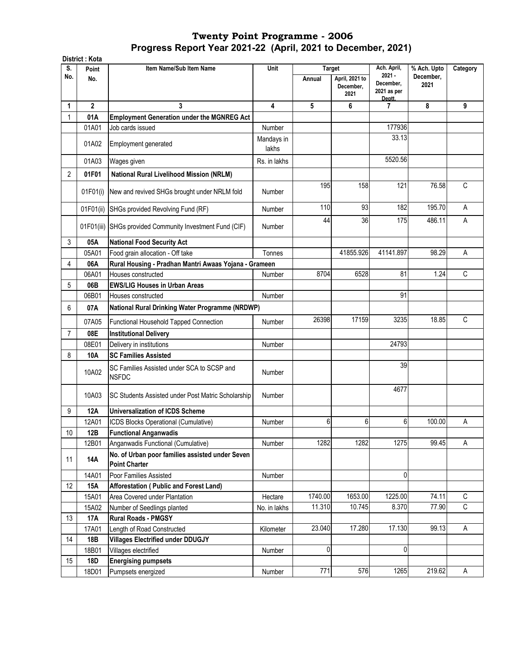|                | District: Kota |                                                                         |                     |                         |                                     |                                                     |                                  |              |
|----------------|----------------|-------------------------------------------------------------------------|---------------------|-------------------------|-------------------------------------|-----------------------------------------------------|----------------------------------|--------------|
| S.<br>No.      | Point<br>No.   | Item Name/Sub Item Name                                                 | Unit                | <b>Target</b><br>Annual | April, 2021 to<br>December,<br>2021 | Ach. April,<br>$2021 -$<br>December,<br>2021 as per | % Ach. Upto<br>December.<br>2021 | Category     |
| 1              | $\overline{2}$ | 3                                                                       | 4                   | 5                       | 6                                   | Deptt.<br>7                                         | 8                                | 9            |
| 1              | 01A            | <b>Employment Generation under the MGNREG Act</b>                       |                     |                         |                                     |                                                     |                                  |              |
|                | 01A01          | Job cards issued                                                        | Number              |                         |                                     | 177936                                              |                                  |              |
|                | 01A02          | Employment generated                                                    | Mandays in<br>lakhs |                         |                                     | 33.13                                               |                                  |              |
|                | 01A03          | Wages given                                                             | Rs. in lakhs        |                         |                                     | 5520.56                                             |                                  |              |
| $\overline{2}$ | 01F01          | <b>National Rural Livelihood Mission (NRLM)</b>                         |                     |                         |                                     |                                                     |                                  |              |
|                | 01F01(i)       | New and revived SHGs brought under NRLM fold                            | Number              | 195                     | 158                                 | 121                                                 | 76.58                            | $\mathsf{C}$ |
|                | 01F01(ii)      | SHGs provided Revolving Fund (RF)                                       | Number              | 110                     | 93                                  | 182                                                 | 195.70                           | Α            |
|                | 01F01(iii)     | SHGs provided Community Investment Fund (CIF)                           | Number              | 44                      | 36                                  | 175                                                 | 486.11                           | $\mathsf A$  |
| 3              | 05A            | <b>National Food Security Act</b>                                       |                     |                         |                                     |                                                     |                                  |              |
|                | 05A01          | Food grain allocation - Off take                                        | Tonnes              |                         | 41855.926                           | 41141.897                                           | 98.29                            | Α            |
| 4              | 06A            | Rural Housing - Pradhan Mantri Awaas Yojana - Grameen                   |                     |                         |                                     |                                                     |                                  |              |
|                | 06A01          | Houses constructed                                                      | Number              | 8704                    | 6528                                | 81                                                  | 1.24                             | $\mathsf{C}$ |
| 5              | 06B            | <b>EWS/LIG Houses in Urban Areas</b>                                    |                     |                         |                                     |                                                     |                                  |              |
|                | 06B01          | Houses constructed                                                      | Number              |                         |                                     | 91                                                  |                                  |              |
| 6              | 07A            | National Rural Drinking Water Programme (NRDWP)                         |                     |                         |                                     |                                                     |                                  |              |
|                | 07A05          | Functional Household Tapped Connection                                  | Number              | 26398                   | 17159                               | 3235                                                | 18.85                            | C            |
| $\overline{7}$ | 08E            | <b>Institutional Delivery</b>                                           |                     |                         |                                     |                                                     |                                  |              |
|                | 08E01          | Delivery in institutions                                                | Number              |                         |                                     | 24793                                               |                                  |              |
| 8              | 10A            | <b>SC Families Assisted</b>                                             |                     |                         |                                     |                                                     |                                  |              |
|                | 10A02          | SC Families Assisted under SCA to SCSP and<br><b>NSFDC</b>              | Number              |                         |                                     | 39                                                  |                                  |              |
|                | 10A03          | SC Students Assisted under Post Matric Scholarship                      | Number              |                         |                                     | 4677                                                |                                  |              |
| 9              | <b>12A</b>     | <b>Universalization of ICDS Scheme</b>                                  |                     |                         |                                     |                                                     |                                  |              |
|                | 12A01          | ICDS Blocks Operational (Cumulative)                                    | Number              | 6                       | 6                                   | 6                                                   | 100.00                           | Α            |
| 10             | 12B            | <b>Functional Anganwadis</b>                                            |                     |                         |                                     |                                                     |                                  |              |
|                | 12B01          | Anganwadis Functional (Cumulative)                                      | Number              | 1282                    | 1282                                | 1275                                                | 99.45                            | A            |
| 11             | <b>14A</b>     | No. of Urban poor families assisted under Seven<br><b>Point Charter</b> |                     |                         |                                     |                                                     |                                  |              |
|                | 14A01          | Poor Families Assisted                                                  | Number              |                         |                                     | 0                                                   |                                  |              |
| 12             | <b>15A</b>     | Afforestation (Public and Forest Land)                                  |                     |                         |                                     |                                                     |                                  |              |
|                | 15A01          | Area Covered under Plantation                                           | Hectare             | 1740.00                 | 1653.00                             | 1225.00                                             | 74.11                            | $\mathsf C$  |
|                | 15A02          | Number of Seedlings planted                                             | No. in lakhs        | 11.310                  | 10.745                              | 8.370                                               | 77.90                            | C            |
| 13             | <b>17A</b>     | <b>Rural Roads - PMGSY</b>                                              |                     |                         |                                     |                                                     |                                  |              |
|                | 17A01          | Length of Road Constructed                                              | Kilometer           | 23.040                  | 17.280                              | 17.130                                              | 99.13                            | $\mathsf A$  |
| 14             | 18B            | <b>Villages Electrified under DDUGJY</b>                                |                     |                         |                                     |                                                     |                                  |              |
|                | 18B01          | Villages electrified                                                    | Number              | $\pmb{0}$               |                                     | 0                                                   |                                  |              |
| 15             | <b>18D</b>     | <b>Energising pumpsets</b>                                              |                     |                         |                                     |                                                     |                                  |              |
|                | 18D01          | Pumpsets energized                                                      | Number              | 771                     | 576                                 | 1265                                                | 219.62                           | A            |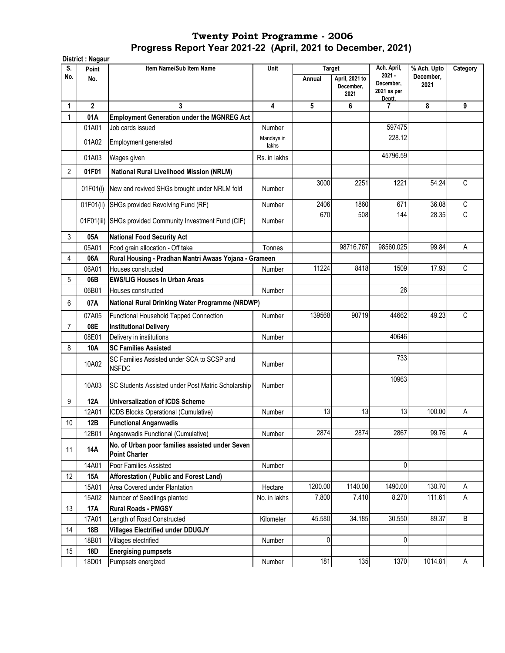|           | District : Nagaur |                                                                         |              |               |                                     |                          |                          |             |
|-----------|-------------------|-------------------------------------------------------------------------|--------------|---------------|-------------------------------------|--------------------------|--------------------------|-------------|
| S.<br>No. | Point             | Item Name/Sub Item Name                                                 | Unit         | <b>Target</b> |                                     | Ach. April,<br>$2021 -$  | % Ach. Upto<br>December. | Category    |
|           | No.               |                                                                         |              | Annual        | April, 2021 to<br>December,<br>2021 | December,<br>2021 as per | 2021                     |             |
| 1         | $\overline{2}$    | 3                                                                       | 4            | 5             | 6                                   | Deptt.<br>7              | 8                        | 9           |
| 1         | 01A               | <b>Employment Generation under the MGNREG Act</b>                       |              |               |                                     |                          |                          |             |
|           | 01A01             | Job cards issued                                                        | Number       |               |                                     | 597475                   |                          |             |
|           | 01A02             |                                                                         | Mandays in   |               |                                     | 228.12                   |                          |             |
|           |                   | Employment generated                                                    | lakhs        |               |                                     |                          |                          |             |
|           | 01A03             | Wages given                                                             | Rs. in lakhs |               |                                     | 45796.59                 |                          |             |
| 2         | 01F01             | <b>National Rural Livelihood Mission (NRLM)</b>                         |              |               |                                     |                          |                          |             |
|           | 01F01(i)          | New and revived SHGs brought under NRLM fold                            | Number       | 3000          | 2251                                | 1221                     | 54.24                    | C           |
|           | 01F01(ii)         | SHGs provided Revolving Fund (RF)                                       | Number       | 2406          | 1860                                | 671                      | 36.08                    | $\mathbb C$ |
|           | 01F01(iii)        | SHGs provided Community Investment Fund (CIF)                           | Number       | 670           | 508                                 | 144                      | 28.35                    | C           |
| 3         | 05A               | <b>National Food Security Act</b>                                       |              |               |                                     |                          |                          |             |
|           | 05A01             | Food grain allocation - Off take                                        | Tonnes       |               | 98716.767                           | 98560.025                | 99.84                    | Α           |
| 4         | 06A               | Rural Housing - Pradhan Mantri Awaas Yojana - Grameen                   |              |               |                                     |                          |                          |             |
|           | 06A01             | Houses constructed                                                      | Number       | 11224         | 8418                                | 1509                     | 17.93                    | $\mathsf C$ |
| 5         | 06B               | <b>EWS/LIG Houses in Urban Areas</b>                                    |              |               |                                     |                          |                          |             |
|           | 06B01             | Houses constructed                                                      | Number       |               |                                     | 26                       |                          |             |
| 6         | 07A               | National Rural Drinking Water Programme (NRDWP)                         |              |               |                                     |                          |                          |             |
|           | 07A05             | <b>Functional Household Tapped Connection</b>                           | Number       | 139568        | 90719                               | 44662                    | 49.23                    | C           |
| 7         | 08E               | <b>Institutional Delivery</b>                                           |              |               |                                     |                          |                          |             |
|           | 08E01             | Delivery in institutions                                                | Number       |               |                                     | 40646                    |                          |             |
| 8         | 10A               | <b>SC Families Assisted</b>                                             |              |               |                                     |                          |                          |             |
|           | 10A02             | SC Families Assisted under SCA to SCSP and<br><b>NSFDC</b>              | Number       |               |                                     | 733                      |                          |             |
|           | 10A03             | SC Students Assisted under Post Matric Scholarship                      | Number       |               |                                     | 10963                    |                          |             |
| 9         | <b>12A</b>        | <b>Universalization of ICDS Scheme</b>                                  |              |               |                                     |                          |                          |             |
|           | 12A01             | ICDS Blocks Operational (Cumulative)                                    | Number       | 13            | 13                                  | 13                       | 100.00                   | Α           |
| 10        | 12B               | <b>Functional Anganwadis</b>                                            |              |               |                                     |                          |                          |             |
|           | 12B01             | Anganwadis Functional (Cumulative)                                      | Number       | 2874          | 2874                                | 2867                     | 99.76                    | A           |
| 11        | 14A               | No. of Urban poor families assisted under Seven<br><b>Point Charter</b> |              |               |                                     |                          |                          |             |
|           | 14A01             | Poor Families Assisted                                                  | Number       |               |                                     | 0                        |                          |             |
| 12        | <b>15A</b>        | <b>Afforestation ( Public and Forest Land)</b>                          |              |               |                                     |                          |                          |             |
|           | 15A01             | Area Covered under Plantation                                           | Hectare      | 1200.00       | 1140.00                             | 1490.00                  | 130.70                   | Α           |
|           | 15A02             | Number of Seedlings planted                                             | No. in lakhs | 7.800         | 7.410                               | 8.270                    | 111.61                   | A           |
| 13        | <b>17A</b>        | <b>Rural Roads - PMGSY</b>                                              |              |               |                                     |                          |                          |             |
|           | 17A01             | Length of Road Constructed                                              | Kilometer    | 45.580        | 34.185                              | 30.550                   | 89.37                    | B           |
| 14        | 18B               | <b>Villages Electrified under DDUGJY</b>                                |              |               |                                     |                          |                          |             |
|           | 18B01             | Villages electrified                                                    | Number       | 0             |                                     | 0                        |                          |             |
| 15        | 18D               | <b>Energising pumpsets</b>                                              |              |               |                                     |                          |                          |             |
|           | 18D01             | Pumpsets energized                                                      | Number       | 181           | 135                                 | 1370                     | 1014.81                  | A           |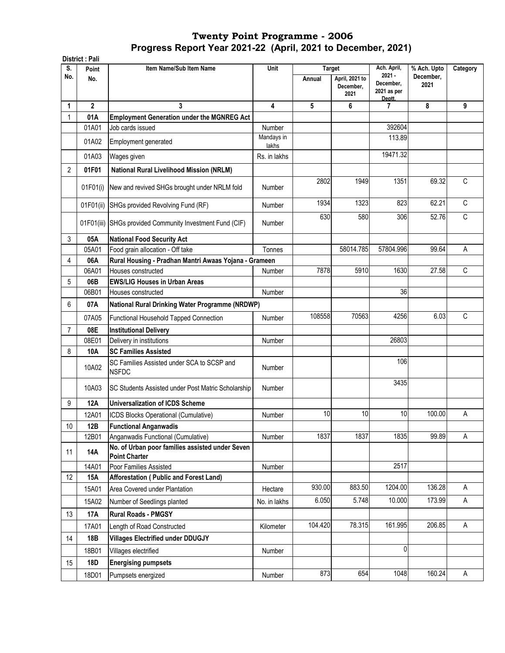| S.<br>No.      | Point          |                                                                         | Item Name/Sub Item Name<br>Unit | Target  |                                     | Ach. April,                                    | % Ach. Upto       | Category |
|----------------|----------------|-------------------------------------------------------------------------|---------------------------------|---------|-------------------------------------|------------------------------------------------|-------------------|----------|
|                | No.            |                                                                         |                                 | Annual  | April, 2021 to<br>December,<br>2021 | $2021 -$<br>December,<br>2021 as per<br>Deptt. | December,<br>2021 |          |
| 1              | $\overline{2}$ | 3                                                                       | 4                               | 5       | 6                                   | 7                                              | 8                 | 9        |
| $\mathbf{1}$   | 01A            | <b>Employment Generation under the MGNREG Act</b>                       |                                 |         |                                     |                                                |                   |          |
|                | 01A01          | Job cards issued                                                        | Number                          |         |                                     | 392604                                         |                   |          |
|                | 01A02          | Employment generated                                                    | Mandays in<br>lakhs             |         |                                     | 113.89                                         |                   |          |
|                | 01A03          | Wages given                                                             | Rs. in lakhs                    |         |                                     | 19471.32                                       |                   |          |
| 2              | 01F01          | <b>National Rural Livelihood Mission (NRLM)</b>                         |                                 |         |                                     |                                                |                   |          |
|                | 01F01(i)       | New and revived SHGs brought under NRLM fold                            | Number                          | 2802    | 1949                                | 1351                                           | 69.32             | C        |
|                | 01F01(ii)      | SHGs provided Revolving Fund (RF)                                       | Number                          | 1934    | 1323                                | 823                                            | 62.21             | C        |
|                | 01F01(iii)     | SHGs provided Community Investment Fund (CIF)                           | Number                          | 630     | 580                                 | 306                                            | 52.76             | C        |
| 3              | 05A            | <b>National Food Security Act</b>                                       |                                 |         |                                     |                                                |                   |          |
|                | 05A01          | Food grain allocation - Off take                                        | Tonnes                          |         | 58014.785                           | 57804.996                                      | 99.64             | Α        |
| 4              | 06A            | Rural Housing - Pradhan Mantri Awaas Yojana - Grameen                   |                                 |         |                                     |                                                |                   |          |
|                | 06A01          | Houses constructed                                                      | Number                          | 7878    | 5910                                | 1630                                           | 27.58             | C        |
| 5              | 06B            | <b>EWS/LIG Houses in Urban Areas</b>                                    |                                 |         |                                     |                                                |                   |          |
|                | 06B01          | Houses constructed                                                      | Number                          |         |                                     | 36                                             |                   |          |
| 6              | 07A            | National Rural Drinking Water Programme (NRDWP)                         |                                 |         |                                     |                                                |                   |          |
|                | 07A05          | Functional Household Tapped Connection                                  | Number                          | 108558  | 70563                               | 4256                                           | 6.03              | С        |
| $\overline{7}$ | 08E            | <b>Institutional Delivery</b>                                           |                                 |         |                                     |                                                |                   |          |
|                | 08E01          | Delivery in institutions                                                | Number                          |         |                                     | 26803                                          |                   |          |
| 8              | 10A            | <b>SC Families Assisted</b>                                             |                                 |         |                                     |                                                |                   |          |
|                | 10A02          | SC Families Assisted under SCA to SCSP and<br><b>NSFDC</b>              | Number                          |         |                                     | 106                                            |                   |          |
|                | 10A03          | SC Students Assisted under Post Matric Scholarship                      | Number                          |         |                                     | 3435                                           |                   |          |
| 9              | 12A            | <b>Universalization of ICDS Scheme</b>                                  |                                 |         |                                     |                                                |                   |          |
|                | 12A01          | ICDS Blocks Operational (Cumulative)                                    | Number                          | 10      | 10                                  | 10                                             | 100.00            | A        |
| 10             | 12B            | <b>Functional Anganwadis</b>                                            |                                 |         |                                     |                                                |                   |          |
|                | 12B01          | Anganwadis Functional (Cumulative)                                      | Number                          | 1837    | 1837                                | 1835                                           | 99.89             | Α        |
| 11             | <b>14A</b>     | No. of Urban poor families assisted under Seven<br><b>Point Charter</b> |                                 |         |                                     |                                                |                   |          |
|                | 14A01          | Poor Families Assisted                                                  | Number                          |         |                                     | 2517                                           |                   |          |
| 12             | 15A            | Afforestation (Public and Forest Land)                                  |                                 |         |                                     |                                                |                   |          |
|                | 15A01          | Area Covered under Plantation                                           | Hectare                         | 930.00  | 883.50                              | 1204.00                                        | 136.28            | A        |
|                | 15A02          | Number of Seedlings planted                                             | No. in lakhs                    | 6.050   | 5.748                               | 10.000                                         | 173.99            | A        |
| 13             | 17A            | <b>Rural Roads - PMGSY</b>                                              |                                 |         |                                     |                                                |                   |          |
|                | 17A01          | Length of Road Constructed                                              | Kilometer                       | 104.420 | 78.315                              | 161.995                                        | 206.85            | Α        |
| 14             | 18B            | <b>Villages Electrified under DDUGJY</b>                                |                                 |         |                                     |                                                |                   |          |
|                | 18B01          | Villages electrified                                                    | Number                          |         |                                     | 0                                              |                   |          |
| 15             | 18D            | <b>Energising pumpsets</b>                                              |                                 |         |                                     |                                                |                   |          |
|                | 18D01          | Pumpsets energized                                                      | Number                          | 873     | 654                                 | 1048                                           | 160.24            | A        |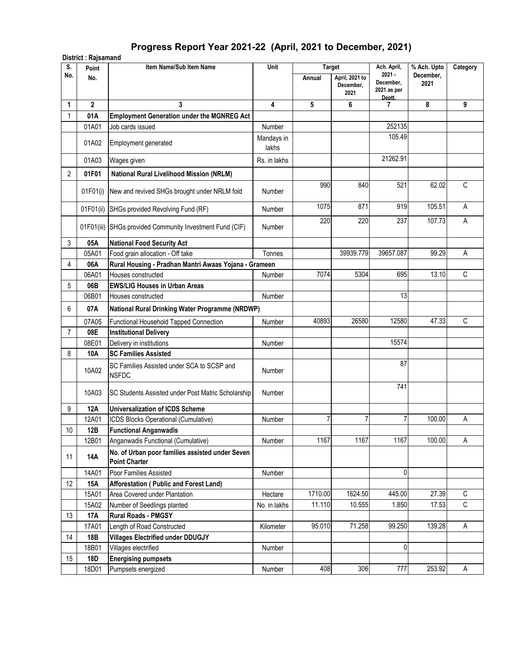# **Progress Report Year 2021-22 (April, 2021 to December, 2021)**

| S.             | Point          | Item Name/Sub Item Name                                          | Unit                |                | <b>Target</b>                       | Ach. April,                                    | % Ach. Upto       | Category     |
|----------------|----------------|------------------------------------------------------------------|---------------------|----------------|-------------------------------------|------------------------------------------------|-------------------|--------------|
| No.            | No.            |                                                                  |                     | Annual         | April, 2021 to<br>December,<br>2021 | $2021 -$<br>December,<br>2021 as per<br>Deptt. | December,<br>2021 |              |
| 1              | $\overline{2}$ | 3                                                                | 4                   | 5              | 6                                   | $\overline{7}$                                 | 8                 | 9            |
| $\mathbf{1}$   | 01A            | <b>Employment Generation under the MGNREG Act</b>                |                     |                |                                     |                                                |                   |              |
|                | 01A01          | Job cards issued                                                 | Number              |                |                                     | 252135                                         |                   |              |
|                | 01A02          | Employment generated                                             | Mandays in<br>lakhs |                |                                     | 105.49                                         |                   |              |
|                | 01A03          | Wages given                                                      | Rs. in lakhs        |                |                                     | 21262.91                                       |                   |              |
| $\overline{2}$ | 01F01          | <b>National Rural Livelihood Mission (NRLM)</b>                  |                     |                |                                     |                                                |                   |              |
|                |                | 01F01(i) New and revived SHGs brought under NRLM fold            | Number              | 990            | 840                                 | 521                                            | 62.02             | $\mathsf{C}$ |
|                | 01F01(ii)      | SHGs provided Revolving Fund (RF)                                | Number              | 1075           | 871                                 | 919                                            | 105.51            | A            |
|                |                | 01F01(iii) SHGs provided Community Investment Fund (CIF)         | Number              | 220            | 220                                 | 237                                            | 107.73            | Α            |
| 3              | 05A            | <b>National Food Security Act</b>                                |                     |                |                                     |                                                |                   |              |
|                | 05A01          | Food grain allocation - Off take                                 | Tonnes              |                | 39939.779                           | 39657.087                                      | 99.29             | A            |
| 4              | 06A            | Rural Housing - Pradhan Mantri Awaas Yojana - Grameen            |                     |                |                                     |                                                |                   |              |
|                | 06A01          | Houses constructed                                               | Number              | 7074           | 5304                                | 695                                            | 13.10             | $\mathsf C$  |
| 5              | 06B            | <b>EWS/LIG Houses in Urban Areas</b>                             |                     |                |                                     |                                                |                   |              |
|                | 06B01          | Houses constructed                                               | Number              |                |                                     | 13                                             |                   |              |
|                |                |                                                                  |                     |                |                                     |                                                |                   |              |
| 6              | 07A            | National Rural Drinking Water Programme (NRDWP)                  |                     |                |                                     |                                                |                   |              |
|                | 07A05          | Functional Household Tapped Connection                           | Number              | 40893          | 26580                               | 12580                                          | 47.33             | C            |
| $\overline{7}$ | 08E            | <b>Institutional Delivery</b>                                    |                     |                |                                     |                                                |                   |              |
|                | 08E01          | Delivery in institutions                                         | Number              |                |                                     | 15574                                          |                   |              |
| 8              | 10A            | <b>ISC Families Assisted</b>                                     |                     |                |                                     |                                                |                   |              |
|                | 10A02          | SC Families Assisted under SCA to SCSP and<br><b>NSFDC</b>       | Number              |                |                                     | 87                                             |                   |              |
|                | 10A03          | <b>SC Students Assisted under Post Matric Scholarship</b>        | Number              |                |                                     | 741                                            |                   |              |
| 9              | <b>12A</b>     | Universalization of ICDS Scheme                                  |                     |                |                                     |                                                |                   |              |
|                | 12A01          | ICDS Blocks Operational (Cumulative)                             | Number              | $\overline{7}$ | 7                                   | $\overline{7}$                                 | 100.00            | Α            |
| 10             | 12B            | <b>Functional Anganwadis</b>                                     |                     |                |                                     |                                                |                   |              |
|                | 12B01          | Anganwadis Functional (Cumulative)                               | Number              | 1167           | 1167                                | 1167                                           | 100.00            | Α            |
| 11             | <b>14A</b>     | No. of Urban poor families assisted under Seven<br>Point Charter |                     |                |                                     |                                                |                   |              |
|                | 14A01          | Poor Families Assisted                                           | Number              |                |                                     | 0                                              |                   |              |
| 12             | 15A            | Afforestation (Public and Forest Land)                           |                     |                |                                     |                                                |                   |              |
|                | 15A01          | Area Covered under Plantation                                    | Hectare             | 1710.00        | 1624.50                             | 445.00                                         | 27.39             | C            |
|                | 15A02          | Number of Seedlings planted                                      | No. in lakhs        | 11.110         | 10.555                              | 1.850                                          | 17.53             | C            |
| 13             | <b>17A</b>     | <b>Rural Roads - PMGSY</b>                                       |                     |                |                                     |                                                |                   |              |
|                | 17A01          | Length of Road Constructed                                       | Kilometer           | 95.010         | 71.258                              | 99.250                                         | 139.28            | A            |
| 14             | 18B            | <b>Villages Electrified under DDUGJY</b>                         |                     |                |                                     |                                                |                   |              |
|                | 18B01          | Villages electrified                                             | Number              |                |                                     | $\pmb{0}$                                      |                   |              |
| 15             | 18D            | <b>Energising pumpsets</b>                                       |                     |                |                                     |                                                |                   |              |
|                | 18D01          | Pumpsets energized                                               | Number              | 408            | 306                                 | 777                                            | 253.92            | A            |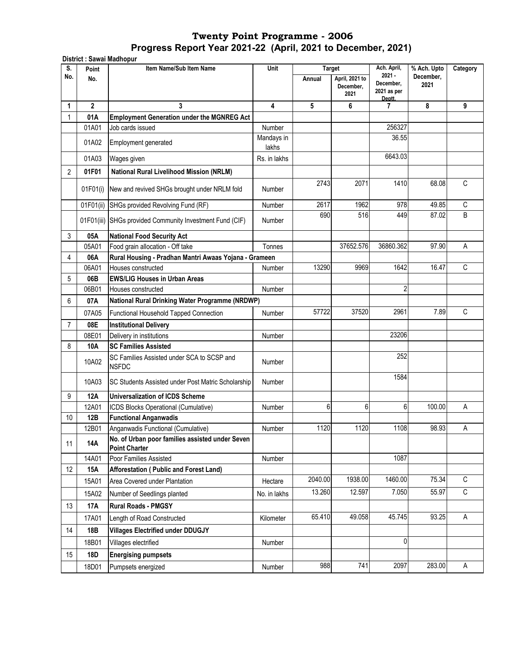**District : Sawai Madhopur**

| S.             | ואקטווטגו ושמושט . אטוואטוש<br>Point | Item Name/Sub Item Name                                                 | Unit                | <b>Target</b> |                                     | Ach. April,                                    | % Ach. Upto       | Category     |
|----------------|--------------------------------------|-------------------------------------------------------------------------|---------------------|---------------|-------------------------------------|------------------------------------------------|-------------------|--------------|
| No.            | No.                                  |                                                                         |                     | Annual        | April, 2021 to<br>December,<br>2021 | $2021 -$<br>December,<br>2021 as per<br>Deptt. | December.<br>2021 |              |
| 1              | $\mathbf{2}$                         | 3                                                                       | 4                   | 5             | 6                                   | 7                                              | 8                 | 9            |
| 1              | 01A                                  | <b>Employment Generation under the MGNREG Act</b>                       |                     |               |                                     |                                                |                   |              |
|                | 01A01                                | Job cards issued                                                        | Number              |               |                                     | 256327                                         |                   |              |
|                | 01A02                                | Employment generated                                                    | Mandays in<br>lakhs |               |                                     | 36.55                                          |                   |              |
|                | 01A03                                | Wages given                                                             | Rs. in lakhs        |               |                                     | 6643.03                                        |                   |              |
| 2              | 01F01                                | <b>National Rural Livelihood Mission (NRLM)</b>                         |                     |               |                                     |                                                |                   |              |
|                | 01F01(i)                             | New and revived SHGs brought under NRLM fold                            | Number              | 2743          | 2071                                | 1410                                           | 68.08             | $\mathsf{C}$ |
|                | 01F01(ii)                            | SHGs provided Revolving Fund (RF)                                       | Number              | 2617          | 1962                                | 978                                            | 49.85             | $\mathsf C$  |
|                | 01F01(iii)                           | SHGs provided Community Investment Fund (CIF)                           | Number              | 690           | 516                                 | 449                                            | 87.02             | B            |
| 3              | 05A                                  | <b>National Food Security Act</b>                                       |                     |               |                                     |                                                |                   |              |
|                | 05A01                                | Food grain allocation - Off take                                        | Tonnes              |               | 37652.576                           | 36860.362                                      | 97.90             | Α            |
| 4              | 06A                                  | Rural Housing - Pradhan Mantri Awaas Yojana - Grameen                   |                     |               |                                     |                                                |                   |              |
|                | 06A01                                | Houses constructed                                                      | Number              | 13290         | 9969                                | 1642                                           | 16.47             | C            |
| 5              | 06B                                  | <b>EWS/LIG Houses in Urban Areas</b>                                    |                     |               |                                     |                                                |                   |              |
|                | 06B01                                | Houses constructed                                                      | Number              |               |                                     | 2                                              |                   |              |
| 6              | 07A                                  | National Rural Drinking Water Programme (NRDWP)                         |                     |               |                                     |                                                |                   |              |
|                | 07A05                                | Functional Household Tapped Connection                                  | Number              | 57722         | 37520                               | 2961                                           | 7.89              | C            |
| $\overline{7}$ | 08E                                  | <b>Institutional Delivery</b>                                           |                     |               |                                     |                                                |                   |              |
|                | 08E01                                | Delivery in institutions                                                | Number              |               |                                     | 23206                                          |                   |              |
| 8              | 10A                                  | <b>SC Families Assisted</b>                                             |                     |               |                                     |                                                |                   |              |
|                | 10A02                                | SC Families Assisted under SCA to SCSP and<br><b>NSFDC</b>              | Number              |               |                                     | 252                                            |                   |              |
|                | 10A03                                | SC Students Assisted under Post Matric Scholarship                      | Number              |               |                                     | 1584                                           |                   |              |
| 9              | <b>12A</b>                           | <b>Universalization of ICDS Scheme</b>                                  |                     |               |                                     |                                                |                   |              |
|                | 12A01                                | ICDS Blocks Operational (Cumulative)                                    | Number              | 6             | 6                                   | 6                                              | 100.00            | A            |
| 10             | 12B                                  | <b>Functional Anganwadis</b>                                            |                     |               |                                     |                                                |                   |              |
|                | 12B01                                | Anganwadis Functional (Cumulative)                                      | Number              | 1120          | 1120                                | 1108                                           | 98.93             | Α            |
| 11             | 14A                                  | No. of Urban poor families assisted under Seven<br><b>Point Charter</b> |                     |               |                                     |                                                |                   |              |
|                | 14A01                                | Poor Families Assisted                                                  | Number              |               |                                     | 1087                                           |                   |              |
| 12             | <b>15A</b>                           | <b>Afforestation ( Public and Forest Land)</b>                          |                     |               |                                     |                                                |                   |              |
|                | 15A01                                | Area Covered under Plantation                                           | Hectare             | 2040.00       | 1938.00                             | 1460.00                                        | 75.34             | C            |
|                | 15A02                                | Number of Seedlings planted                                             | No. in lakhs        | 13.260        | 12.597                              | 7.050                                          | 55.97             | $\mathsf C$  |
| 13             | <b>17A</b>                           | <b>Rural Roads - PMGSY</b>                                              |                     |               |                                     |                                                |                   |              |
|                | 17A01                                | Length of Road Constructed                                              | Kilometer           | 65.410        | 49.058                              | 45.745                                         | 93.25             | Α            |
| 14             | 18B                                  | <b>Villages Electrified under DDUGJY</b>                                |                     |               |                                     |                                                |                   |              |
|                | 18B01                                | Villages electrified                                                    | Number              |               |                                     | 0                                              |                   |              |
| 15             | 18D                                  | <b>Energising pumpsets</b>                                              |                     |               |                                     |                                                |                   |              |
|                | 18D01                                | Pumpsets energized                                                      | Number              | 988           | 741                                 | 2097                                           | 283.00            | Α            |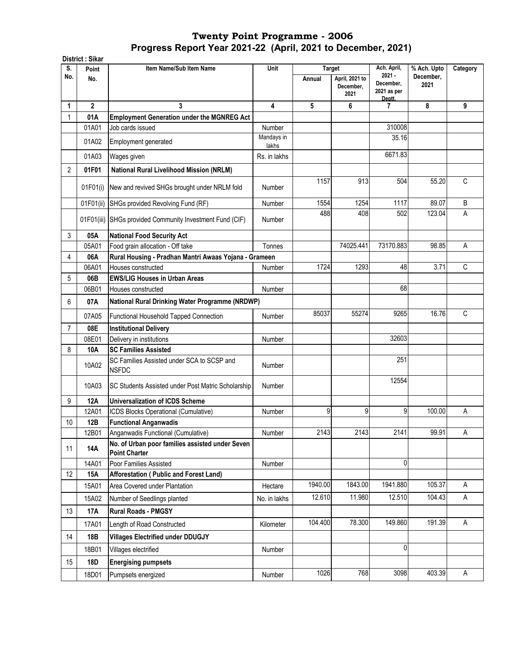|                | District: Sikar |                                                                         |                     |         |                                               |                                                               |                                  |          |
|----------------|-----------------|-------------------------------------------------------------------------|---------------------|---------|-----------------------------------------------|---------------------------------------------------------------|----------------------------------|----------|
| S.<br>No.      | Point<br>No.    | Item Name/Sub Item Name                                                 | Unit                | Annual  | Target<br>April, 2021 to<br>December,<br>2021 | Ach. April,<br>$2021 -$<br>December,<br>2021 as per<br>Deptt. | % Ach. Upto<br>December,<br>2021 | Category |
| 1              | $\overline{2}$  | 3                                                                       | 4                   | 5       | 6                                             | 7                                                             | 8                                | 9        |
| 1              | 01A             | <b>Employment Generation under the MGNREG Act</b>                       |                     |         |                                               |                                                               |                                  |          |
|                | 01A01           | Job cards issued                                                        | Number              |         |                                               | 310008                                                        |                                  |          |
|                | 01A02           | Employment generated                                                    | Mandays in<br>lakhs |         |                                               | 35.16                                                         |                                  |          |
|                | 01A03           | Wages given                                                             | Rs. in lakhs        |         |                                               | 6671.83                                                       |                                  |          |
| $\overline{2}$ | 01F01           | <b>National Rural Livelihood Mission (NRLM)</b>                         |                     |         |                                               |                                                               |                                  |          |
|                | 01F01(i)        | New and revived SHGs brought under NRLM fold                            | Number              | 1157    | 913                                           | 504                                                           | 55.20                            | C        |
|                | 01F01(ii)       | SHGs provided Revolving Fund (RF)                                       | Number              | 1554    | 1254                                          | 1117                                                          | 89.07                            | B        |
|                |                 | 01F01(iii) SHGs provided Community Investment Fund (CIF)                | Number              | 488     | 408                                           | 502                                                           | 123.04                           | Α        |
| 3              | 05A             | <b>National Food Security Act</b>                                       |                     |         |                                               |                                                               |                                  |          |
|                | 05A01           | Food grain allocation - Off take                                        | Tonnes              |         | 74025.441                                     | 73170.883                                                     | 98.85                            | А        |
| 4              | 06A             | Rural Housing - Pradhan Mantri Awaas Yojana - Grameen                   |                     |         |                                               |                                                               |                                  |          |
|                | 06A01           | Houses constructed                                                      | Number              | 1724    | 1293                                          | 48                                                            | 3.71                             | C        |
| 5              | 06B             | <b>EWS/LIG Houses in Urban Areas</b>                                    |                     |         |                                               |                                                               |                                  |          |
|                | 06B01           | Houses constructed                                                      | Number              |         |                                               | 68                                                            |                                  |          |
| 6              | 07A             | National Rural Drinking Water Programme (NRDWP)                         |                     |         |                                               |                                                               |                                  |          |
|                | 07A05           | Functional Household Tapped Connection                                  | Number              | 85037   | 55274                                         | 9265                                                          | 16.76                            | C        |
| $\overline{7}$ | 08E             | <b>Institutional Delivery</b>                                           |                     |         |                                               |                                                               |                                  |          |
|                | 08E01           | Delivery in institutions                                                | Number              |         |                                               | 32603                                                         |                                  |          |
| 8              | 10A             | <b>SC Families Assisted</b>                                             |                     |         |                                               |                                                               |                                  |          |
|                | 10A02           | SC Families Assisted under SCA to SCSP and<br><b>NSFDC</b>              | Number              |         |                                               | 251                                                           |                                  |          |
|                | 10A03           | SC Students Assisted under Post Matric Scholarship                      | Number              |         |                                               | 12554                                                         |                                  |          |
| 9              | 12A             | <b>Universalization of ICDS Scheme</b>                                  |                     |         |                                               |                                                               |                                  |          |
|                | 12A01           | ICDS Blocks Operational (Cumulative)                                    | Number              | 9       | 9                                             | 9                                                             | 100.00                           | Α        |
| $10$           | 12B             | <b>Functional Anganwadis</b>                                            |                     |         |                                               |                                                               |                                  |          |
|                | 12B01           | Anganwadis Functional (Cumulative)                                      | Number              | 2143    | 2143                                          | 2141                                                          | 99.91                            | Α        |
| 11             | 14A             | No. of Urban poor families assisted under Seven<br><b>Point Charter</b> |                     |         |                                               |                                                               |                                  |          |
|                | 14A01           | Poor Families Assisted                                                  | Number              |         |                                               | 0                                                             |                                  |          |
| 12             | 15A             | Afforestation (Public and Forest Land)                                  |                     |         |                                               |                                                               |                                  |          |
|                | 15A01           | Area Covered under Plantation                                           | Hectare             | 1940.00 | 1843.00                                       | 1941.880                                                      | 105.37                           | Α        |
|                | 15A02           | Number of Seedlings planted                                             | No. in lakhs        | 12.610  | 11.980                                        | 12.510                                                        | 104.43                           | A        |
| 13             | 17A             | <b>Rural Roads - PMGSY</b>                                              |                     |         |                                               |                                                               |                                  |          |
|                | 17A01           | Length of Road Constructed                                              | Kilometer           | 104.400 | 78.300                                        | 149.860                                                       | 191.39                           | Α        |
| 14             | 18B             | <b>Villages Electrified under DDUGJY</b>                                |                     |         |                                               |                                                               |                                  |          |
|                | 18B01           | Villages electrified                                                    | Number              |         |                                               | 0                                                             |                                  |          |
| 15             | 18D             | <b>Energising pumpsets</b>                                              |                     |         |                                               |                                                               |                                  |          |
|                | 18D01           | Pumpsets energized                                                      | Number              | 1026    | 768                                           | 3098                                                          | 403.39                           | Α        |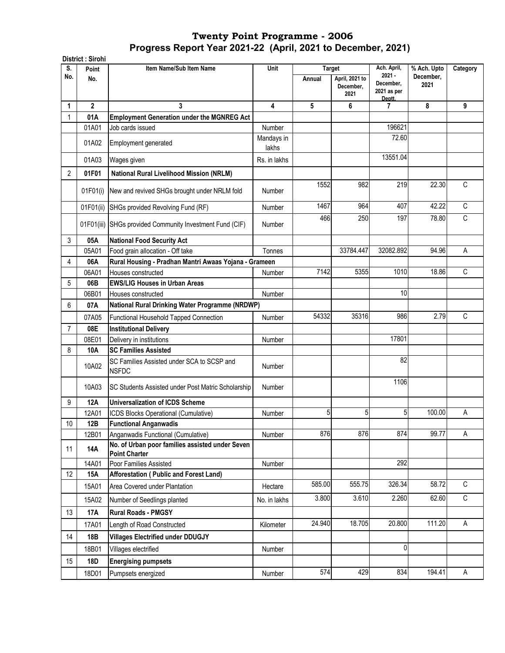**District : Sirohi Point Item Name/Sub Item Name No. Annual April, 2021 to December, 2021 1 2 3 4 5 6 7 8 9** 1 **01A Employment Generation under the MGNREG Act**  01A01 Job cards issued Number Number 196621 01A02 Employment generated Mandays in lakhs 72.60 01A03 |Wages given | Rs. in lakhs | | | 13551.04 2 **01F01 National Rural Livelihood Mission (NRLM)** 01F01(i) New and revived SHGs brought under NRLM fold Number 1552 982 219 22.30 C 01F01(ii) SHGs provided Revolving Fund (RF)  $\vert$  Number | 1467 964 407 42.22 C 01F01(iii) SHGs provided Community Investment Fund (CIF) Number 466**|** 250**| 1**97**| 78.80|** C 3 **05A National Food Security Act** 05A01 Food grain allocation - Off take Tonnes | Tonnes | 33784.447 32082.892 94.96 A 4 **06A Rural Housing - Pradhan Mantri Awaas Yojana - Grameen**  06A01 Houses constructed The Rumber 1 Number 1 2142 5355 1010 18.86 C 5 **06B EWS/LIG Houses in Urban Areas**  06B01 Houses constructed and the Number Number 10 Number 10 10 6 **07A** 07A05 Functional Household Tapped Connection (Number | 54332 35316 986 986 2.79 C 7 **08E Institutional Delivery**  08E01 Delivery in institutions Number Number 2008 Number 2008 8 **10A SC Families Assisted**  10A02 SC Families Assisted under SCA to SCSP and<br>NSFDC NSFDC Number Number Number 82 10A03 SC Students Assisted under Post Matric Scholarship Number 1106 9 **12A Universalization of ICDS Scheme**  12A01 ICDS Blocks Operational (Cumulative) Number 5 5 5 100.00 A 10 **12B Functional Anganwadis**  12B01 Anganwadis Functional (Cumulative) Number 876 876 874 99.77 A <sup>11</sup> **14A No. of Urban poor families assisted under Seven Point Charter**  14A01 Poor Families Assisted Number Number 292 12 **15A Afforestation ( Public and Forest Land)**  15A01 Area Covered under Plantation 15800 Hectare | 585.00 555.75 326.34 58.72 C 15A02 Number of Seedlings planted No. in lakhs 3.800 3.610 2.260 62.60 C 13 **17A Rural Roads - PMGSY**  17A01 Length of Road Constructed The Rilometer | 24.940 18.705 20.800 111.20 A 14 **18B Villages Electrified under DDUGJY** 18B01 Villages electrified and the Community Community Number 1 and 1980 1 and 1980 1 and 1980 1 and 1980 1 and 1 15 **18D Energising pumpsets**  18D01 Pumpsets energized **Number | 18D01 Pumpsets energized** A **National Rural Drinking Water Programme (NRDWP) S. No.** Unit Target Ach. April, **2021 - December, 2021 as per Deptt. % Ach. Upto December, 2021 Category**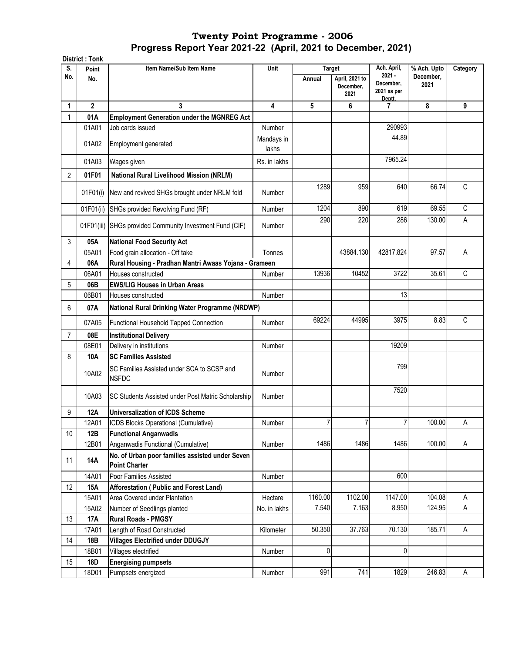|                | <b>District: Tonk</b> |                                                                         |                     |                         |                             |                                                     |                                  |          |
|----------------|-----------------------|-------------------------------------------------------------------------|---------------------|-------------------------|-----------------------------|-----------------------------------------------------|----------------------------------|----------|
| S.<br>No.      | Point<br>No.          | Item Name/Sub Item Name                                                 | Unit                | <b>Target</b><br>Annual | April, 2021 to<br>December, | Ach. April,<br>$2021 -$<br>December,<br>2021 as per | % Ach. Upto<br>December,<br>2021 | Category |
|                |                       |                                                                         |                     |                         | 2021                        | Deptt.                                              |                                  |          |
| 1              | $\overline{2}$        | 3                                                                       | 4                   | 5                       | 6                           | 7                                                   | 8                                | 9        |
| 1              | 01A                   | <b>Employment Generation under the MGNREG Act</b>                       |                     |                         |                             |                                                     |                                  |          |
|                | 01A01                 | Job cards issued                                                        | Number              |                         |                             | 290993                                              |                                  |          |
|                | 01A02                 | Employment generated                                                    | Mandays in<br>lakhs |                         |                             | 44.89                                               |                                  |          |
|                | 01A03                 | Wages given                                                             | Rs. in lakhs        |                         |                             | 7965.24                                             |                                  |          |
| $\overline{c}$ | 01F01                 | <b>National Rural Livelihood Mission (NRLM)</b>                         |                     |                         |                             |                                                     |                                  |          |
|                | 01F01(i)              | New and revived SHGs brought under NRLM fold                            | Number              | 1289                    | 959                         | 640                                                 | 66.74                            | C        |
|                | 01F01(ii)             | SHGs provided Revolving Fund (RF)                                       | Number              | 1204                    | 890                         | 619                                                 | 69.55                            | C        |
|                |                       | 01F01(iii) SHGs provided Community Investment Fund (CIF)                | Number              | 290                     | 220                         | 286                                                 | 130.00                           | A        |
| 3              | 05A                   | <b>National Food Security Act</b>                                       |                     |                         |                             |                                                     |                                  |          |
|                | 05A01                 | Food grain allocation - Off take                                        | Tonnes              |                         | 43884.130                   | 42817.824                                           | 97.57                            | Α        |
| 4              | 06A                   | Rural Housing - Pradhan Mantri Awaas Yojana - Grameen                   |                     |                         |                             |                                                     |                                  |          |
|                | 06A01                 | Houses constructed                                                      | Number              | 13936                   | 10452                       | 3722                                                | 35.61                            | C        |
| 5              | 06B                   | <b>EWS/LIG Houses in Urban Areas</b>                                    |                     |                         |                             |                                                     |                                  |          |
|                | 06B01                 | Houses constructed                                                      | Number              |                         |                             | 13                                                  |                                  |          |
| 6              | 07A                   | National Rural Drinking Water Programme (NRDWP)                         |                     |                         |                             |                                                     |                                  |          |
|                | 07A05                 | Functional Household Tapped Connection                                  | Number              | 69224                   | 44995                       | 3975                                                | 8.83                             | C        |
| $\overline{7}$ | 08E                   | <b>Institutional Delivery</b>                                           |                     |                         |                             |                                                     |                                  |          |
|                | 08E01                 | Delivery in institutions                                                | Number              |                         |                             | 19209                                               |                                  |          |
| 8              | 10A                   | <b>SC Families Assisted</b>                                             |                     |                         |                             |                                                     |                                  |          |
|                | 10A02                 | SC Families Assisted under SCA to SCSP and<br><b>NSFDC</b>              | Number              |                         |                             | 799                                                 |                                  |          |
|                | 10A03                 | SC Students Assisted under Post Matric Scholarship                      | Number              |                         |                             | 7520                                                |                                  |          |
| 9              | 12A                   | <b>Universalization of ICDS Scheme</b>                                  |                     |                         |                             |                                                     |                                  |          |
|                | 12A01                 | ICDS Blocks Operational (Cumulative)                                    | Number              | $\overline{7}$          | 7                           | 7                                                   | 100.00                           | A        |
| 10             | 12B                   | <b>Functional Anganwadis</b>                                            |                     |                         |                             |                                                     |                                  |          |
|                | 12B01                 | Anganwadis Functional (Cumulative)                                      | Number              | 1486                    | 1486                        | 1486                                                | 100.00                           | Α        |
| 11             | 14A                   | No. of Urban poor families assisted under Seven<br><b>Point Charter</b> |                     |                         |                             |                                                     |                                  |          |
|                | 14A01                 | Poor Families Assisted                                                  | Number              |                         |                             | 600                                                 |                                  |          |
| 12             | 15A                   | Afforestation (Public and Forest Land)                                  |                     |                         |                             |                                                     |                                  |          |
|                | 15A01                 | Area Covered under Plantation                                           | Hectare             | 1160.00                 | 1102.00                     | 1147.00                                             | 104.08                           | Α        |
|                | 15A02                 | Number of Seedlings planted                                             | No. in lakhs        | 7.540                   | 7.163                       | 8.950                                               | 124.95                           | A        |
| 13             | 17A                   | <b>Rural Roads - PMGSY</b>                                              |                     |                         |                             |                                                     |                                  |          |
|                | 17A01                 | Length of Road Constructed                                              | Kilometer           | 50.350                  | 37.763                      | 70.130                                              | 185.71                           | Α        |
| 14             | 18B                   | <b>Villages Electrified under DDUGJY</b>                                |                     |                         |                             |                                                     |                                  |          |
|                | 18B01                 | Villages electrified                                                    | Number              | $\mathbf{0}$            |                             | $\mathbf{0}$                                        |                                  |          |
| 15             | 18D                   | <b>Energising pumpsets</b>                                              |                     |                         |                             |                                                     |                                  |          |
|                | 18D01                 | Pumpsets energized                                                      | Number              | 991                     | 741                         | 1829                                                | 246.83                           | A        |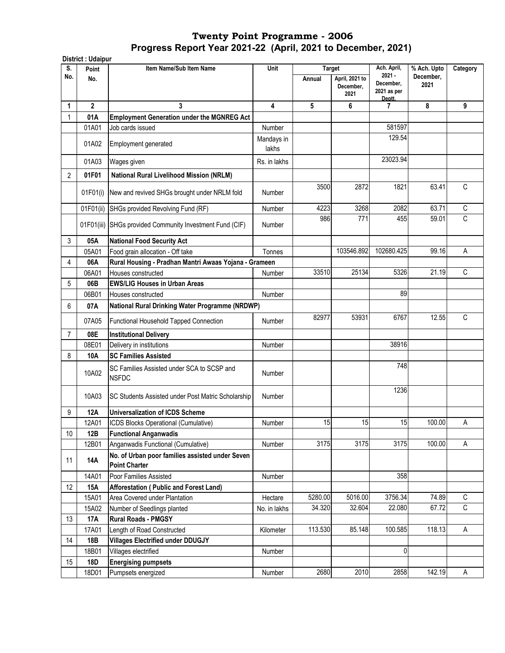|                | <b>District: Udaipur</b> |                                                                         |                     |                         |                                     |                                                     |                                  |          |
|----------------|--------------------------|-------------------------------------------------------------------------|---------------------|-------------------------|-------------------------------------|-----------------------------------------------------|----------------------------------|----------|
| S.<br>No.      | Point<br>No.             | Item Name/Sub Item Name                                                 | Unit                | <b>Target</b><br>Annual | April, 2021 to<br>December,<br>2021 | Ach. April,<br>$2021 -$<br>December,<br>2021 as per | % Ach. Upto<br>December.<br>2021 | Category |
| 1              | $\overline{2}$           | 3                                                                       | 4                   | 5                       | 6                                   | Deptt.<br>7                                         | 8                                | 9        |
| 1              | 01A                      | <b>Employment Generation under the MGNREG Act</b>                       |                     |                         |                                     |                                                     |                                  |          |
|                | 01A01                    | Job cards issued                                                        | Number              |                         |                                     | 581597                                              |                                  |          |
|                | 01A02                    | Employment generated                                                    | Mandays in<br>lakhs |                         |                                     | 129.54                                              |                                  |          |
|                | 01A03                    | Wages given                                                             | Rs. in lakhs        |                         |                                     | 23023.94                                            |                                  |          |
| $\overline{c}$ | 01F01                    | <b>National Rural Livelihood Mission (NRLM)</b>                         |                     |                         |                                     |                                                     |                                  |          |
|                | 01F01(i)                 | New and revived SHGs brought under NRLM fold                            | Number              | 3500                    | 2872                                | 1821                                                | 63.41                            | C        |
|                | 01F01(ii)                | SHGs provided Revolving Fund (RF)                                       | Number              | 4223                    | 3268                                | 2082                                                | 63.71                            | C        |
|                | 01F01(iii)               | SHGs provided Community Investment Fund (CIF)                           | Number              | 986                     | 771                                 | 455                                                 | 59.01                            | C        |
| 3              | 05A                      | <b>National Food Security Act</b>                                       |                     |                         |                                     |                                                     |                                  |          |
|                | 05A01                    | Food grain allocation - Off take                                        | Tonnes              |                         | 103546.892                          | 102680.425                                          | 99.16                            | A        |
| 4              | 06A                      | Rural Housing - Pradhan Mantri Awaas Yojana - Grameen                   |                     |                         |                                     |                                                     |                                  |          |
|                | 06A01                    | Houses constructed                                                      | Number              | 33510                   | 25134                               | 5326                                                | 21.19                            | C        |
| 5              | 06B                      | <b>EWS/LIG Houses in Urban Areas</b>                                    |                     |                         |                                     |                                                     |                                  |          |
|                | 06B01                    | Houses constructed                                                      | Number              |                         |                                     | 89                                                  |                                  |          |
| 6              | 07A                      | National Rural Drinking Water Programme (NRDWP)                         |                     |                         |                                     |                                                     |                                  |          |
|                | 07A05                    | Functional Household Tapped Connection                                  | Number              | 82977                   | 53931                               | 6767                                                | 12.55                            | C        |
| $\overline{7}$ | 08E                      | <b>Institutional Delivery</b>                                           |                     |                         |                                     |                                                     |                                  |          |
|                | 08E01                    | Delivery in institutions                                                | Number              |                         |                                     | 38916                                               |                                  |          |
| 8              | 10A                      | <b>SC Families Assisted</b>                                             |                     |                         |                                     |                                                     |                                  |          |
|                | 10A02                    | SC Families Assisted under SCA to SCSP and<br><b>NSFDC</b>              | Number              |                         |                                     | 748                                                 |                                  |          |
|                | 10A03                    | SC Students Assisted under Post Matric Scholarship                      | Number              |                         |                                     | 1236                                                |                                  |          |
| 9              | 12A                      | <b>Universalization of ICDS Scheme</b>                                  |                     |                         |                                     |                                                     |                                  |          |
|                | 12A01                    | ICDS Blocks Operational (Cumulative)                                    | Number              | 15                      | 15                                  | 15                                                  | 100.00                           | A        |
| 10             | 12B                      | <b>Functional Anganwadis</b>                                            |                     |                         |                                     |                                                     |                                  |          |
|                | 12B01                    | Anganwadis Functional (Cumulative)                                      | Number              | 3175                    | 3175                                | 3175                                                | 100.00                           | Α        |
| 11             | 14A                      | No. of Urban poor families assisted under Seven<br><b>Point Charter</b> |                     |                         |                                     |                                                     |                                  |          |
|                | 14A01                    | Poor Families Assisted                                                  | Number              |                         |                                     | 358                                                 |                                  |          |
| 12             | 15A                      | Afforestation (Public and Forest Land)                                  |                     |                         |                                     |                                                     |                                  |          |
|                | 15A01                    | Area Covered under Plantation                                           | Hectare             | 5280.00                 | 5016.00                             | 3756.34                                             | 74.89                            | C        |
|                | 15A02                    | Number of Seedlings planted                                             | No. in lakhs        | 34.320                  | 32.604                              | 22.080                                              | 67.72                            | C        |
| 13             | 17A                      | <b>Rural Roads - PMGSY</b>                                              |                     |                         |                                     |                                                     |                                  |          |
|                | 17A01                    | Length of Road Constructed                                              | Kilometer           | 113.530                 | 85.148                              | 100.585                                             | 118.13                           | Α        |
| 14             | 18B                      | <b>Villages Electrified under DDUGJY</b>                                |                     |                         |                                     |                                                     |                                  |          |
|                | 18B01                    | Villages electrified                                                    | Number              |                         |                                     | 0                                                   |                                  |          |
| 15             | 18D                      | <b>Energising pumpsets</b>                                              |                     |                         |                                     |                                                     |                                  |          |
|                | 18D01                    | Pumpsets energized                                                      | Number              | 2680                    | 2010                                | 2858                                                | 142.19                           | A        |